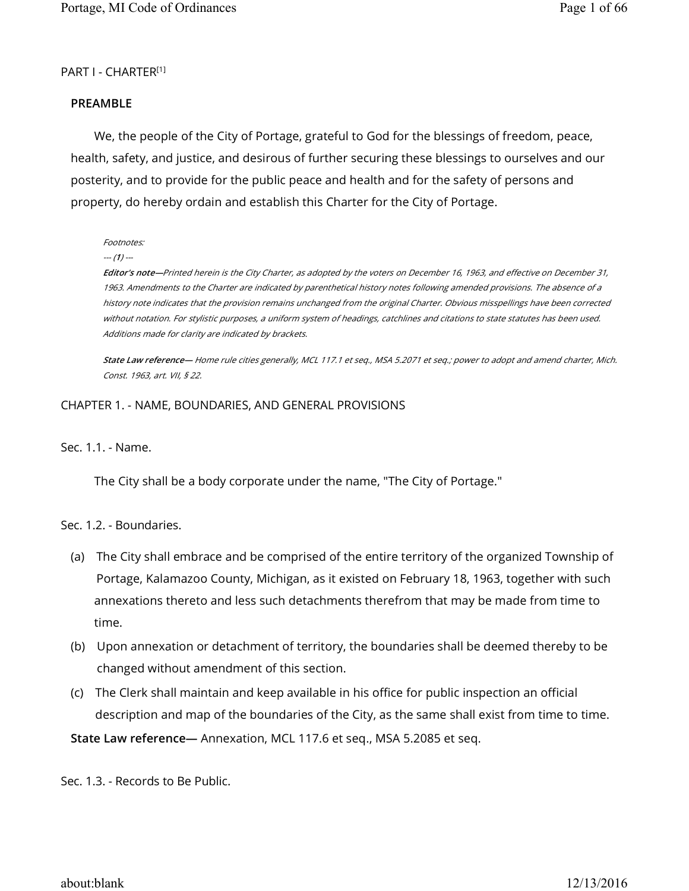### PART I - CHARTER[1]

#### **PREAMBLE**

We, the people of the City of Portage, grateful to God for the blessings of freedom, peace, health, safety, and justice, and desirous of further securing these blessings to ourselves and our posterity, and to provide for the public peace and health and for the safety of persons and property, do hereby ordain and establish this Charter for the City of Portage.

Footnotes:

--- (**1**) ---

**Editor's note—**Printed herein is the City Charter, as adopted by the voters on December 16, 1963, and effective on December 31, 1963. Amendments to the Charter are indicated by parenthetical history notes following amended provisions. The absence of a history note indicates that the provision remains unchanged from the original Charter. Obvious misspellings have been corrected without notation. For stylistic purposes, a uniform system of headings, catchlines and citations to state statutes has been used. Additions made for clarity are indicated by brackets.

**State Law reference—** Home rule cities generally, MCL 117.1 et seq., MSA 5.2071 et seq.; power to adopt and amend charter, Mich. Const. 1963, art. VII, § 22.

#### CHAPTER 1. - NAME, BOUNDARIES, AND GENERAL PROVISIONS

Sec. 1.1. - Name.

The City shall be a body corporate under the name, "The City of Portage."

Sec. 1.2. - Boundaries.

- (a) The City shall embrace and be comprised of the entire territory of the organized Township of Portage, Kalamazoo County, Michigan, as it existed on February 18, 1963, together with such annexations thereto and less such detachments therefrom that may be made from time to time.
- (b) Upon annexation or detachment of territory, the boundaries shall be deemed thereby to be changed without amendment of this section.
- (c) The Clerk shall maintain and keep available in his office for public inspection an official description and map of the boundaries of the City, as the same shall exist from time to time.

**State Law reference—** Annexation, MCL 117.6 et seq., MSA 5.2085 et seq.

Sec. 1.3. - Records to Be Public.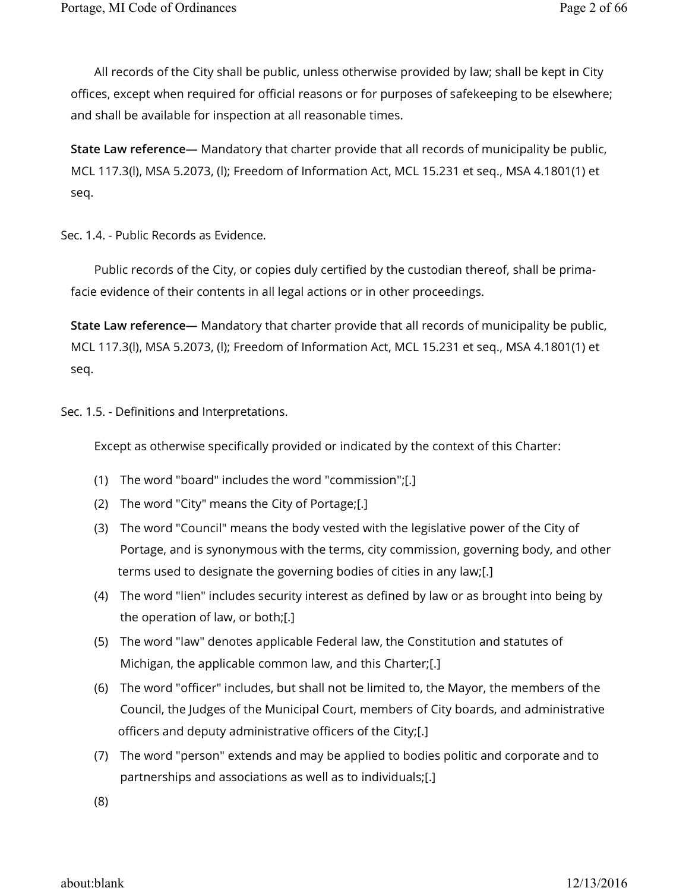All records of the City shall be public, unless otherwise provided by law; shall be kept in City offices, except when required for official reasons or for purposes of safekeeping to be elsewhere; and shall be available for inspection at all reasonable times.

**State Law reference—** Mandatory that charter provide that all records of municipality be public, MCL 117.3(l), MSA 5.2073, (l); Freedom of Information Act, MCL 15.231 et seq., MSA 4.1801(1) et seq.

Sec. 1.4. - Public Records as Evidence.

Public records of the City, or copies duly certified by the custodian thereof, shall be primafacie evidence of their contents in all legal actions or in other proceedings.

**State Law reference—** Mandatory that charter provide that all records of municipality be public, MCL 117.3(l), MSA 5.2073, (l); Freedom of Information Act, MCL 15.231 et seq., MSA 4.1801(1) et seq.

Sec. 1.5. - Definitions and Interpretations.

Except as otherwise specifically provided or indicated by the context of this Charter:

- (1) The word "board" includes the word "commission";[.]
- (2) The word "City" means the City of Portage;[.]
- (3) The word "Council" means the body vested with the legislative power of the City of Portage, and is synonymous with the terms, city commission, governing body, and other terms used to designate the governing bodies of cities in any law;[.]
- (4) The word "lien" includes security interest as defined by law or as brought into being by the operation of law, or both;[.]
- (5) The word "law" denotes applicable Federal law, the Constitution and statutes of Michigan, the applicable common law, and this Charter;[.]
- (6) The word "officer" includes, but shall not be limited to, the Mayor, the members of the Council, the Judges of the Municipal Court, members of City boards, and administrative officers and deputy administrative officers of the City;[.]
- (7) The word "person" extends and may be applied to bodies politic and corporate and to partnerships and associations as well as to individuals;[.]

(8)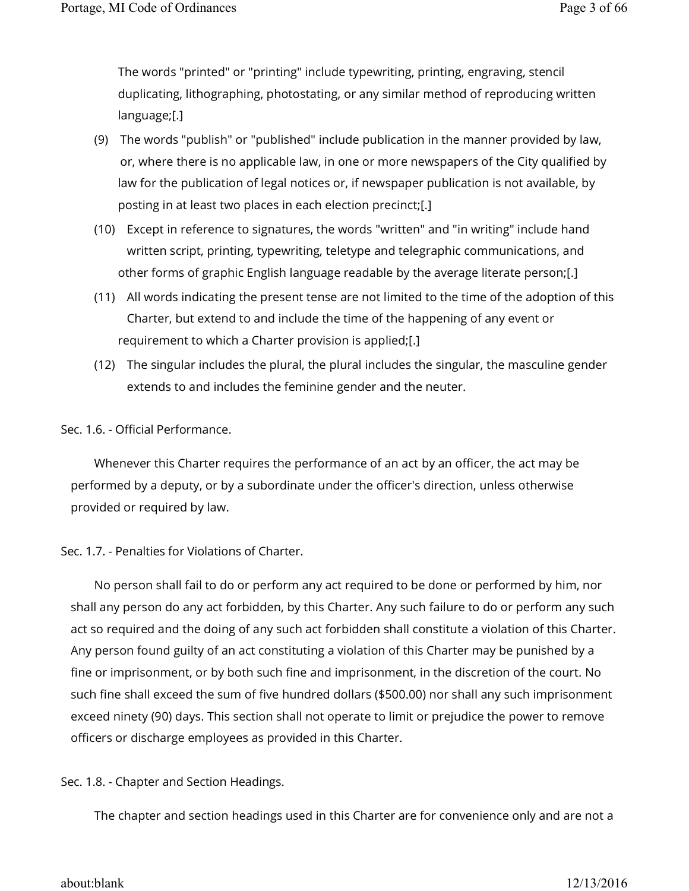The words "printed" or "printing" include typewriting, printing, engraving, stencil duplicating, lithographing, photostating, or any similar method of reproducing written language;[.]

- (9) The words "publish" or "published" include publication in the manner provided by law, or, where there is no applicable law, in one or more newspapers of the City qualified by law for the publication of legal notices or, if newspaper publication is not available, by posting in at least two places in each election precinct;[.]
- (10) Except in reference to signatures, the words "written" and "in writing" include hand written script, printing, typewriting, teletype and telegraphic communications, and other forms of graphic English language readable by the average literate person;[.]
- (11) All words indicating the present tense are not limited to the time of the adoption of this Charter, but extend to and include the time of the happening of any event or requirement to which a Charter provision is applied;[.]
- (12) The singular includes the plural, the plural includes the singular, the masculine gender extends to and includes the feminine gender and the neuter.

# Sec. 1.6. - Official Performance.

Whenever this Charter requires the performance of an act by an officer, the act may be performed by a deputy, or by a subordinate under the officer's direction, unless otherwise provided or required by law.

# Sec. 1.7. - Penalties for Violations of Charter.

No person shall fail to do or perform any act required to be done or performed by him, nor shall any person do any act forbidden, by this Charter. Any such failure to do or perform any such act so required and the doing of any such act forbidden shall constitute a violation of this Charter. Any person found guilty of an act constituting a violation of this Charter may be punished by a fine or imprisonment, or by both such fine and imprisonment, in the discretion of the court. No such fine shall exceed the sum of five hundred dollars (\$500.00) nor shall any such imprisonment exceed ninety (90) days. This section shall not operate to limit or prejudice the power to remove officers or discharge employees as provided in this Charter.

Sec. 1.8. - Chapter and Section Headings.

The chapter and section headings used in this Charter are for convenience only and are not a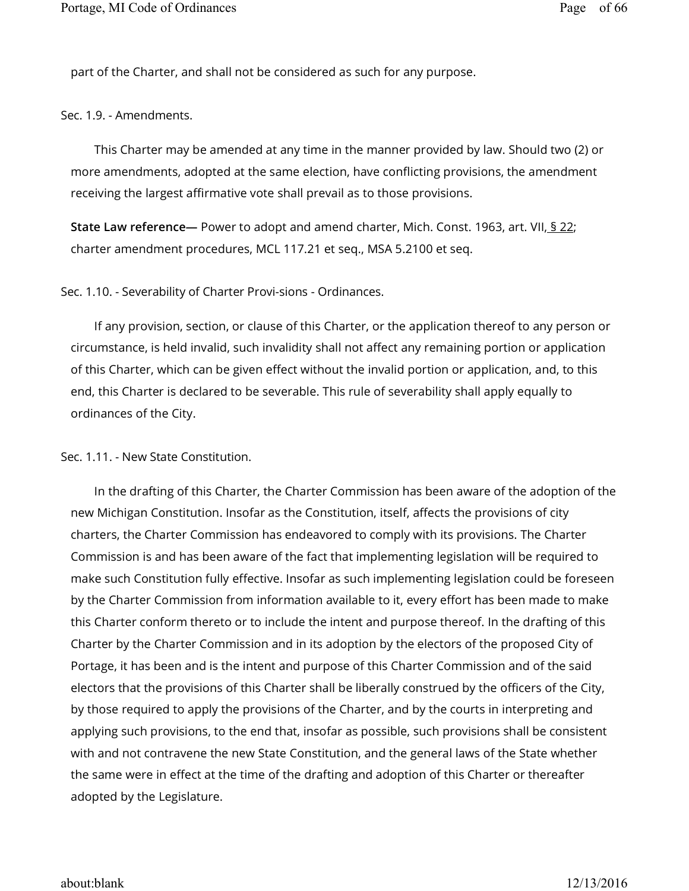part of the Charter, and shall not be considered as such for any purpose.

Sec. 1.9. - Amendments.

This Charter may be amended at any time in the manner provided by law. Should two (2) or more amendments, adopted at the same election, have conflicting provisions, the amendment receiving the largest affirmative vote shall prevail as to those provisions.

**State Law reference—** Power to adopt and amend charter, Mich. Const. 1963, art. VII, § 22; charter amendment procedures, MCL 117.21 et seq., MSA 5.2100 et seq.

Sec. 1.10. - Severability of Charter Provi-sions - Ordinances.

If any provision, section, or clause of this Charter, or the application thereof to any person or circumstance, is held invalid, such invalidity shall not affect any remaining portion or application of this Charter, which can be given effect without the invalid portion or application, and, to this end, this Charter is declared to be severable. This rule of severability shall apply equally to ordinances of the City.

#### Sec. 1.11. - New State Constitution.

In the drafting of this Charter, the Charter Commission has been aware of the adoption of the new Michigan Constitution. Insofar as the Constitution, itself, affects the provisions of city charters, the Charter Commission has endeavored to comply with its provisions. The Charter Commission is and has been aware of the fact that implementing legislation will be required to make such Constitution fully effective. Insofar as such implementing legislation could be foreseen by the Charter Commission from information available to it, every effort has been made to make this Charter conform thereto or to include the intent and purpose thereof. In the drafting of this Charter by the Charter Commission and in its adoption by the electors of the proposed City of Portage, it has been and is the intent and purpose of this Charter Commission and of the said electors that the provisions of this Charter shall be liberally construed by the officers of the City, by those required to apply the provisions of the Charter, and by the courts in interpreting and applying such provisions, to the end that, insofar as possible, such provisions shall be consistent with and not contravene the new State Constitution, and the general laws of the State whether the same were in effect at the time of the drafting and adoption of this Charter or thereafter adopted by the Legislature.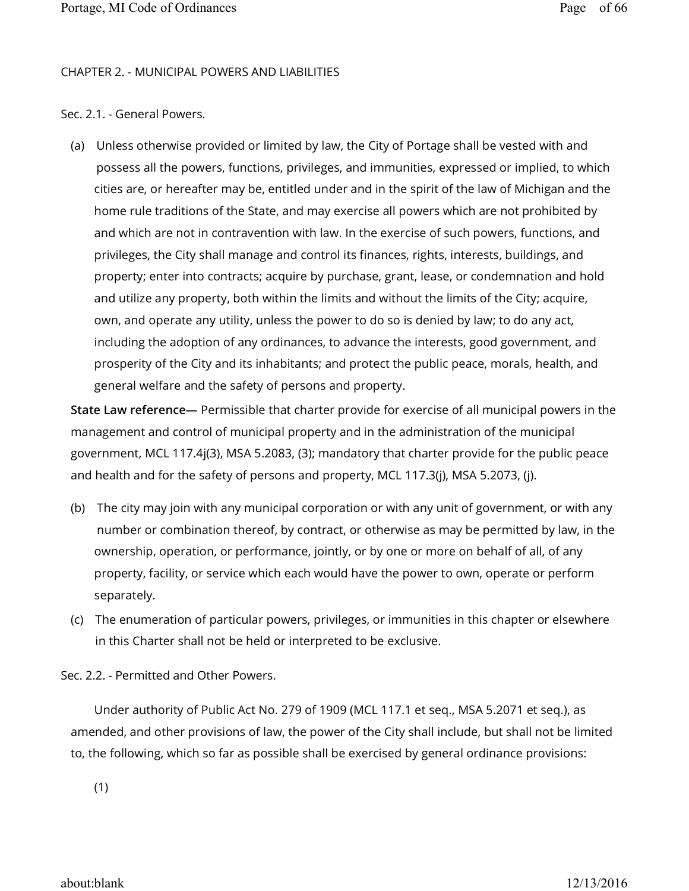#### CHAPTER 2. - MUNICIPAL POWERS AND LIABILITIES

### Sec. 2.1. - General Powers.

(a) Unless otherwise provided or limited by law, the City of Portage shall be vested with and possess all the powers, functions, privileges, and immunities, expressed or implied, to which cities are, or hereafter may be, entitled under and in the spirit of the law of Michigan and the home rule traditions of the State, and may exercise all powers which are not prohibited by and which are not in contravention with law. In the exercise of such powers, functions, and privileges, the City shall manage and control its finances, rights, interests, buildings, and property; enter into contracts; acquire by purchase, grant, lease, or condemnation and hold and utilize any property, both within the limits and without the limits of the City; acquire, own, and operate any utility, unless the power to do so is denied by law; to do any act, including the adoption of any ordinances, to advance the interests, good government, and prosperity of the City and its inhabitants; and protect the public peace, morals, health, and general welfare and the safety of persons and property.

**State Law reference—** Permissible that charter provide for exercise of all municipal powers in the management and control of municipal property and in the administration of the municipal government, MCL 117.4j(3), MSA 5.2083, (3); mandatory that charter provide for the public peace and health and for the safety of persons and property, MCL 117.3(j), MSA 5.2073, (j).

- (b) The city may join with any municipal corporation or with any unit of government, or with any number or combination thereof, by contract, or otherwise as may be permitted by law, in the ownership, operation, or performance, jointly, or by one or more on behalf of all, of any property, facility, or service which each would have the power to own, operate or perform separately.
- (c) The enumeration of particular powers, privileges, or immunities in this chapter or elsewhere in this Charter shall not be held or interpreted to be exclusive.

Sec. 2.2. - Permitted and Other Powers.

Under authority of Public Act No. 279 of 1909 (MCL 117.1 et seq., MSA 5.2071 et seq.), as amended, and other provisions of law, the power of the City shall include, but shall not be limited to, the following, which so far as possible shall be exercised by general ordinance provisions:

(1)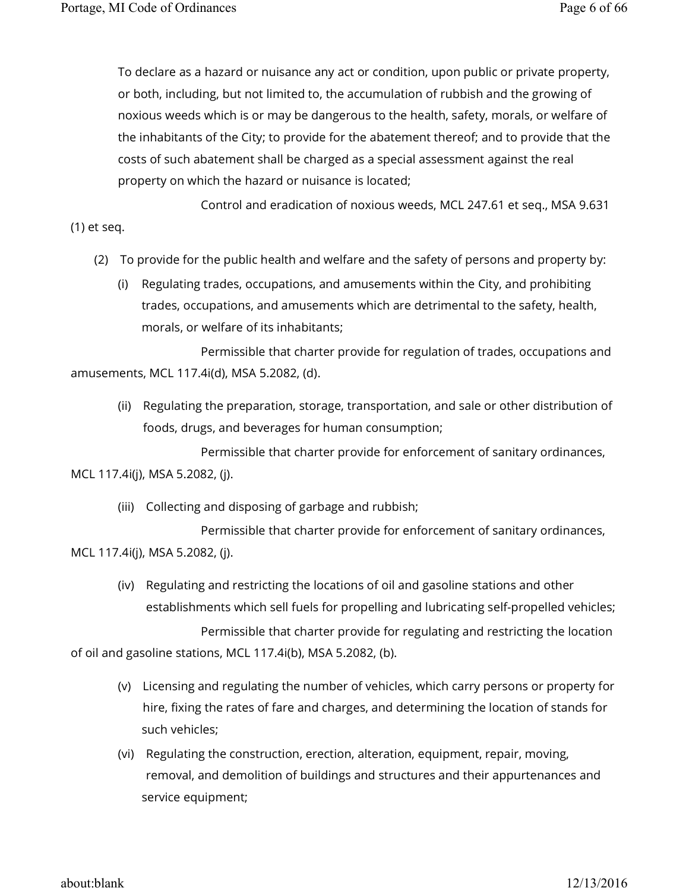To declare as a hazard or nuisance any act or condition, upon public or private property, or both, including, but not limited to, the accumulation of rubbish and the growing of noxious weeds which is or may be dangerous to the health, safety, morals, or welfare of the inhabitants of the City; to provide for the abatement thereof; and to provide that the costs of such abatement shall be charged as a special assessment against the real property on which the hazard or nuisance is located;

 Control and eradication of noxious weeds, MCL 247.61 et seq., MSA 9.631 (1) et seq.

- (2) To provide for the public health and welfare and the safety of persons and property by:
	- (i) Regulating trades, occupations, and amusements within the City, and prohibiting trades, occupations, and amusements which are detrimental to the safety, health, morals, or welfare of its inhabitants;

 Permissible that charter provide for regulation of trades, occupations and amusements, MCL 117.4i(d), MSA 5.2082, (d).

(ii) Regulating the preparation, storage, transportation, and sale or other distribution of foods, drugs, and beverages for human consumption;

 Permissible that charter provide for enforcement of sanitary ordinances, MCL 117.4i(j), MSA 5.2082, (j).

(iii) Collecting and disposing of garbage and rubbish;

 Permissible that charter provide for enforcement of sanitary ordinances, MCL 117.4i(j), MSA 5.2082, (j).

(iv) Regulating and restricting the locations of oil and gasoline stations and other establishments which sell fuels for propelling and lubricating self-propelled vehicles; Permissible that charter provide for regulating and restricting the location

of oil and gasoline stations, MCL 117.4i(b), MSA 5.2082, (b).

- (v) Licensing and regulating the number of vehicles, which carry persons or property for hire, fixing the rates of fare and charges, and determining the location of stands for such vehicles;
- (vi) Regulating the construction, erection, alteration, equipment, repair, moving, removal, and demolition of buildings and structures and their appurtenances and service equipment;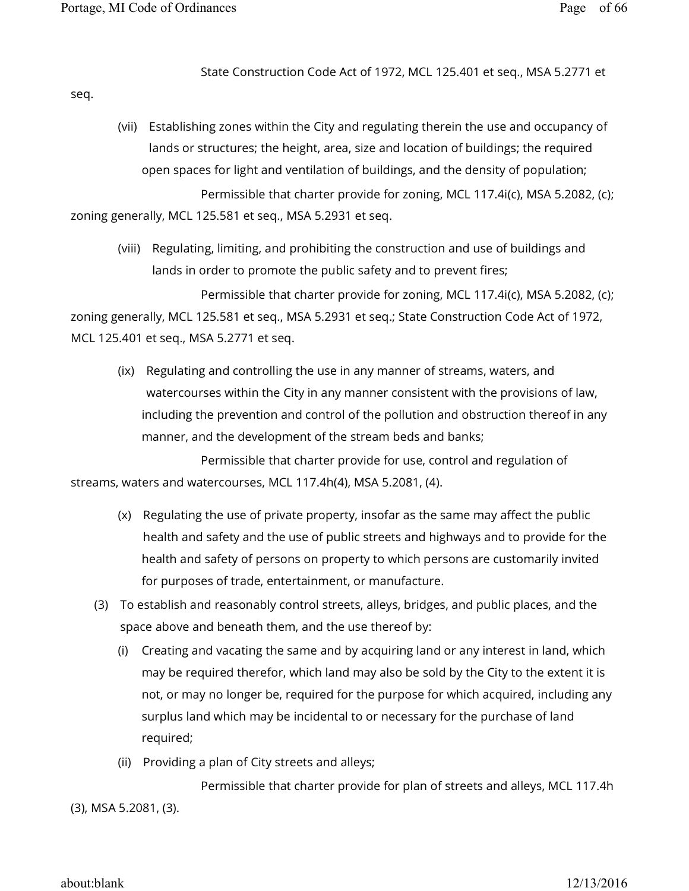State Construction Code Act of 1972, MCL 125.401 et seq., MSA 5.2771 et

seq.

- (vii) Establishing zones within the City and regulating therein the use and occupancy of lands or structures; the height, area, size and location of buildings; the required open spaces for light and ventilation of buildings, and the density of population; Permissible that charter provide for zoning, MCL 117.4i(c), MSA 5.2082, (c); zoning generally, MCL 125.581 et seq., MSA 5.2931 et seq.
	- (viii) Regulating, limiting, and prohibiting the construction and use of buildings and lands in order to promote the public safety and to prevent fires;

 Permissible that charter provide for zoning, MCL 117.4i(c), MSA 5.2082, (c); zoning generally, MCL 125.581 et seq., MSA 5.2931 et seq.; State Construction Code Act of 1972, MCL 125.401 et seq., MSA 5.2771 et seq.

(ix) Regulating and controlling the use in any manner of streams, waters, and watercourses within the City in any manner consistent with the provisions of law, including the prevention and control of the pollution and obstruction thereof in any manner, and the development of the stream beds and banks;

 Permissible that charter provide for use, control and regulation of streams, waters and watercourses, MCL 117.4h(4), MSA 5.2081, (4).

- (x) Regulating the use of private property, insofar as the same may affect the public health and safety and the use of public streets and highways and to provide for the health and safety of persons on property to which persons are customarily invited for purposes of trade, entertainment, or manufacture.
- (3) To establish and reasonably control streets, alleys, bridges, and public places, and the space above and beneath them, and the use thereof by:
	- (i) Creating and vacating the same and by acquiring land or any interest in land, which may be required therefor, which land may also be sold by the City to the extent it is not, or may no longer be, required for the purpose for which acquired, including any surplus land which may be incidental to or necessary for the purchase of land required;
	- (ii) Providing a plan of City streets and alleys;

 Permissible that charter provide for plan of streets and alleys, MCL 117.4h (3), MSA 5.2081, (3).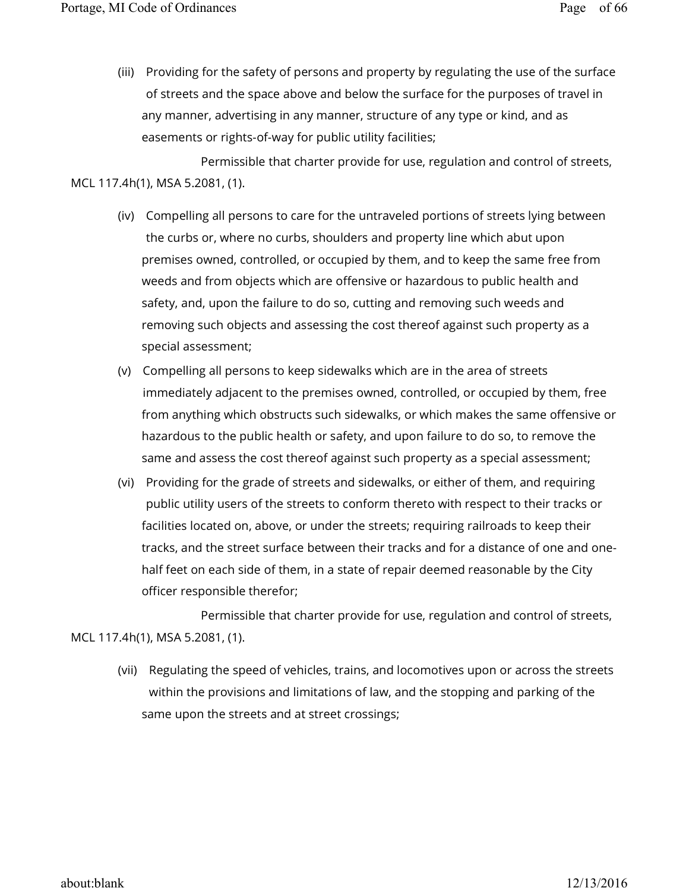(iii) Providing for the safety of persons and property by regulating the use of the surface of streets and the space above and below the surface for the purposes of travel in any manner, advertising in any manner, structure of any type or kind, and as easements or rights-of-way for public utility facilities;

 Permissible that charter provide for use, regulation and control of streets, MCL 117.4h(1), MSA 5.2081, (1).

- (iv) Compelling all persons to care for the untraveled portions of streets lying between the curbs or, where no curbs, shoulders and property line which abut upon premises owned, controlled, or occupied by them, and to keep the same free from weeds and from objects which are offensive or hazardous to public health and safety, and, upon the failure to do so, cutting and removing such weeds and removing such objects and assessing the cost thereof against such property as a special assessment;
- (v) Compelling all persons to keep sidewalks which are in the area of streets immediately adjacent to the premises owned, controlled, or occupied by them, free from anything which obstructs such sidewalks, or which makes the same offensive or hazardous to the public health or safety, and upon failure to do so, to remove the same and assess the cost thereof against such property as a special assessment;
- (vi) Providing for the grade of streets and sidewalks, or either of them, and requiring public utility users of the streets to conform thereto with respect to their tracks or facilities located on, above, or under the streets; requiring railroads to keep their tracks, and the street surface between their tracks and for a distance of one and onehalf feet on each side of them, in a state of repair deemed reasonable by the City officer responsible therefor;

 Permissible that charter provide for use, regulation and control of streets, MCL 117.4h(1), MSA 5.2081, (1).

(vii) Regulating the speed of vehicles, trains, and locomotives upon or across the streets within the provisions and limitations of law, and the stopping and parking of the same upon the streets and at street crossings;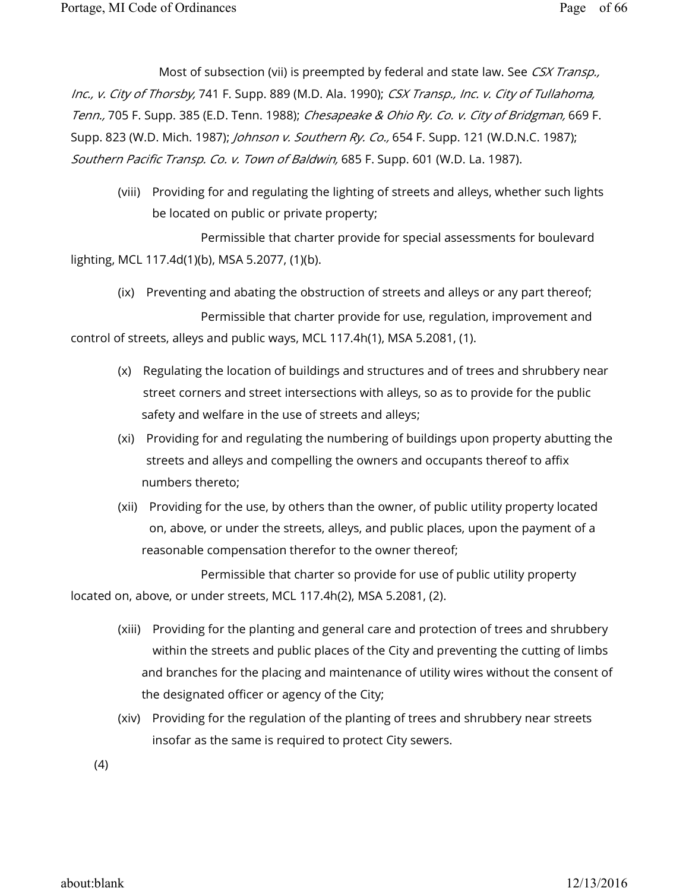Most of subsection (vii) is preempted by federal and state law. See CSX Transp., Inc., v. City of Thorsby, 741 F. Supp. 889 (M.D. Ala. 1990); CSX Transp., Inc. v. City of Tullahoma, Tenn., 705 F. Supp. 385 (E.D. Tenn. 1988); Chesapeake & Ohio Ry. Co. v. City of Bridgman, 669 F. Supp. 823 (W.D. Mich. 1987); *Johnson v. Southern Ry. Co.,* 654 F. Supp. 121 (W.D.N.C. 1987); Southern Pacific Transp. Co. v. Town of Baldwin, 685 F. Supp. 601 (W.D. La. 1987).

(viii) Providing for and regulating the lighting of streets and alleys, whether such lights be located on public or private property;

 Permissible that charter provide for special assessments for boulevard lighting, MCL 117.4d(1)(b), MSA 5.2077, (1)(b).

(ix) Preventing and abating the obstruction of streets and alleys or any part thereof;

 Permissible that charter provide for use, regulation, improvement and control of streets, alleys and public ways, MCL 117.4h(1), MSA 5.2081, (1).

- (x) Regulating the location of buildings and structures and of trees and shrubbery near street corners and street intersections with alleys, so as to provide for the public safety and welfare in the use of streets and alleys;
- (xi) Providing for and regulating the numbering of buildings upon property abutting the streets and alleys and compelling the owners and occupants thereof to affix numbers thereto;
- (xii) Providing for the use, by others than the owner, of public utility property located on, above, or under the streets, alleys, and public places, upon the payment of a reasonable compensation therefor to the owner thereof;

 Permissible that charter so provide for use of public utility property located on, above, or under streets, MCL 117.4h(2), MSA 5.2081, (2).

- (xiii) Providing for the planting and general care and protection of trees and shrubbery within the streets and public places of the City and preventing the cutting of limbs and branches for the placing and maintenance of utility wires without the consent of the designated officer or agency of the City;
- (xiv) Providing for the regulation of the planting of trees and shrubbery near streets insofar as the same is required to protect City sewers.
- (4)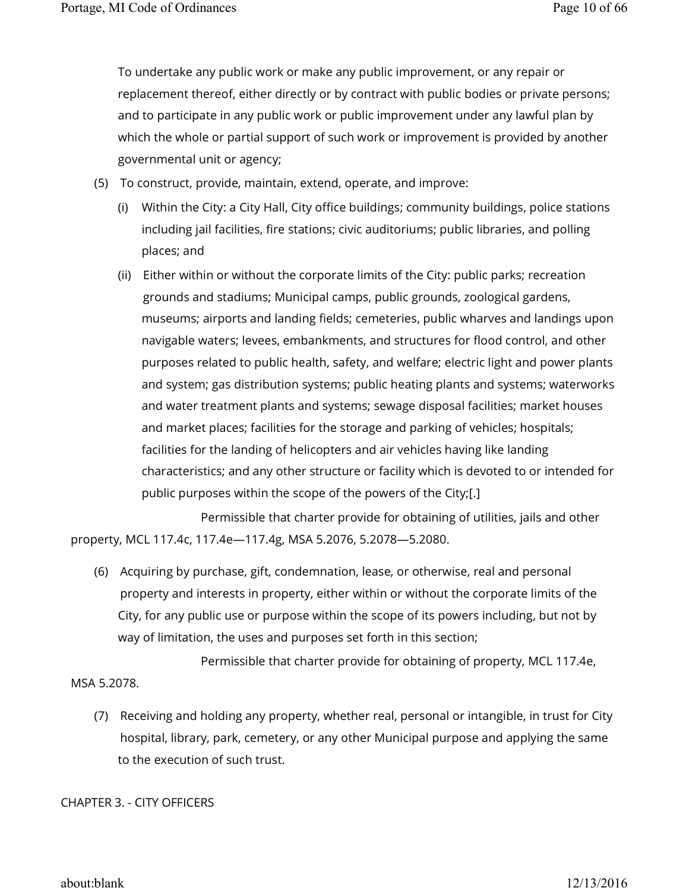To undertake any public work or make any public improvement, or any repair or replacement thereof, either directly or by contract with public bodies or private persons; and to participate in any public work or public improvement under any lawful plan by which the whole or partial support of such work or improvement is provided by another governmental unit or agency;

- (5) To construct, provide, maintain, extend, operate, and improve:
	- (i) Within the City: a City Hall, City office buildings; community buildings, police stations including jail facilities, fire stations; civic auditoriums; public libraries, and polling places; and
	- (ii) Either within or without the corporate limits of the City: public parks; recreation grounds and stadiums; Municipal camps, public grounds, zoological gardens, museums; airports and landing fields; cemeteries, public wharves and landings upon navigable waters; levees, embankments, and structures for flood control, and other purposes related to public health, safety, and welfare; electric light and power plants and system; gas distribution systems; public heating plants and systems; waterworks and water treatment plants and systems; sewage disposal facilities; market houses and market places; facilities for the storage and parking of vehicles; hospitals; facilities for the landing of helicopters and air vehicles having like landing characteristics; and any other structure or facility which is devoted to or intended for public purposes within the scope of the powers of the City;[.]

 Permissible that charter provide for obtaining of utilities, jails and other property, MCL 117.4c, 117.4e—117.4g, MSA 5.2076, 5.2078—5.2080.

(6) Acquiring by purchase, gift, condemnation, lease, or otherwise, real and personal property and interests in property, either within or without the corporate limits of the City, for any public use or purpose within the scope of its powers including, but not by way of limitation, the uses and purposes set forth in this section;

 Permissible that charter provide for obtaining of property, MCL 117.4e, MSA 5.2078.

(7) Receiving and holding any property, whether real, personal or intangible, in trust for City hospital, library, park, cemetery, or any other Municipal purpose and applying the same to the execution of such trust.

CHAPTER 3. - CITY OFFICERS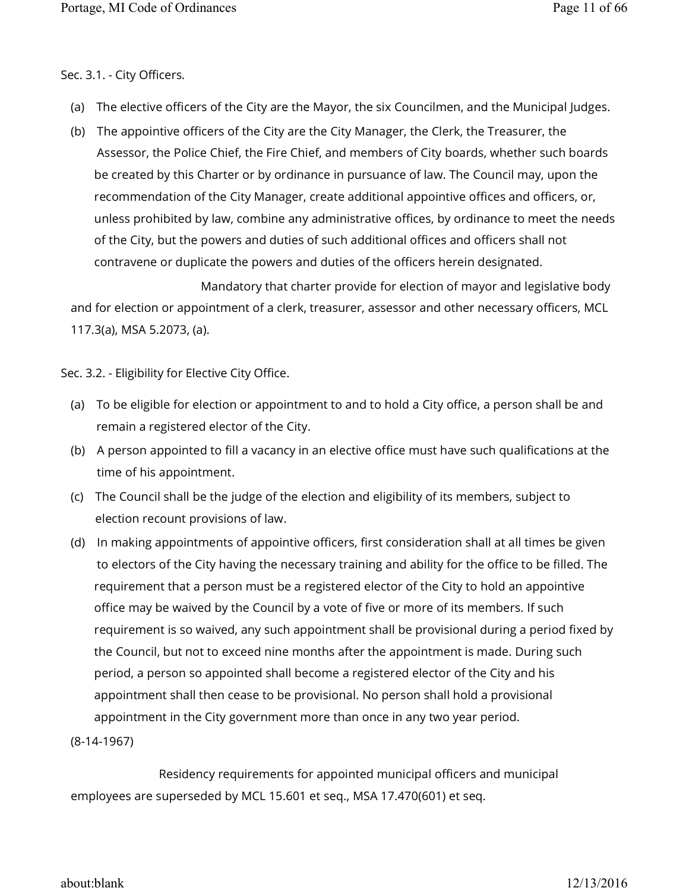### Sec. 3.1. - City Officers.

- (a) The elective officers of the City are the Mayor, the six Councilmen, and the Municipal Judges.
- (b) The appointive officers of the City are the City Manager, the Clerk, the Treasurer, the Assessor, the Police Chief, the Fire Chief, and members of City boards, whether such boards be created by this Charter or by ordinance in pursuance of law. The Council may, upon the recommendation of the City Manager, create additional appointive offices and officers, or, unless prohibited by law, combine any administrative offices, by ordinance to meet the needs of the City, but the powers and duties of such additional offices and officers shall not contravene or duplicate the powers and duties of the officers herein designated.

 Mandatory that charter provide for election of mayor and legislative body and for election or appointment of a clerk, treasurer, assessor and other necessary officers, MCL 117.3(a), MSA 5.2073, (a).

Sec. 3.2. - Eligibility for Elective City Office.

- (a) To be eligible for election or appointment to and to hold a City office, a person shall be and remain a registered elector of the City.
- (b) A person appointed to fill a vacancy in an elective office must have such qualifications at the time of his appointment.
- (c) The Council shall be the judge of the election and eligibility of its members, subject to election recount provisions of law.
- (d) In making appointments of appointive officers, first consideration shall at all times be given to electors of the City having the necessary training and ability for the office to be filled. The requirement that a person must be a registered elector of the City to hold an appointive office may be waived by the Council by a vote of five or more of its members. If such requirement is so waived, any such appointment shall be provisional during a period fixed by the Council, but not to exceed nine months after the appointment is made. During such period, a person so appointed shall become a registered elector of the City and his appointment shall then cease to be provisional. No person shall hold a provisional appointment in the City government more than once in any two year period.

(8-14-1967)

 Residency requirements for appointed municipal officers and municipal employees are superseded by MCL 15.601 et seq., MSA 17.470(601) et seq.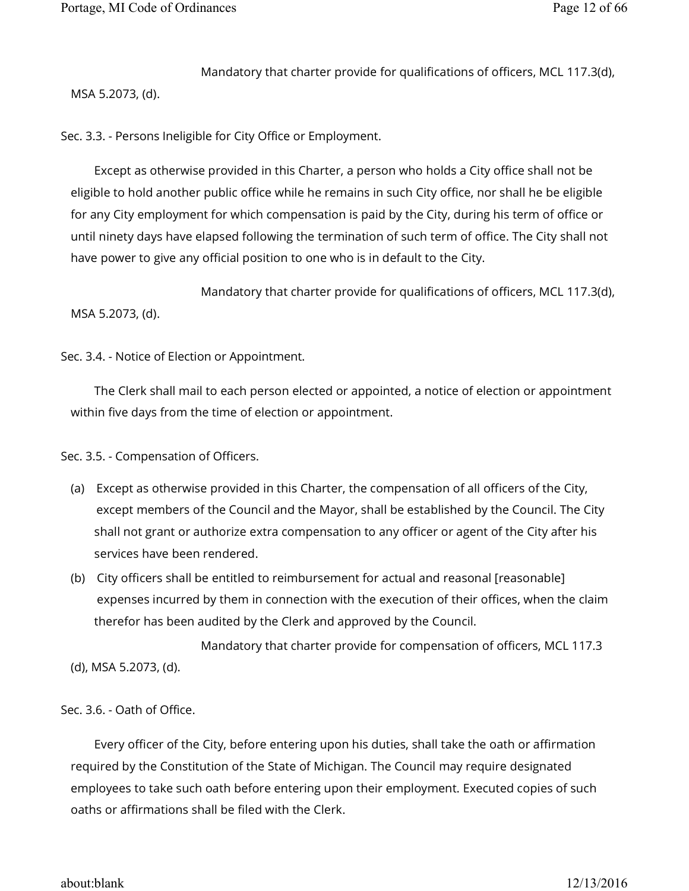Mandatory that charter provide for qualifications of officers, MCL 117.3(d),

MSA 5.2073, (d).

Sec. 3.3. - Persons Ineligible for City Office or Employment.

Except as otherwise provided in this Charter, a person who holds a City office shall not be eligible to hold another public office while he remains in such City office, nor shall he be eligible for any City employment for which compensation is paid by the City, during his term of office or until ninety days have elapsed following the termination of such term of office. The City shall not have power to give any official position to one who is in default to the City.

 Mandatory that charter provide for qualifications of officers, MCL 117.3(d), MSA 5.2073, (d).

Sec. 3.4. - Notice of Election or Appointment.

The Clerk shall mail to each person elected or appointed, a notice of election or appointment within five days from the time of election or appointment.

Sec. 3.5. - Compensation of Officers.

- (a) Except as otherwise provided in this Charter, the compensation of all officers of the City, except members of the Council and the Mayor, shall be established by the Council. The City shall not grant or authorize extra compensation to any officer or agent of the City after his services have been rendered.
- (b) City officers shall be entitled to reimbursement for actual and reasonal [reasonable] expenses incurred by them in connection with the execution of their offices, when the claim therefor has been audited by the Clerk and approved by the Council.

 Mandatory that charter provide for compensation of officers, MCL 117.3 (d), MSA 5.2073, (d).

Sec. 3.6. - Oath of Office.

Every officer of the City, before entering upon his duties, shall take the oath or affirmation required by the Constitution of the State of Michigan. The Council may require designated employees to take such oath before entering upon their employment. Executed copies of such oaths or affirmations shall be filed with the Clerk.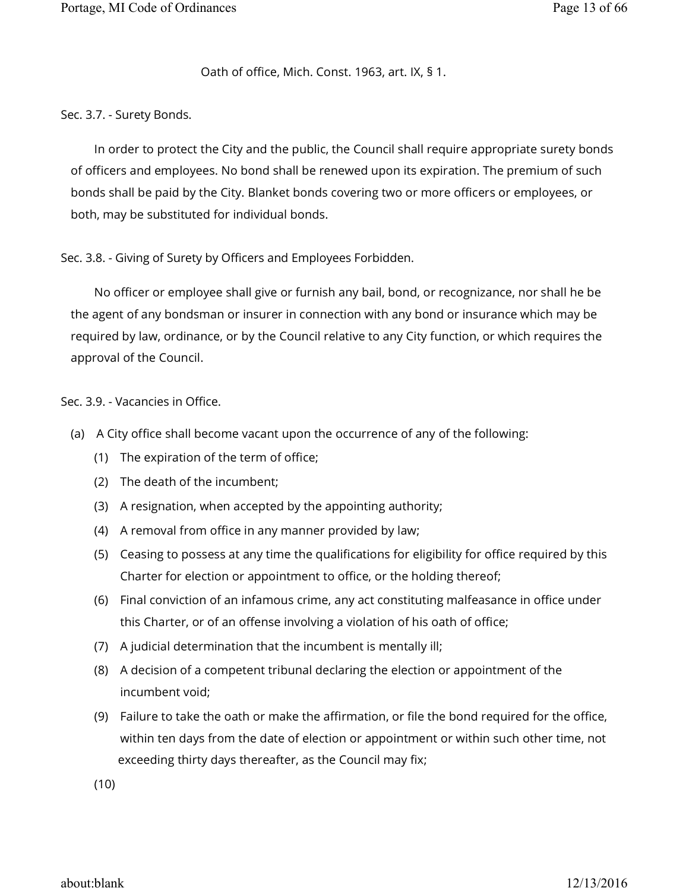### Oath of office, Mich. Const. 1963, art. IX, § 1.

Sec. 3.7. - Surety Bonds.

In order to protect the City and the public, the Council shall require appropriate surety bonds of officers and employees. No bond shall be renewed upon its expiration. The premium of such bonds shall be paid by the City. Blanket bonds covering two or more officers or employees, or both, may be substituted for individual bonds.

Sec. 3.8. - Giving of Surety by Officers and Employees Forbidden.

No officer or employee shall give or furnish any bail, bond, or recognizance, nor shall he be the agent of any bondsman or insurer in connection with any bond or insurance which may be required by law, ordinance, or by the Council relative to any City function, or which requires the approval of the Council.

### Sec. 3.9. - Vacancies in Office.

- (a) A City office shall become vacant upon the occurrence of any of the following:
	- (1) The expiration of the term of office;
	- (2) The death of the incumbent;
	- (3) A resignation, when accepted by the appointing authority;
	- (4) A removal from office in any manner provided by law;
	- (5) Ceasing to possess at any time the qualifications for eligibility for office required by this Charter for election or appointment to office, or the holding thereof;
	- (6) Final conviction of an infamous crime, any act constituting malfeasance in office under this Charter, or of an offense involving a violation of his oath of office;
	- (7) A judicial determination that the incumbent is mentally ill;
	- (8) A decision of a competent tribunal declaring the election or appointment of the incumbent void;
	- (9) Failure to take the oath or make the affirmation, or file the bond required for the office, within ten days from the date of election or appointment or within such other time, not exceeding thirty days thereafter, as the Council may fix;

(10)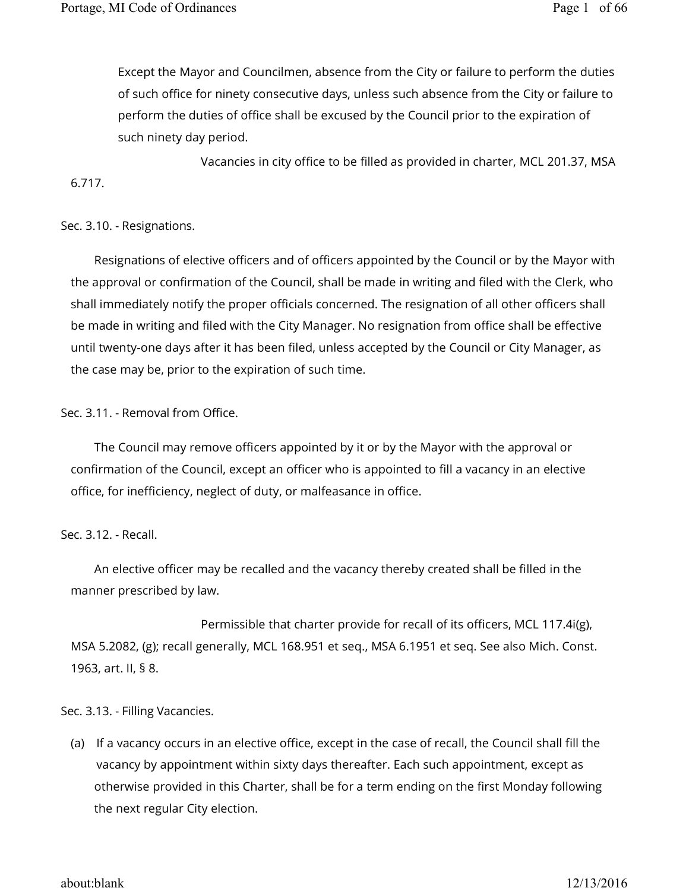Except the Mayor and Councilmen, absence from the City or failure to perform the duties of such office for ninety consecutive days, unless such absence from the City or failure to perform the duties of office shall be excused by the Council prior to the expiration of such ninety day period.

 Vacancies in city office to be filled as provided in charter, MCL 201.37, MSA 6.717.

# Sec. 3.10. - Resignations.

Resignations of elective officers and of officers appointed by the Council or by the Mayor with the approval or confirmation of the Council, shall be made in writing and filed with the Clerk, who shall immediately notify the proper officials concerned. The resignation of all other officers shall be made in writing and filed with the City Manager. No resignation from office shall be effective until twenty-one days after it has been filed, unless accepted by the Council or City Manager, as the case may be, prior to the expiration of such time.

# Sec. 3.11. - Removal from Office.

The Council may remove officers appointed by it or by the Mayor with the approval or confirmation of the Council, except an officer who is appointed to fill a vacancy in an elective office, for inefficiency, neglect of duty, or malfeasance in office.

# Sec. 3.12. - Recall.

An elective officer may be recalled and the vacancy thereby created shall be filled in the manner prescribed by law.

 Permissible that charter provide for recall of its officers, MCL 117.4i(g), MSA 5.2082, (g); recall generally, MCL 168.951 et seq., MSA 6.1951 et seq. See also Mich. Const. 1963, art. II, § 8.

# Sec. 3.13. - Filling Vacancies.

(a) If a vacancy occurs in an elective office, except in the case of recall, the Council shall fill the vacancy by appointment within sixty days thereafter. Each such appointment, except as otherwise provided in this Charter, shall be for a term ending on the first Monday following the next regular City election.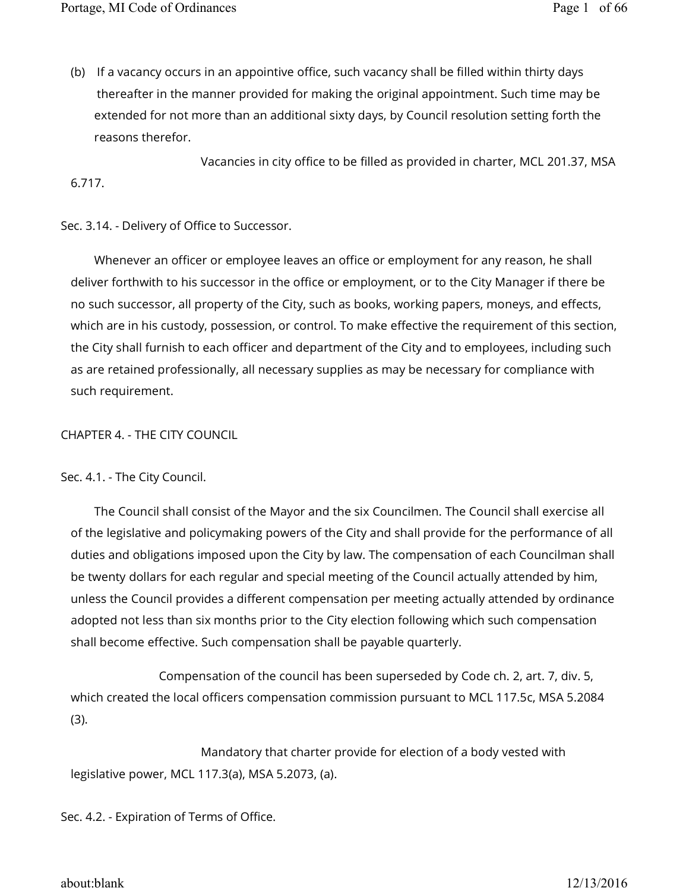(b) If a vacancy occurs in an appointive office, such vacancy shall be filled within thirty days thereafter in the manner provided for making the original appointment. Such time may be extended for not more than an additional sixty days, by Council resolution setting forth the reasons therefor.

 Vacancies in city office to be filled as provided in charter, MCL 201.37, MSA 6.717.

Sec. 3.14. - Delivery of Office to Successor.

Whenever an officer or employee leaves an office or employment for any reason, he shall deliver forthwith to his successor in the office or employment, or to the City Manager if there be no such successor, all property of the City, such as books, working papers, moneys, and effects, which are in his custody, possession, or control. To make effective the requirement of this section, the City shall furnish to each officer and department of the City and to employees, including such as are retained professionally, all necessary supplies as may be necessary for compliance with such requirement.

CHAPTER 4. - THE CITY COUNCIL

Sec. 4.1. - The City Council.

The Council shall consist of the Mayor and the six Councilmen. The Council shall exercise all of the legislative and policymaking powers of the City and shall provide for the performance of all duties and obligations imposed upon the City by law. The compensation of each Councilman shall be twenty dollars for each regular and special meeting of the Council actually attended by him, unless the Council provides a different compensation per meeting actually attended by ordinance adopted not less than six months prior to the City election following which such compensation shall become effective. Such compensation shall be payable quarterly.

 Compensation of the council has been superseded by Code ch. 2, art. 7, div. 5, which created the local officers compensation commission pursuant to MCL 117.5c, MSA 5.2084 (3).

 Mandatory that charter provide for election of a body vested with legislative power, MCL 117.3(a), MSA 5.2073, (a).

Sec. 4.2. - Expiration of Terms of Office.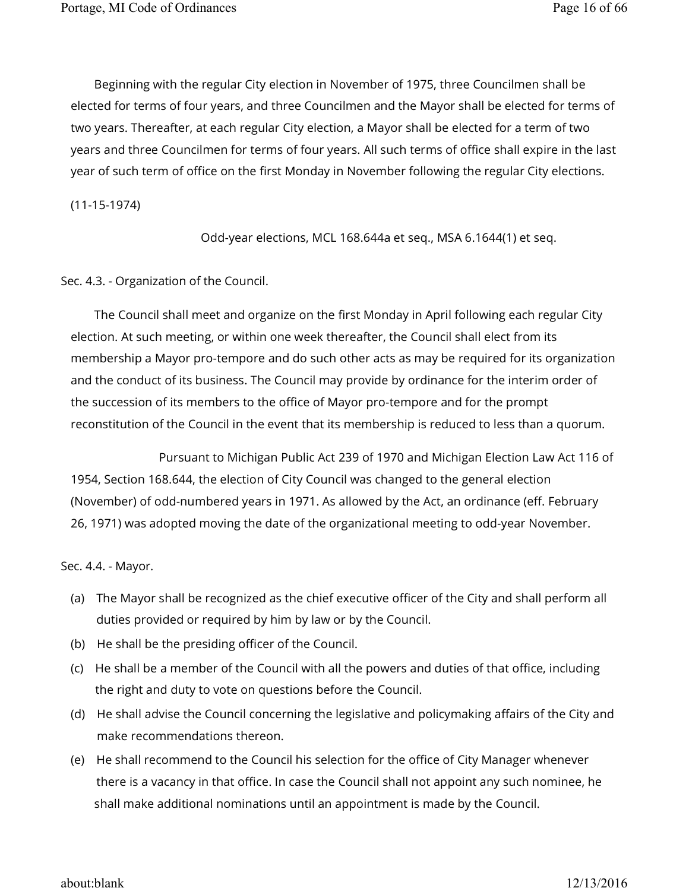Beginning with the regular City election in November of 1975, three Councilmen shall be elected for terms of four years, and three Councilmen and the Mayor shall be elected for terms of two years. Thereafter, at each regular City election, a Mayor shall be elected for a term of two years and three Councilmen for terms of four years. All such terms of office shall expire in the last year of such term of office on the first Monday in November following the regular City elections.

(11-15-1974)

Odd-year elections, MCL 168.644a et seq., MSA 6.1644(1) et seq.

Sec. 4.3. - Organization of the Council.

The Council shall meet and organize on the first Monday in April following each regular City election. At such meeting, or within one week thereafter, the Council shall elect from its membership a Mayor pro-tempore and do such other acts as may be required for its organization and the conduct of its business. The Council may provide by ordinance for the interim order of the succession of its members to the office of Mayor pro-tempore and for the prompt reconstitution of the Council in the event that its membership is reduced to less than a quorum.

 Pursuant to Michigan Public Act 239 of 1970 and Michigan Election Law Act 116 of 1954, Section 168.644, the election of City Council was changed to the general election (November) of odd-numbered years in 1971. As allowed by the Act, an ordinance (eff. February 26, 1971) was adopted moving the date of the organizational meeting to odd-year November.

Sec. 4.4. - Mayor.

- (a) The Mayor shall be recognized as the chief executive officer of the City and shall perform all duties provided or required by him by law or by the Council.
- (b) He shall be the presiding officer of the Council.
- (c) He shall be a member of the Council with all the powers and duties of that office, including the right and duty to vote on questions before the Council.
- (d) He shall advise the Council concerning the legislative and policymaking affairs of the City and make recommendations thereon.
- (e) He shall recommend to the Council his selection for the office of City Manager whenever there is a vacancy in that office. In case the Council shall not appoint any such nominee, he shall make additional nominations until an appointment is made by the Council.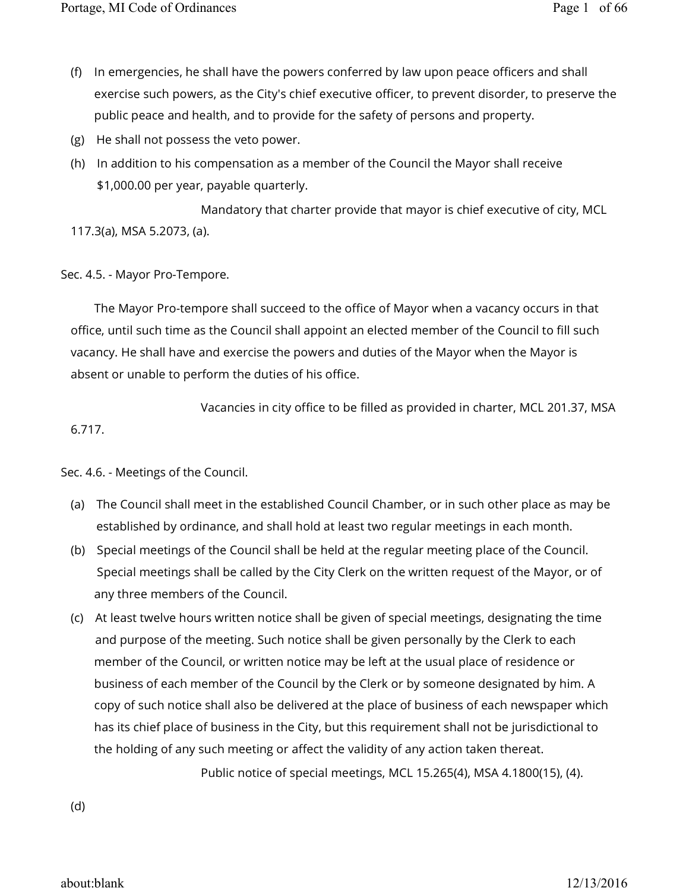- (f) In emergencies, he shall have the powers conferred by law upon peace officers and shall exercise such powers, as the City's chief executive officer, to prevent disorder, to preserve the public peace and health, and to provide for the safety of persons and property.
- (g) He shall not possess the veto power.
- (h) In addition to his compensation as a member of the Council the Mayor shall receive \$1,000.00 per year, payable quarterly.

 Mandatory that charter provide that mayor is chief executive of city, MCL 117.3(a), MSA 5.2073, (a).

# Sec. 4.5. - Mayor Pro-Tempore.

The Mayor Pro-tempore shall succeed to the office of Mayor when a vacancy occurs in that office, until such time as the Council shall appoint an elected member of the Council to fill such vacancy. He shall have and exercise the powers and duties of the Mayor when the Mayor is absent or unable to perform the duties of his office.

 Vacancies in city office to be filled as provided in charter, MCL 201.37, MSA 6.717.

Sec. 4.6. - Meetings of the Council.

- (a) The Council shall meet in the established Council Chamber, or in such other place as may be established by ordinance, and shall hold at least two regular meetings in each month.
- (b) Special meetings of the Council shall be held at the regular meeting place of the Council. Special meetings shall be called by the City Clerk on the written request of the Mayor, or of any three members of the Council.
- (c) At least twelve hours written notice shall be given of special meetings, designating the time and purpose of the meeting. Such notice shall be given personally by the Clerk to each member of the Council, or written notice may be left at the usual place of residence or business of each member of the Council by the Clerk or by someone designated by him. A copy of such notice shall also be delivered at the place of business of each newspaper which has its chief place of business in the City, but this requirement shall not be jurisdictional to the holding of any such meeting or affect the validity of any action taken thereat.

Public notice of special meetings, MCL 15.265(4), MSA 4.1800(15), (4).

(d)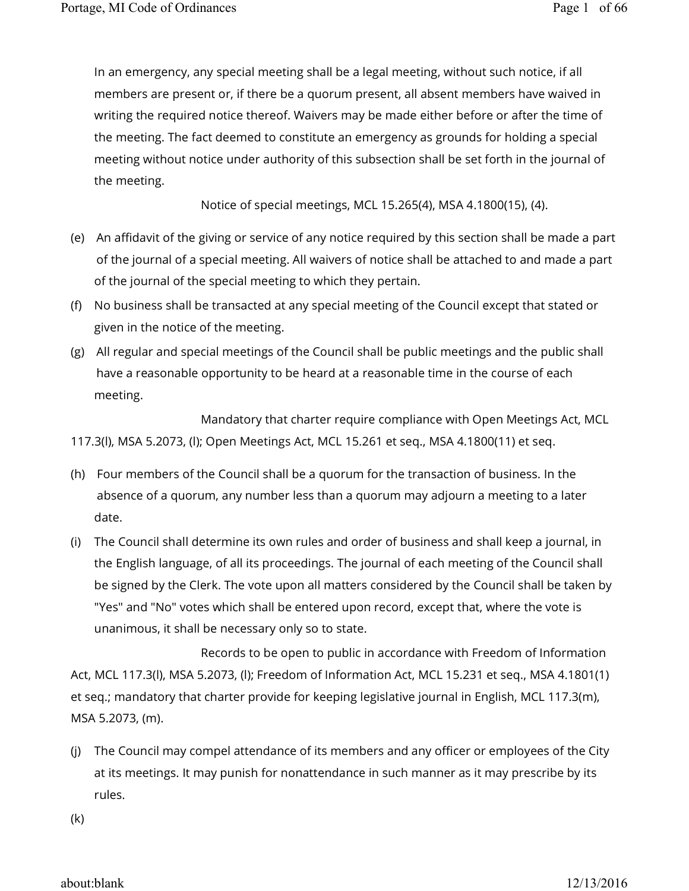In an emergency, any special meeting shall be a legal meeting, without such notice, if all members are present or, if there be a quorum present, all absent members have waived in writing the required notice thereof. Waivers may be made either before or after the time of the meeting. The fact deemed to constitute an emergency as grounds for holding a special meeting without notice under authority of this subsection shall be set forth in the journal of the meeting.

Notice of special meetings, MCL 15.265(4), MSA 4.1800(15), (4).

- (e) An affidavit of the giving or service of any notice required by this section shall be made a part of the journal of a special meeting. All waivers of notice shall be attached to and made a part of the journal of the special meeting to which they pertain.
- (f) No business shall be transacted at any special meeting of the Council except that stated or given in the notice of the meeting.
- (g) All regular and special meetings of the Council shall be public meetings and the public shall have a reasonable opportunity to be heard at a reasonable time in the course of each meeting.

 Mandatory that charter require compliance with Open Meetings Act, MCL 117.3(l), MSA 5.2073, (l); Open Meetings Act, MCL 15.261 et seq., MSA 4.1800(11) et seq.

- (h) Four members of the Council shall be a quorum for the transaction of business. In the absence of a quorum, any number less than a quorum may adjourn a meeting to a later date.
- (i) The Council shall determine its own rules and order of business and shall keep a journal, in the English language, of all its proceedings. The journal of each meeting of the Council shall be signed by the Clerk. The vote upon all matters considered by the Council shall be taken by "Yes" and "No" votes which shall be entered upon record, except that, where the vote is unanimous, it shall be necessary only so to state.

 Records to be open to public in accordance with Freedom of Information Act, MCL 117.3(l), MSA 5.2073, (l); Freedom of Information Act, MCL 15.231 et seq., MSA 4.1801(1) et seq.; mandatory that charter provide for keeping legislative journal in English, MCL 117.3(m), MSA 5.2073, (m).

(j) The Council may compel attendance of its members and any officer or employees of the City at its meetings. It may punish for nonattendance in such manner as it may prescribe by its rules.

(k)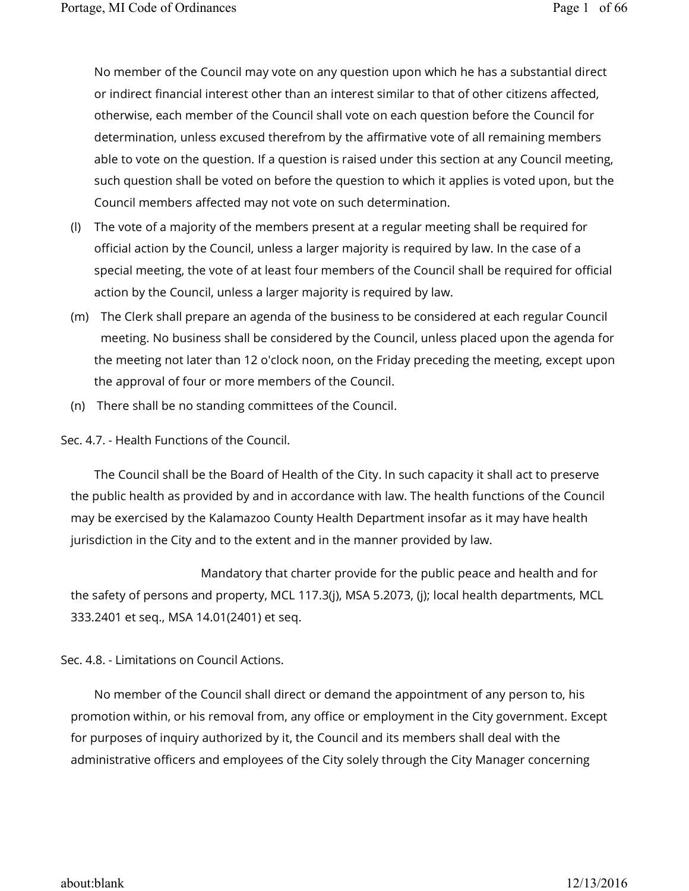No member of the Council may vote on any question upon which he has a substantial direct or indirect financial interest other than an interest similar to that of other citizens affected, otherwise, each member of the Council shall vote on each question before the Council for determination, unless excused therefrom by the affirmative vote of all remaining members able to vote on the question. If a question is raised under this section at any Council meeting, such question shall be voted on before the question to which it applies is voted upon, but the Council members affected may not vote on such determination.

- (l) The vote of a majority of the members present at a regular meeting shall be required for official action by the Council, unless a larger majority is required by law. In the case of a special meeting, the vote of at least four members of the Council shall be required for official action by the Council, unless a larger majority is required by law.
- (m) The Clerk shall prepare an agenda of the business to be considered at each regular Council meeting. No business shall be considered by the Council, unless placed upon the agenda for the meeting not later than 12 o'clock noon, on the Friday preceding the meeting, except upon the approval of four or more members of the Council.
- (n) There shall be no standing committees of the Council.

Sec. 4.7. - Health Functions of the Council.

The Council shall be the Board of Health of the City. In such capacity it shall act to preserve the public health as provided by and in accordance with law. The health functions of the Council may be exercised by the Kalamazoo County Health Department insofar as it may have health jurisdiction in the City and to the extent and in the manner provided by law.

 Mandatory that charter provide for the public peace and health and for the safety of persons and property, MCL 117.3(j), MSA 5.2073, (j); local health departments, MCL 333.2401 et seq., MSA 14.01(2401) et seq.

Sec. 4.8. - Limitations on Council Actions.

No member of the Council shall direct or demand the appointment of any person to, his promotion within, or his removal from, any office or employment in the City government. Except for purposes of inquiry authorized by it, the Council and its members shall deal with the administrative officers and employees of the City solely through the City Manager concerning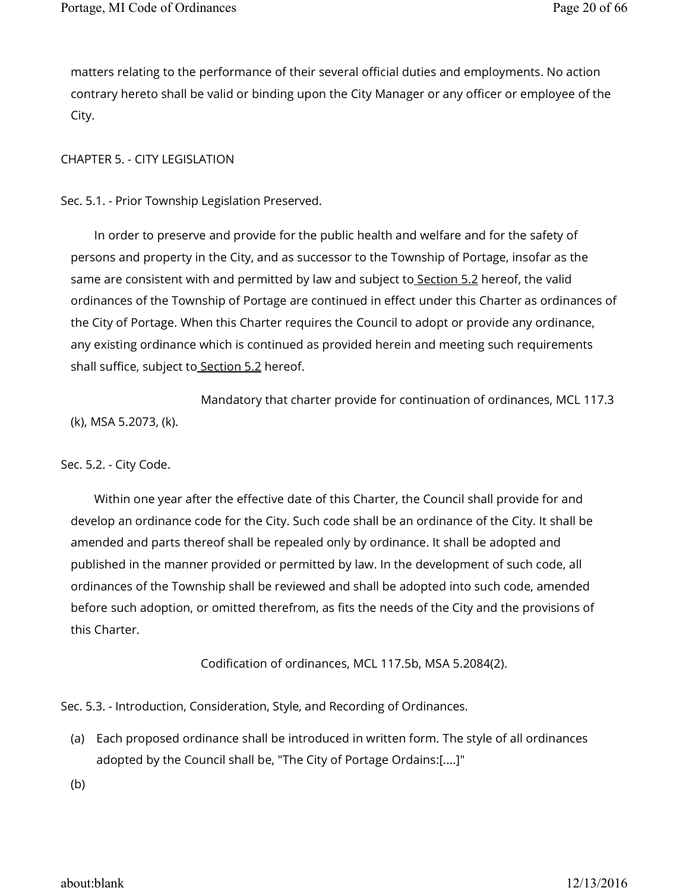matters relating to the performance of their several official duties and employments. No action contrary hereto shall be valid or binding upon the City Manager or any officer or employee of the City.

### CHAPTER 5. - CITY LEGISLATION

Sec. 5.1. - Prior Township Legislation Preserved.

In order to preserve and provide for the public health and welfare and for the safety of persons and property in the City, and as successor to the Township of Portage, insofar as the same are consistent with and permitted by law and subject to Section 5.2 hereof, the valid ordinances of the Township of Portage are continued in effect under this Charter as ordinances of the City of Portage. When this Charter requires the Council to adopt or provide any ordinance, any existing ordinance which is continued as provided herein and meeting such requirements shall suffice, subject to Section 5.2 hereof.

 Mandatory that charter provide for continuation of ordinances, MCL 117.3 (k), MSA 5.2073, (k).

#### Sec. 5.2. - City Code.

Within one year after the effective date of this Charter, the Council shall provide for and develop an ordinance code for the City. Such code shall be an ordinance of the City. It shall be amended and parts thereof shall be repealed only by ordinance. It shall be adopted and published in the manner provided or permitted by law. In the development of such code, all ordinances of the Township shall be reviewed and shall be adopted into such code, amended before such adoption, or omitted therefrom, as fits the needs of the City and the provisions of this Charter.

Codification of ordinances, MCL 117.5b, MSA 5.2084(2).

Sec. 5.3. - Introduction, Consideration, Style, and Recording of Ordinances.

(a) Each proposed ordinance shall be introduced in written form. The style of all ordinances adopted by the Council shall be, "The City of Portage Ordains:[....]"

(b)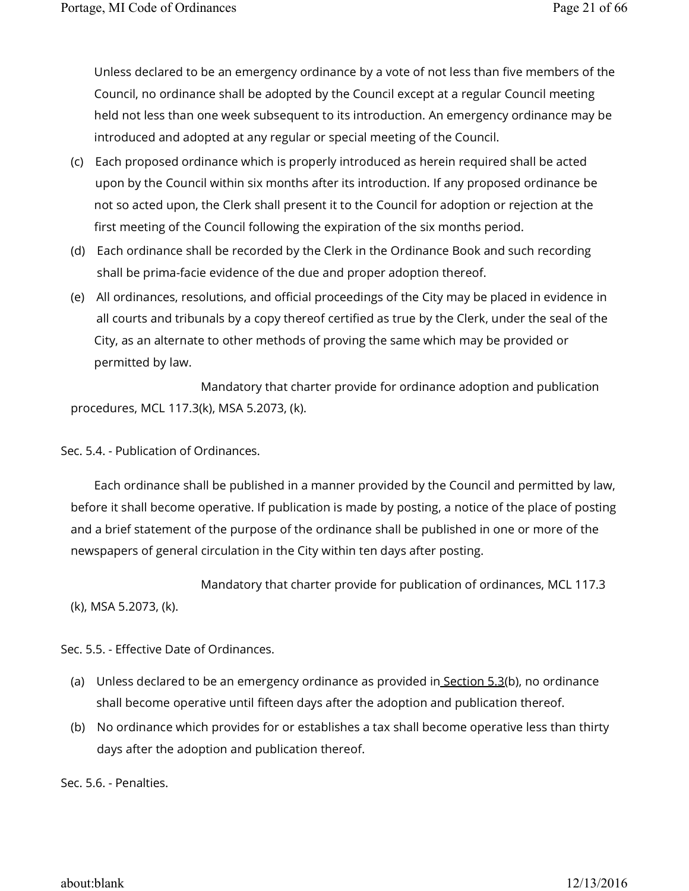Unless declared to be an emergency ordinance by a vote of not less than five members of the Council, no ordinance shall be adopted by the Council except at a regular Council meeting held not less than one week subsequent to its introduction. An emergency ordinance may be introduced and adopted at any regular or special meeting of the Council.

- (c) Each proposed ordinance which is properly introduced as herein required shall be acted upon by the Council within six months after its introduction. If any proposed ordinance be not so acted upon, the Clerk shall present it to the Council for adoption or rejection at the first meeting of the Council following the expiration of the six months period.
- (d) Each ordinance shall be recorded by the Clerk in the Ordinance Book and such recording shall be prima-facie evidence of the due and proper adoption thereof.
- (e) All ordinances, resolutions, and official proceedings of the City may be placed in evidence in all courts and tribunals by a copy thereof certified as true by the Clerk, under the seal of the City, as an alternate to other methods of proving the same which may be provided or permitted by law.

 Mandatory that charter provide for ordinance adoption and publication procedures, MCL 117.3(k), MSA 5.2073, (k).

Sec. 5.4. - Publication of Ordinances.

Each ordinance shall be published in a manner provided by the Council and permitted by law, before it shall become operative. If publication is made by posting, a notice of the place of posting and a brief statement of the purpose of the ordinance shall be published in one or more of the newspapers of general circulation in the City within ten days after posting.

Mandatory that charter provide for publication of ordinances, MCL 117.3

(k), MSA 5.2073, (k).

Sec. 5.5. - Effective Date of Ordinances.

- (a) Unless declared to be an emergency ordinance as provided in Section 5.3(b), no ordinance shall become operative until fifteen days after the adoption and publication thereof.
- (b) No ordinance which provides for or establishes a tax shall become operative less than thirty days after the adoption and publication thereof.

Sec. 5.6. - Penalties.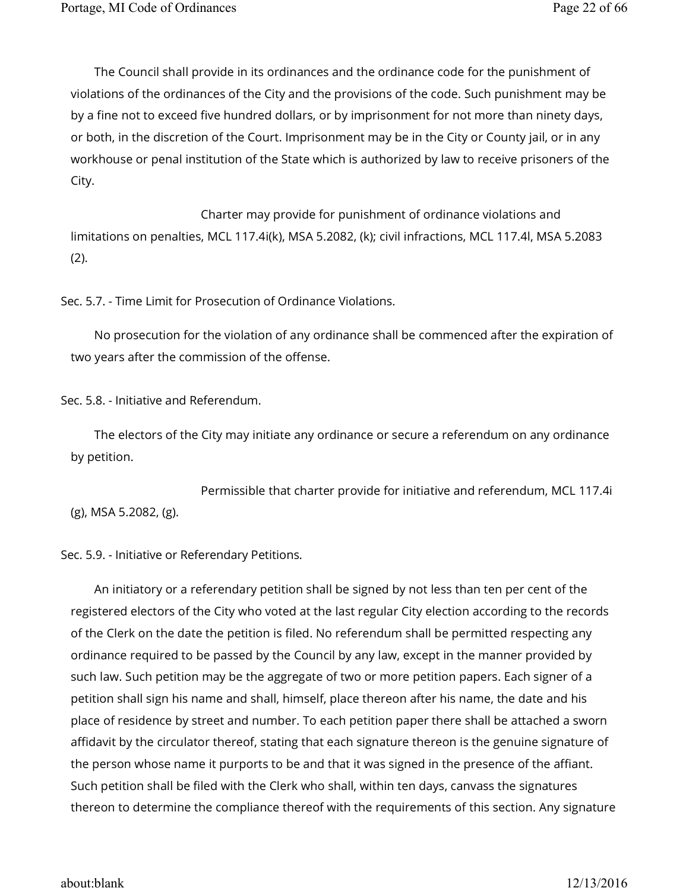The Council shall provide in its ordinances and the ordinance code for the punishment of violations of the ordinances of the City and the provisions of the code. Such punishment may be by a fine not to exceed five hundred dollars, or by imprisonment for not more than ninety days, or both, in the discretion of the Court. Imprisonment may be in the City or County jail, or in any workhouse or penal institution of the State which is authorized by law to receive prisoners of the City.

 Charter may provide for punishment of ordinance violations and limitations on penalties, MCL 117.4i(k), MSA 5.2082, (k); civil infractions, MCL 117.4l, MSA 5.2083 (2).

Sec. 5.7. - Time Limit for Prosecution of Ordinance Violations.

No prosecution for the violation of any ordinance shall be commenced after the expiration of two years after the commission of the offense.

Sec. 5.8. - Initiative and Referendum.

The electors of the City may initiate any ordinance or secure a referendum on any ordinance by petition.

 Permissible that charter provide for initiative and referendum, MCL 117.4i (g), MSA 5.2082, (g).

Sec. 5.9. - Initiative or Referendary Petitions.

An initiatory or a referendary petition shall be signed by not less than ten per cent of the registered electors of the City who voted at the last regular City election according to the records of the Clerk on the date the petition is filed. No referendum shall be permitted respecting any ordinance required to be passed by the Council by any law, except in the manner provided by such law. Such petition may be the aggregate of two or more petition papers. Each signer of a petition shall sign his name and shall, himself, place thereon after his name, the date and his place of residence by street and number. To each petition paper there shall be attached a sworn affidavit by the circulator thereof, stating that each signature thereon is the genuine signature of the person whose name it purports to be and that it was signed in the presence of the affiant. Such petition shall be filed with the Clerk who shall, within ten days, canvass the signatures thereon to determine the compliance thereof with the requirements of this section. Any signature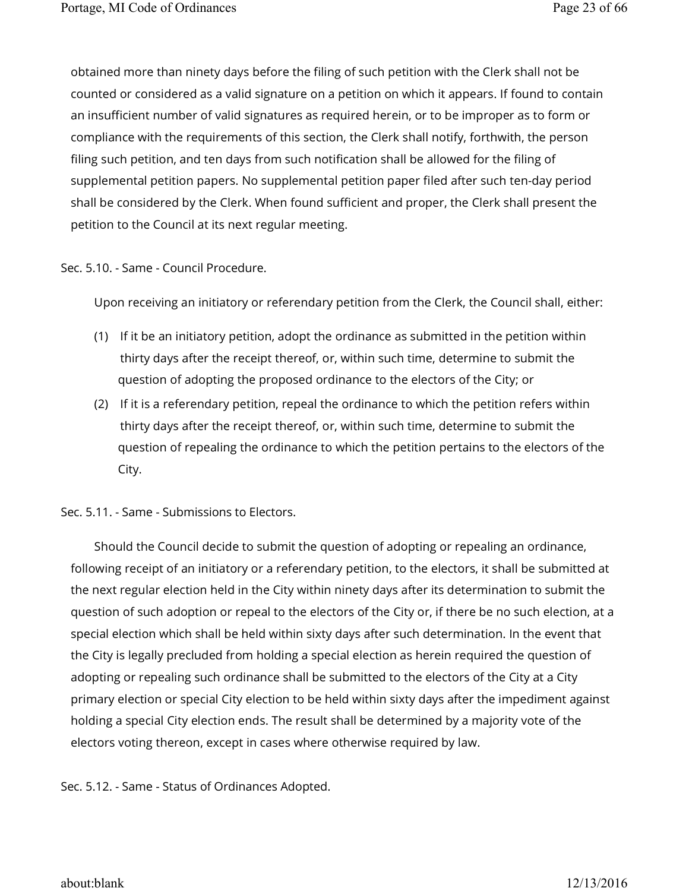obtained more than ninety days before the filing of such petition with the Clerk shall not be counted or considered as a valid signature on a petition on which it appears. If found to contain an insufficient number of valid signatures as required herein, or to be improper as to form or compliance with the requirements of this section, the Clerk shall notify, forthwith, the person filing such petition, and ten days from such notification shall be allowed for the filing of supplemental petition papers. No supplemental petition paper filed after such ten-day period shall be considered by the Clerk. When found sufficient and proper, the Clerk shall present the petition to the Council at its next regular meeting.

# Sec. 5.10. - Same - Council Procedure.

Upon receiving an initiatory or referendary petition from the Clerk, the Council shall, either:

- (1) If it be an initiatory petition, adopt the ordinance as submitted in the petition within thirty days after the receipt thereof, or, within such time, determine to submit the question of adopting the proposed ordinance to the electors of the City; or
- (2) If it is a referendary petition, repeal the ordinance to which the petition refers within thirty days after the receipt thereof, or, within such time, determine to submit the question of repealing the ordinance to which the petition pertains to the electors of the City.

Sec. 5.11. - Same - Submissions to Electors.

Should the Council decide to submit the question of adopting or repealing an ordinance, following receipt of an initiatory or a referendary petition, to the electors, it shall be submitted at the next regular election held in the City within ninety days after its determination to submit the question of such adoption or repeal to the electors of the City or, if there be no such election, at a special election which shall be held within sixty days after such determination. In the event that the City is legally precluded from holding a special election as herein required the question of adopting or repealing such ordinance shall be submitted to the electors of the City at a City primary election or special City election to be held within sixty days after the impediment against holding a special City election ends. The result shall be determined by a majority vote of the electors voting thereon, except in cases where otherwise required by law.

Sec. 5.12. - Same - Status of Ordinances Adopted.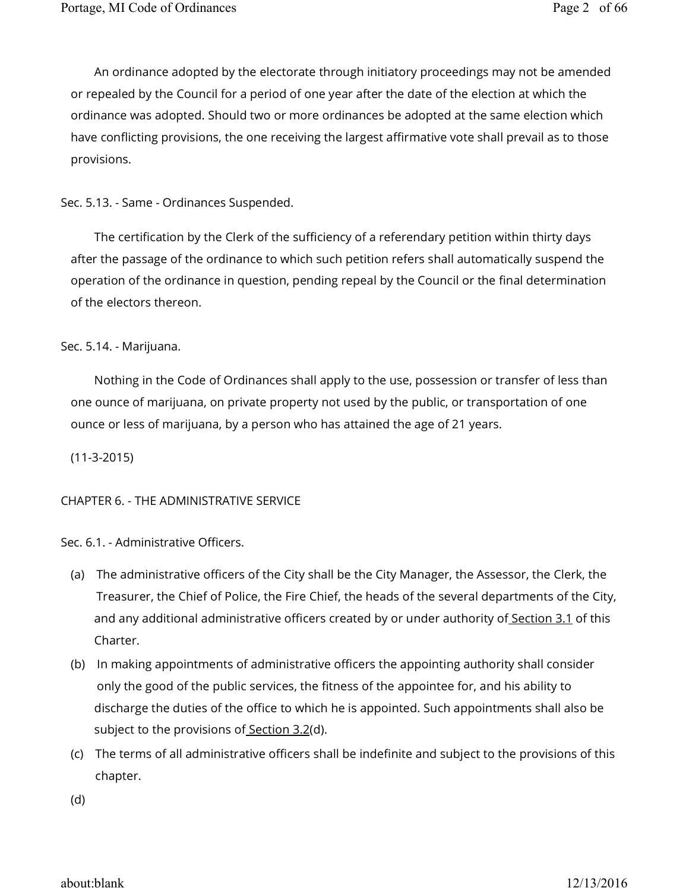An ordinance adopted by the electorate through initiatory proceedings may not be amended or repealed by the Council for a period of one year after the date of the election at which the ordinance was adopted. Should two or more ordinances be adopted at the same election which have conflicting provisions, the one receiving the largest affirmative vote shall prevail as to those provisions.

Sec. 5.13. - Same - Ordinances Suspended.

The certification by the Clerk of the sufficiency of a referendary petition within thirty days after the passage of the ordinance to which such petition refers shall automatically suspend the operation of the ordinance in question, pending repeal by the Council or the final determination of the electors thereon.

Sec. 5.14. - Marijuana.

Nothing in the Code of Ordinances shall apply to the use, possession or transfer of less than one ounce of marijuana, on private property not used by the public, or transportation of one ounce or less of marijuana, by a person who has attained the age of 21 years.

(11-3-2015)

CHAPTER 6. - THE ADMINISTRATIVE SERVICE

Sec. 6.1. - Administrative Officers.

- (a) The administrative officers of the City shall be the City Manager, the Assessor, the Clerk, the Treasurer, the Chief of Police, the Fire Chief, the heads of the several departments of the City, and any additional administrative officers created by or under authority of Section 3.1 of this Charter.
- (b) In making appointments of administrative officers the appointing authority shall consider only the good of the public services, the fitness of the appointee for, and his ability to discharge the duties of the office to which he is appointed. Such appointments shall also be subject to the provisions of Section 3.2(d).
- (c) The terms of all administrative officers shall be indefinite and subject to the provisions of this chapter.

(d)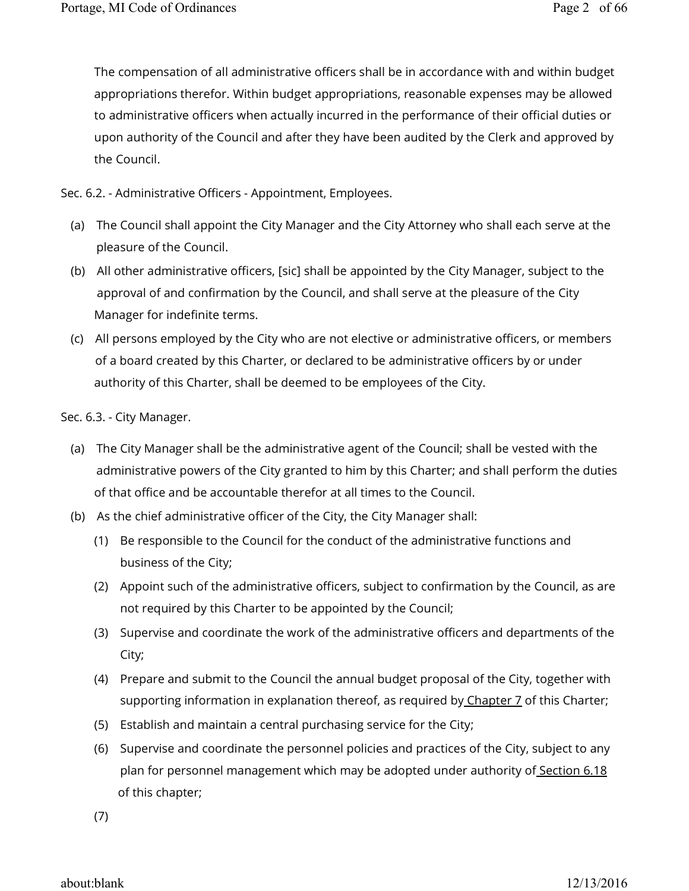The compensation of all administrative officers shall be in accordance with and within budget appropriations therefor. Within budget appropriations, reasonable expenses may be allowed to administrative officers when actually incurred in the performance of their official duties or upon authority of the Council and after they have been audited by the Clerk and approved by the Council.

Sec. 6.2. - Administrative Officers - Appointment, Employees.

- (a) The Council shall appoint the City Manager and the City Attorney who shall each serve at the pleasure of the Council.
- (b) All other administrative officers, [sic] shall be appointed by the City Manager, subject to the approval of and confirmation by the Council, and shall serve at the pleasure of the City Manager for indefinite terms.
- (c) All persons employed by the City who are not elective or administrative officers, or members of a board created by this Charter, or declared to be administrative officers by or under authority of this Charter, shall be deemed to be employees of the City.

Sec. 6.3. - City Manager.

- (a) The City Manager shall be the administrative agent of the Council; shall be vested with the administrative powers of the City granted to him by this Charter; and shall perform the duties of that office and be accountable therefor at all times to the Council.
- (b) As the chief administrative officer of the City, the City Manager shall:
	- (1) Be responsible to the Council for the conduct of the administrative functions and business of the City;
	- (2) Appoint such of the administrative officers, subject to confirmation by the Council, as are not required by this Charter to be appointed by the Council;
	- (3) Supervise and coordinate the work of the administrative officers and departments of the City;
	- (4) Prepare and submit to the Council the annual budget proposal of the City, together with supporting information in explanation thereof, as required by Chapter 7 of this Charter;
	- (5) Establish and maintain a central purchasing service for the City;
	- (6) Supervise and coordinate the personnel policies and practices of the City, subject to any plan for personnel management which may be adopted under authority of Section 6.18 of this chapter;

(7)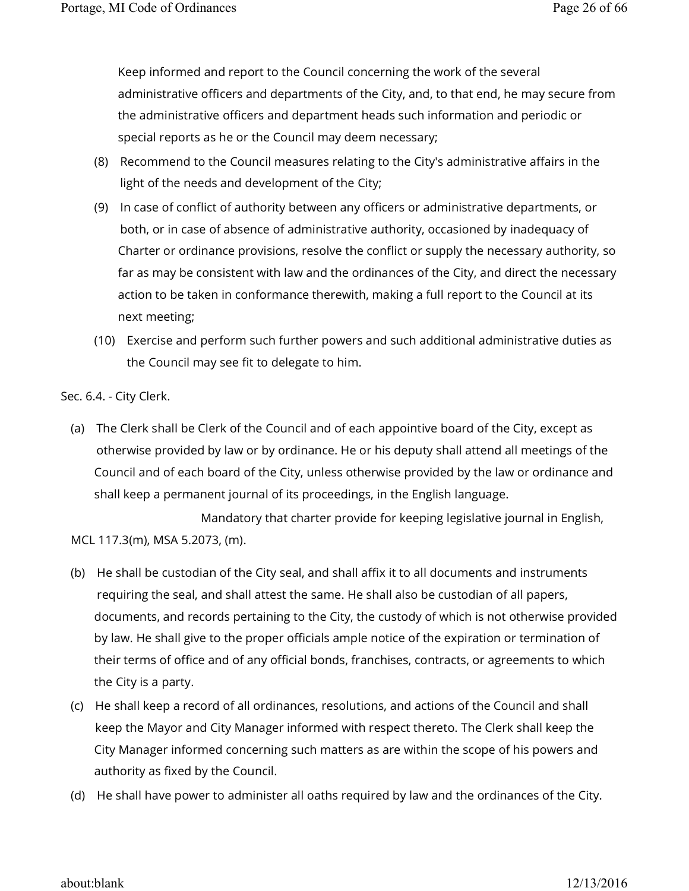Keep informed and report to the Council concerning the work of the several administrative officers and departments of the City, and, to that end, he may secure from the administrative officers and department heads such information and periodic or special reports as he or the Council may deem necessary;

- (8) Recommend to the Council measures relating to the City's administrative affairs in the light of the needs and development of the City;
- (9) In case of conflict of authority between any officers or administrative departments, or both, or in case of absence of administrative authority, occasioned by inadequacy of Charter or ordinance provisions, resolve the conflict or supply the necessary authority, so far as may be consistent with law and the ordinances of the City, and direct the necessary action to be taken in conformance therewith, making a full report to the Council at its next meeting;
- (10) Exercise and perform such further powers and such additional administrative duties as the Council may see fit to delegate to him.

Sec. 6.4. - City Clerk.

(a) The Clerk shall be Clerk of the Council and of each appointive board of the City, except as otherwise provided by law or by ordinance. He or his deputy shall attend all meetings of the Council and of each board of the City, unless otherwise provided by the law or ordinance and shall keep a permanent journal of its proceedings, in the English language.

 Mandatory that charter provide for keeping legislative journal in English, MCL 117.3(m), MSA 5.2073, (m).

- (b) He shall be custodian of the City seal, and shall affix it to all documents and instruments requiring the seal, and shall attest the same. He shall also be custodian of all papers, documents, and records pertaining to the City, the custody of which is not otherwise provided by law. He shall give to the proper officials ample notice of the expiration or termination of their terms of office and of any official bonds, franchises, contracts, or agreements to which the City is a party.
- (c) He shall keep a record of all ordinances, resolutions, and actions of the Council and shall keep the Mayor and City Manager informed with respect thereto. The Clerk shall keep the City Manager informed concerning such matters as are within the scope of his powers and authority as fixed by the Council.
- (d) He shall have power to administer all oaths required by law and the ordinances of the City.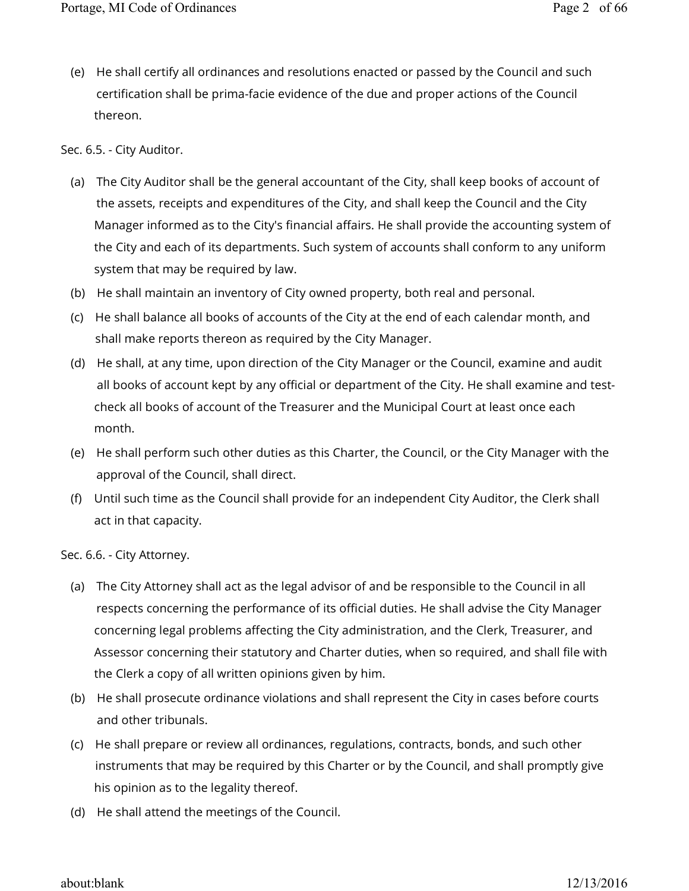(e) He shall certify all ordinances and resolutions enacted or passed by the Council and such certification shall be prima-facie evidence of the due and proper actions of the Council thereon.

### Sec. 6.5. - City Auditor.

- (a) The City Auditor shall be the general accountant of the City, shall keep books of account of the assets, receipts and expenditures of the City, and shall keep the Council and the City Manager informed as to the City's financial affairs. He shall provide the accounting system of the City and each of its departments. Such system of accounts shall conform to any uniform system that may be required by law.
- (b) He shall maintain an inventory of City owned property, both real and personal.
- (c) He shall balance all books of accounts of the City at the end of each calendar month, and shall make reports thereon as required by the City Manager.
- (d) He shall, at any time, upon direction of the City Manager or the Council, examine and audit all books of account kept by any official or department of the City. He shall examine and testcheck all books of account of the Treasurer and the Municipal Court at least once each month.
- (e) He shall perform such other duties as this Charter, the Council, or the City Manager with the approval of the Council, shall direct.
- (f) Until such time as the Council shall provide for an independent City Auditor, the Clerk shall act in that capacity.

Sec. 6.6. - City Attorney.

- (a) The City Attorney shall act as the legal advisor of and be responsible to the Council in all respects concerning the performance of its official duties. He shall advise the City Manager concerning legal problems affecting the City administration, and the Clerk, Treasurer, and Assessor concerning their statutory and Charter duties, when so required, and shall file with the Clerk a copy of all written opinions given by him.
- (b) He shall prosecute ordinance violations and shall represent the City in cases before courts and other tribunals.
- (c) He shall prepare or review all ordinances, regulations, contracts, bonds, and such other instruments that may be required by this Charter or by the Council, and shall promptly give his opinion as to the legality thereof.
- (d) He shall attend the meetings of the Council.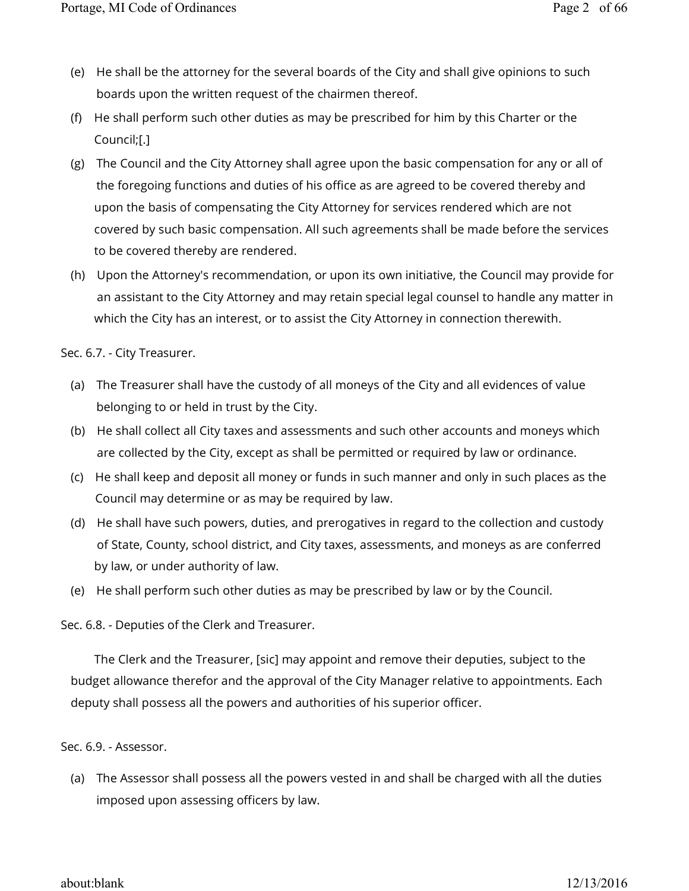- (e) He shall be the attorney for the several boards of the City and shall give opinions to such boards upon the written request of the chairmen thereof.
- (f) He shall perform such other duties as may be prescribed for him by this Charter or the Council;[.]
- (g) The Council and the City Attorney shall agree upon the basic compensation for any or all of the foregoing functions and duties of his office as are agreed to be covered thereby and upon the basis of compensating the City Attorney for services rendered which are not covered by such basic compensation. All such agreements shall be made before the services to be covered thereby are rendered.
- (h) Upon the Attorney's recommendation, or upon its own initiative, the Council may provide for an assistant to the City Attorney and may retain special legal counsel to handle any matter in which the City has an interest, or to assist the City Attorney in connection therewith.

Sec. 6.7. - City Treasurer.

- (a) The Treasurer shall have the custody of all moneys of the City and all evidences of value belonging to or held in trust by the City.
- (b) He shall collect all City taxes and assessments and such other accounts and moneys which are collected by the City, except as shall be permitted or required by law or ordinance.
- (c) He shall keep and deposit all money or funds in such manner and only in such places as the Council may determine or as may be required by law.
- (d) He shall have such powers, duties, and prerogatives in regard to the collection and custody of State, County, school district, and City taxes, assessments, and moneys as are conferred by law, or under authority of law.
- (e) He shall perform such other duties as may be prescribed by law or by the Council.

Sec. 6.8. - Deputies of the Clerk and Treasurer.

The Clerk and the Treasurer, [sic] may appoint and remove their deputies, subject to the budget allowance therefor and the approval of the City Manager relative to appointments. Each deputy shall possess all the powers and authorities of his superior officer.

Sec. 6.9. - Assessor.

(a) The Assessor shall possess all the powers vested in and shall be charged with all the duties imposed upon assessing officers by law.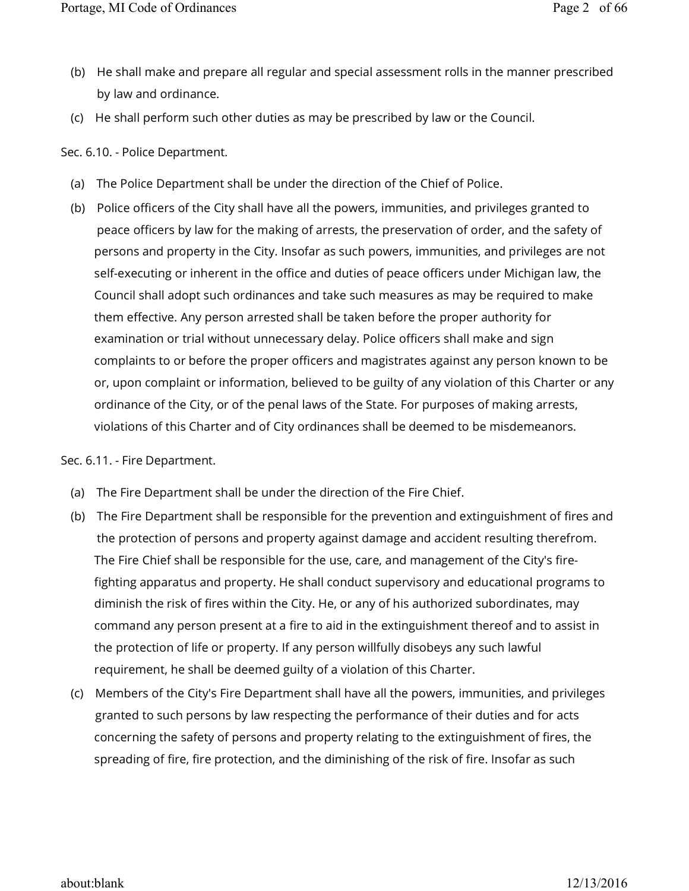- (b) He shall make and prepare all regular and special assessment rolls in the manner prescribed by law and ordinance.
- (c) He shall perform such other duties as may be prescribed by law or the Council.

Sec. 6.10. - Police Department.

- (a) The Police Department shall be under the direction of the Chief of Police.
- (b) Police officers of the City shall have all the powers, immunities, and privileges granted to peace officers by law for the making of arrests, the preservation of order, and the safety of persons and property in the City. Insofar as such powers, immunities, and privileges are not self-executing or inherent in the office and duties of peace officers under Michigan law, the Council shall adopt such ordinances and take such measures as may be required to make them effective. Any person arrested shall be taken before the proper authority for examination or trial without unnecessary delay. Police officers shall make and sign complaints to or before the proper officers and magistrates against any person known to be or, upon complaint or information, believed to be guilty of any violation of this Charter or any ordinance of the City, or of the penal laws of the State. For purposes of making arrests, violations of this Charter and of City ordinances shall be deemed to be misdemeanors.

Sec. 6.11. - Fire Department.

- (a) The Fire Department shall be under the direction of the Fire Chief.
- (b) The Fire Department shall be responsible for the prevention and extinguishment of fires and the protection of persons and property against damage and accident resulting therefrom. The Fire Chief shall be responsible for the use, care, and management of the City's firefighting apparatus and property. He shall conduct supervisory and educational programs to diminish the risk of fires within the City. He, or any of his authorized subordinates, may command any person present at a fire to aid in the extinguishment thereof and to assist in the protection of life or property. If any person willfully disobeys any such lawful requirement, he shall be deemed guilty of a violation of this Charter.
- (c) Members of the City's Fire Department shall have all the powers, immunities, and privileges granted to such persons by law respecting the performance of their duties and for acts concerning the safety of persons and property relating to the extinguishment of fires, the spreading of fire, fire protection, and the diminishing of the risk of fire. Insofar as such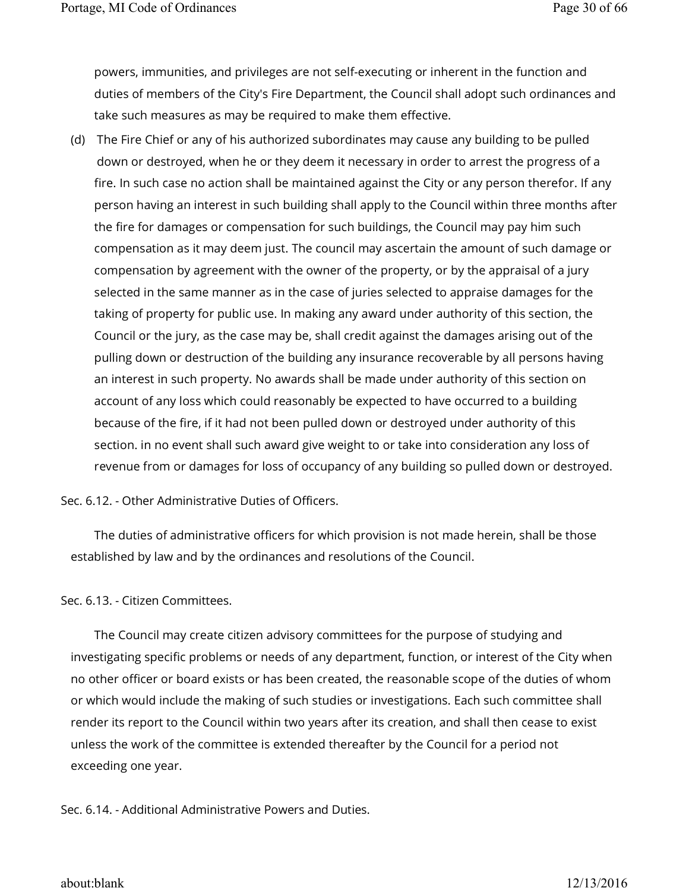powers, immunities, and privileges are not self-executing or inherent in the function and duties of members of the City's Fire Department, the Council shall adopt such ordinances and take such measures as may be required to make them effective.

(d) The Fire Chief or any of his authorized subordinates may cause any building to be pulled down or destroyed, when he or they deem it necessary in order to arrest the progress of a fire. In such case no action shall be maintained against the City or any person therefor. If any person having an interest in such building shall apply to the Council within three months after the fire for damages or compensation for such buildings, the Council may pay him such compensation as it may deem just. The council may ascertain the amount of such damage or compensation by agreement with the owner of the property, or by the appraisal of a jury selected in the same manner as in the case of juries selected to appraise damages for the taking of property for public use. In making any award under authority of this section, the Council or the jury, as the case may be, shall credit against the damages arising out of the pulling down or destruction of the building any insurance recoverable by all persons having an interest in such property. No awards shall be made under authority of this section on account of any loss which could reasonably be expected to have occurred to a building because of the fire, if it had not been pulled down or destroyed under authority of this section. in no event shall such award give weight to or take into consideration any loss of revenue from or damages for loss of occupancy of any building so pulled down or destroyed.

Sec. 6.12. - Other Administrative Duties of Officers.

The duties of administrative officers for which provision is not made herein, shall be those established by law and by the ordinances and resolutions of the Council.

# Sec. 6.13. - Citizen Committees.

The Council may create citizen advisory committees for the purpose of studying and investigating specific problems or needs of any department, function, or interest of the City when no other officer or board exists or has been created, the reasonable scope of the duties of whom or which would include the making of such studies or investigations. Each such committee shall render its report to the Council within two years after its creation, and shall then cease to exist unless the work of the committee is extended thereafter by the Council for a period not exceeding one year.

Sec. 6.14. - Additional Administrative Powers and Duties.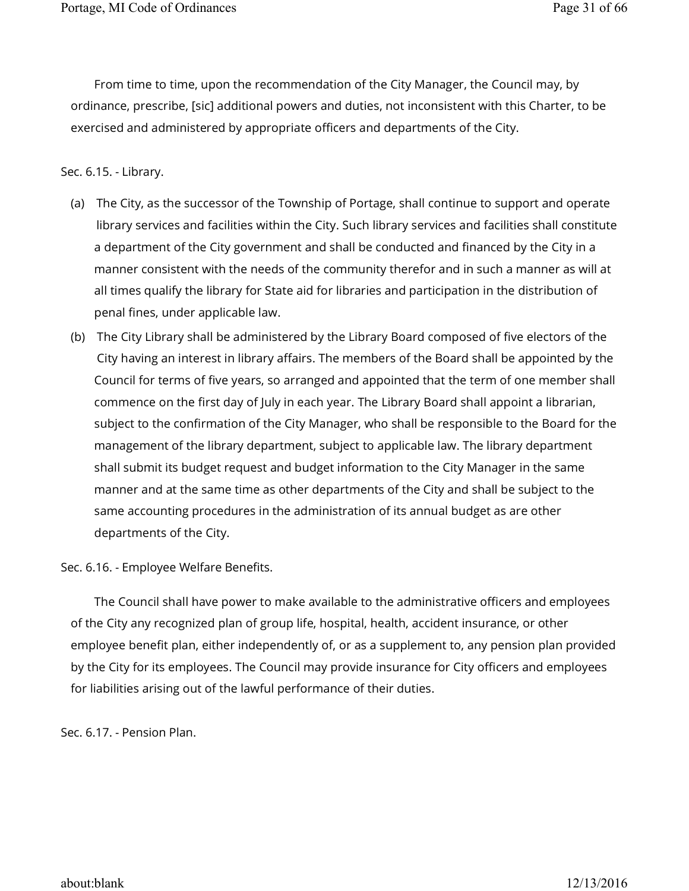From time to time, upon the recommendation of the City Manager, the Council may, by ordinance, prescribe, [sic] additional powers and duties, not inconsistent with this Charter, to be exercised and administered by appropriate officers and departments of the City.

#### Sec. 6.15. - Library.

- (a) The City, as the successor of the Township of Portage, shall continue to support and operate library services and facilities within the City. Such library services and facilities shall constitute a department of the City government and shall be conducted and financed by the City in a manner consistent with the needs of the community therefor and in such a manner as will at all times qualify the library for State aid for libraries and participation in the distribution of penal fines, under applicable law.
- (b) The City Library shall be administered by the Library Board composed of five electors of the City having an interest in library affairs. The members of the Board shall be appointed by the Council for terms of five years, so arranged and appointed that the term of one member shall commence on the first day of July in each year. The Library Board shall appoint a librarian, subject to the confirmation of the City Manager, who shall be responsible to the Board for the management of the library department, subject to applicable law. The library department shall submit its budget request and budget information to the City Manager in the same manner and at the same time as other departments of the City and shall be subject to the same accounting procedures in the administration of its annual budget as are other departments of the City.

Sec. 6.16. - Employee Welfare Benefits.

The Council shall have power to make available to the administrative officers and employees of the City any recognized plan of group life, hospital, health, accident insurance, or other employee benefit plan, either independently of, or as a supplement to, any pension plan provided by the City for its employees. The Council may provide insurance for City officers and employees for liabilities arising out of the lawful performance of their duties.

Sec. 6.17. - Pension Plan.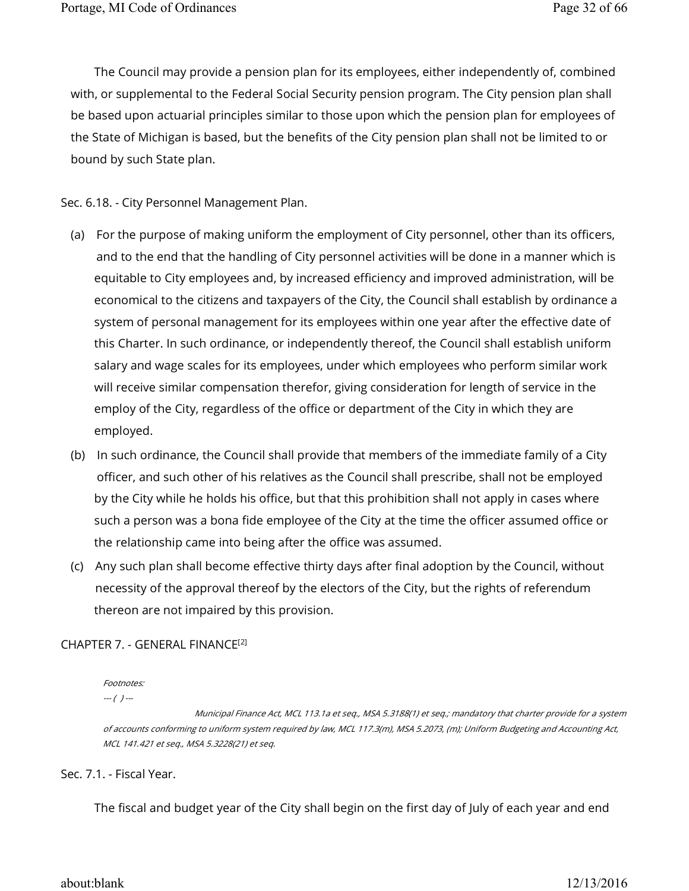The Council may provide a pension plan for its employees, either independently of, combined with, or supplemental to the Federal Social Security pension program. The City pension plan shall be based upon actuarial principles similar to those upon which the pension plan for employees of the State of Michigan is based, but the benefits of the City pension plan shall not be limited to or bound by such State plan.

Sec. 6.18. - City Personnel Management Plan.

- (a) For the purpose of making uniform the employment of City personnel, other than its officers, and to the end that the handling of City personnel activities will be done in a manner which is equitable to City employees and, by increased efficiency and improved administration, will be economical to the citizens and taxpayers of the City, the Council shall establish by ordinance a system of personal management for its employees within one year after the effective date of this Charter. In such ordinance, or independently thereof, the Council shall establish uniform salary and wage scales for its employees, under which employees who perform similar work will receive similar compensation therefor, giving consideration for length of service in the employ of the City, regardless of the office or department of the City in which they are employed.
- (b) In such ordinance, the Council shall provide that members of the immediate family of a City officer, and such other of his relatives as the Council shall prescribe, shall not be employed by the City while he holds his office, but that this prohibition shall not apply in cases where such a person was a bona fide employee of the City at the time the officer assumed office or the relationship came into being after the office was assumed.
- (c) Any such plan shall become effective thirty days after final adoption by the Council, without necessity of the approval thereof by the electors of the City, but the rights of referendum thereon are not impaired by this provision.

# CHAPTER 7. - GENERAL FINANCE [2]

Footnotes:

 $-(-)$  ---

 Municipal Finance Act, MCL 113.1a et seq., MSA 5.3188(1) et seq.; mandatory that charter provide for a system of accounts conforming to uniform system required by law, MCL 117.3(m), MSA 5.2073, (m); Uniform Budgeting and Accounting Act, MCL 141.421 et seq., MSA 5.3228(21) et seq.

Sec. 7.1. - Fiscal Year.

The fiscal and budget year of the City shall begin on the first day of July of each year and end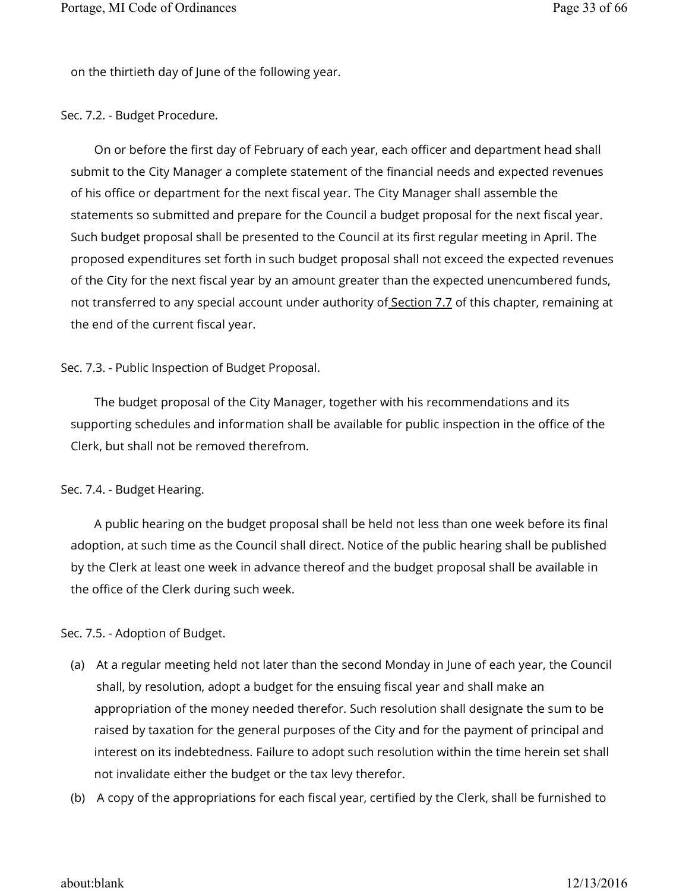on the thirtieth day of June of the following year.

#### Sec. 7.2. - Budget Procedure.

On or before the first day of February of each year, each officer and department head shall submit to the City Manager a complete statement of the financial needs and expected revenues of his office or department for the next fiscal year. The City Manager shall assemble the statements so submitted and prepare for the Council a budget proposal for the next fiscal year. Such budget proposal shall be presented to the Council at its first regular meeting in April. The proposed expenditures set forth in such budget proposal shall not exceed the expected revenues of the City for the next fiscal year by an amount greater than the expected unencumbered funds, not transferred to any special account under authority of Section 7.7 of this chapter, remaining at the end of the current fiscal year.

### Sec. 7.3. - Public Inspection of Budget Proposal.

The budget proposal of the City Manager, together with his recommendations and its supporting schedules and information shall be available for public inspection in the office of the Clerk, but shall not be removed therefrom.

#### Sec. 7.4. - Budget Hearing.

A public hearing on the budget proposal shall be held not less than one week before its final adoption, at such time as the Council shall direct. Notice of the public hearing shall be published by the Clerk at least one week in advance thereof and the budget proposal shall be available in the office of the Clerk during such week.

# Sec. 7.5. - Adoption of Budget.

- (a) At a regular meeting held not later than the second Monday in June of each year, the Council shall, by resolution, adopt a budget for the ensuing fiscal year and shall make an appropriation of the money needed therefor. Such resolution shall designate the sum to be raised by taxation for the general purposes of the City and for the payment of principal and interest on its indebtedness. Failure to adopt such resolution within the time herein set shall not invalidate either the budget or the tax levy therefor.
- (b) A copy of the appropriations for each fiscal year, certified by the Clerk, shall be furnished to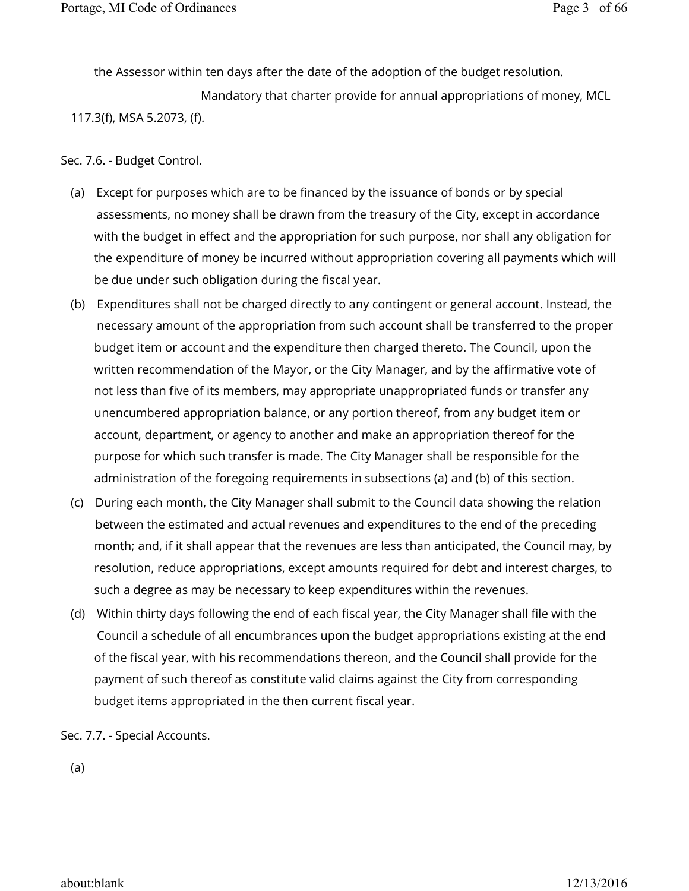the Assessor within ten days after the date of the adoption of the budget resolution.

 Mandatory that charter provide for annual appropriations of money, MCL 117.3(f), MSA 5.2073, (f).

Sec. 7.6. - Budget Control.

- (a) Except for purposes which are to be financed by the issuance of bonds or by special assessments, no money shall be drawn from the treasury of the City, except in accordance with the budget in effect and the appropriation for such purpose, nor shall any obligation for the expenditure of money be incurred without appropriation covering all payments which will be due under such obligation during the fiscal year.
- (b) Expenditures shall not be charged directly to any contingent or general account. Instead, the necessary amount of the appropriation from such account shall be transferred to the proper budget item or account and the expenditure then charged thereto. The Council, upon the written recommendation of the Mayor, or the City Manager, and by the affirmative vote of not less than five of its members, may appropriate unappropriated funds or transfer any unencumbered appropriation balance, or any portion thereof, from any budget item or account, department, or agency to another and make an appropriation thereof for the purpose for which such transfer is made. The City Manager shall be responsible for the administration of the foregoing requirements in subsections (a) and (b) of this section.
- (c) During each month, the City Manager shall submit to the Council data showing the relation between the estimated and actual revenues and expenditures to the end of the preceding month; and, if it shall appear that the revenues are less than anticipated, the Council may, by resolution, reduce appropriations, except amounts required for debt and interest charges, to such a degree as may be necessary to keep expenditures within the revenues.
- (d) Within thirty days following the end of each fiscal year, the City Manager shall file with the Council a schedule of all encumbrances upon the budget appropriations existing at the end of the fiscal year, with his recommendations thereon, and the Council shall provide for the payment of such thereof as constitute valid claims against the City from corresponding budget items appropriated in the then current fiscal year.

Sec. 7.7. - Special Accounts.

(a)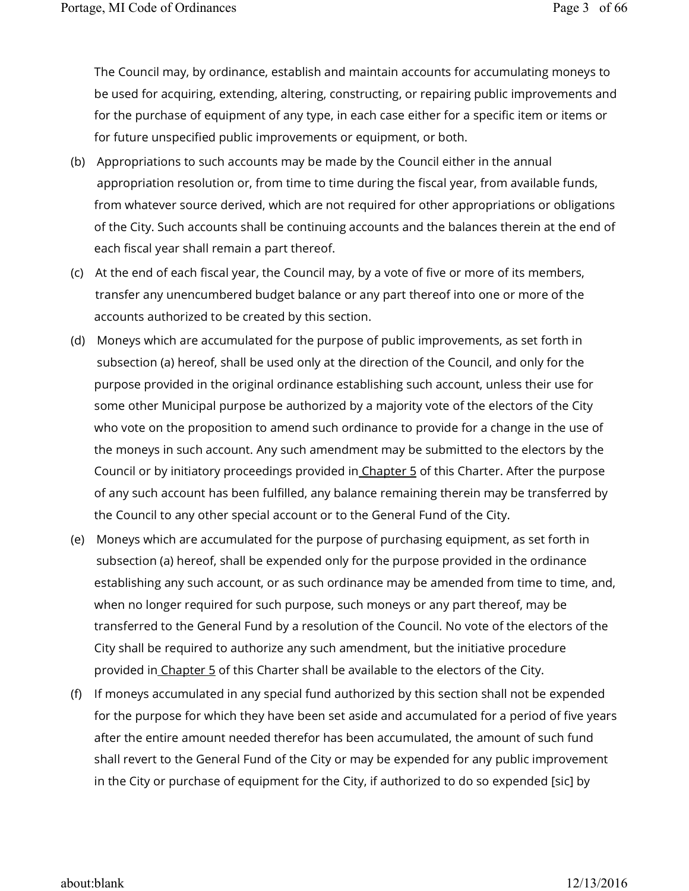The Council may, by ordinance, establish and maintain accounts for accumulating moneys to be used for acquiring, extending, altering, constructing, or repairing public improvements and for the purchase of equipment of any type, in each case either for a specific item or items or for future unspecified public improvements or equipment, or both.

- (b) Appropriations to such accounts may be made by the Council either in the annual appropriation resolution or, from time to time during the fiscal year, from available funds, from whatever source derived, which are not required for other appropriations or obligations of the City. Such accounts shall be continuing accounts and the balances therein at the end of each fiscal year shall remain a part thereof.
- (c) At the end of each fiscal year, the Council may, by a vote of five or more of its members, transfer any unencumbered budget balance or any part thereof into one or more of the accounts authorized to be created by this section.
- (d) Moneys which are accumulated for the purpose of public improvements, as set forth in subsection (a) hereof, shall be used only at the direction of the Council, and only for the purpose provided in the original ordinance establishing such account, unless their use for some other Municipal purpose be authorized by a majority vote of the electors of the City who vote on the proposition to amend such ordinance to provide for a change in the use of the moneys in such account. Any such amendment may be submitted to the electors by the Council or by initiatory proceedings provided in Chapter 5 of this Charter. After the purpose of any such account has been fulfilled, any balance remaining therein may be transferred by the Council to any other special account or to the General Fund of the City.
- (e) Moneys which are accumulated for the purpose of purchasing equipment, as set forth in subsection (a) hereof, shall be expended only for the purpose provided in the ordinance establishing any such account, or as such ordinance may be amended from time to time, and, when no longer required for such purpose, such moneys or any part thereof, may be transferred to the General Fund by a resolution of the Council. No vote of the electors of the City shall be required to authorize any such amendment, but the initiative procedure provided in Chapter 5 of this Charter shall be available to the electors of the City.
- (f) If moneys accumulated in any special fund authorized by this section shall not be expended for the purpose for which they have been set aside and accumulated for a period of five years after the entire amount needed therefor has been accumulated, the amount of such fund shall revert to the General Fund of the City or may be expended for any public improvement in the City or purchase of equipment for the City, if authorized to do so expended [sic] by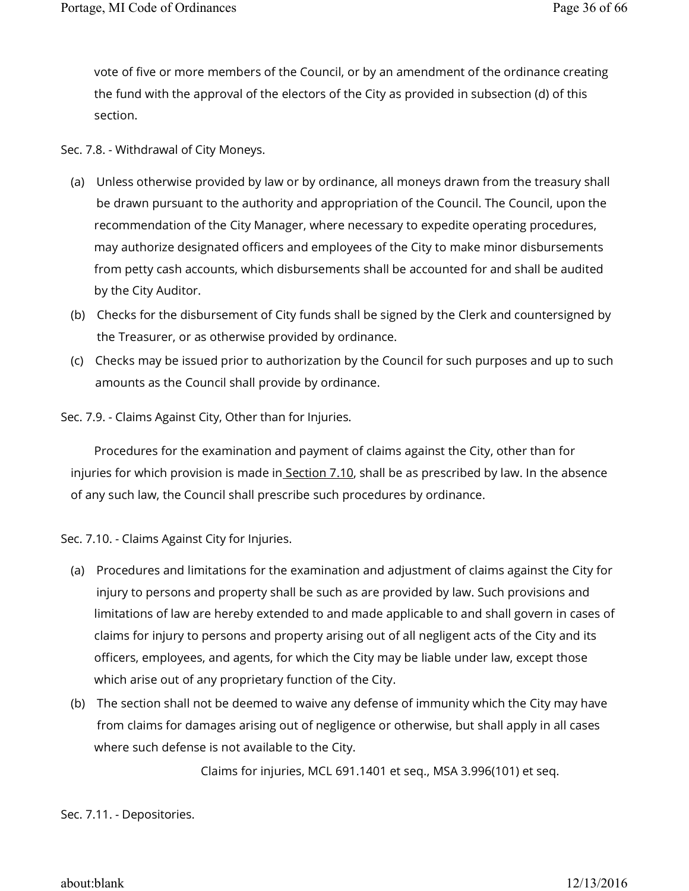vote of five or more members of the Council, or by an amendment of the ordinance creating the fund with the approval of the electors of the City as provided in subsection (d) of this section.

Sec. 7.8. - Withdrawal of City Moneys.

- (a) Unless otherwise provided by law or by ordinance, all moneys drawn from the treasury shall be drawn pursuant to the authority and appropriation of the Council. The Council, upon the recommendation of the City Manager, where necessary to expedite operating procedures, may authorize designated officers and employees of the City to make minor disbursements from petty cash accounts, which disbursements shall be accounted for and shall be audited by the City Auditor.
- (b) Checks for the disbursement of City funds shall be signed by the Clerk and countersigned by the Treasurer, or as otherwise provided by ordinance.
- (c) Checks may be issued prior to authorization by the Council for such purposes and up to such amounts as the Council shall provide by ordinance.
- Sec. 7.9. Claims Against City, Other than for Injuries.

Procedures for the examination and payment of claims against the City, other than for injuries for which provision is made in Section 7.10, shall be as prescribed by law. In the absence of any such law, the Council shall prescribe such procedures by ordinance.

Sec. 7.10. - Claims Against City for Injuries.

- (a) Procedures and limitations for the examination and adjustment of claims against the City for injury to persons and property shall be such as are provided by law. Such provisions and limitations of law are hereby extended to and made applicable to and shall govern in cases of claims for injury to persons and property arising out of all negligent acts of the City and its officers, employees, and agents, for which the City may be liable under law, except those which arise out of any proprietary function of the City.
- (b) The section shall not be deemed to waive any defense of immunity which the City may have from claims for damages arising out of negligence or otherwise, but shall apply in all cases where such defense is not available to the City.

Claims for injuries, MCL 691.1401 et seq., MSA 3.996(101) et seq.

Sec. 7.11. - Depositories.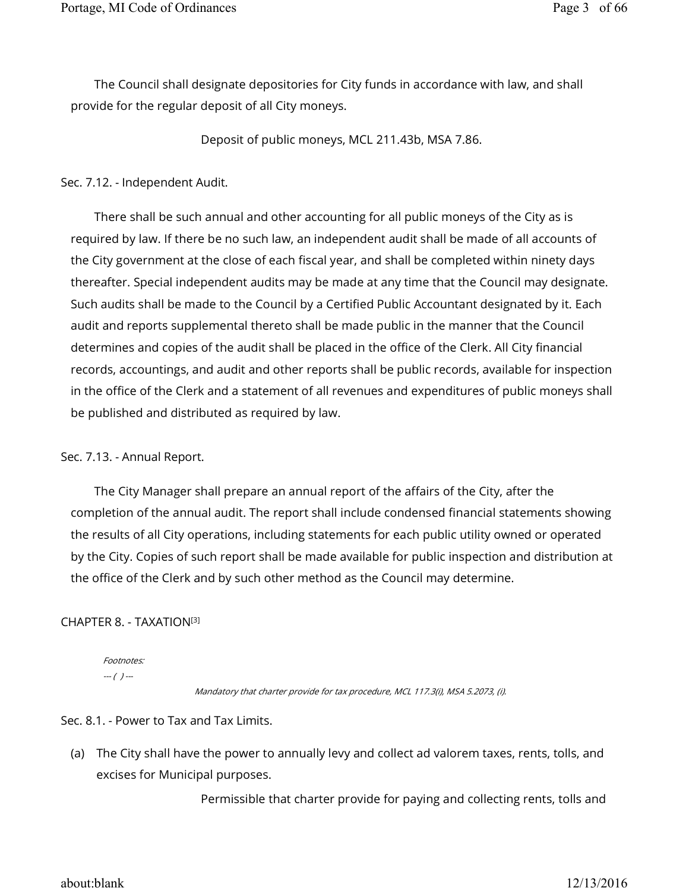The Council shall designate depositories for City funds in accordance with law, and shall provide for the regular deposit of all City moneys.

Deposit of public moneys, MCL 211.43b, MSA 7.86.

### Sec. 7.12. - Independent Audit.

There shall be such annual and other accounting for all public moneys of the City as is required by law. If there be no such law, an independent audit shall be made of all accounts of the City government at the close of each fiscal year, and shall be completed within ninety days thereafter. Special independent audits may be made at any time that the Council may designate. Such audits shall be made to the Council by a Certified Public Accountant designated by it. Each audit and reports supplemental thereto shall be made public in the manner that the Council determines and copies of the audit shall be placed in the office of the Clerk. All City financial records, accountings, and audit and other reports shall be public records, available for inspection in the office of the Clerk and a statement of all revenues and expenditures of public moneys shall be published and distributed as required by law.

# Sec. 7.13. - Annual Report.

The City Manager shall prepare an annual report of the affairs of the City, after the completion of the annual audit. The report shall include condensed financial statements showing the results of all City operations, including statements for each public utility owned or operated by the City. Copies of such report shall be made available for public inspection and distribution at the office of the Clerk and by such other method as the Council may determine.

# CHAPTER 8. - TAXATION [3]

Footnotes:  $-(-)$  ---

Mandatory that charter provide for tax procedure, MCL 117.3(i), MSA 5.2073, (i).

Sec. 8.1. - Power to Tax and Tax Limits.

(a) The City shall have the power to annually levy and collect ad valorem taxes, rents, tolls, and excises for Municipal purposes.

Permissible that charter provide for paying and collecting rents, tolls and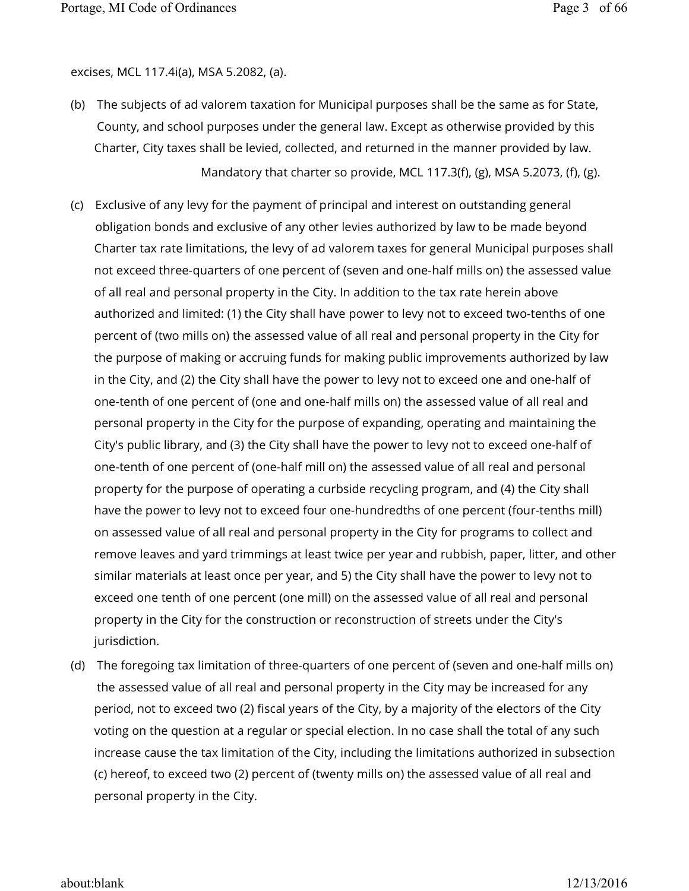excises, MCL 117.4i(a), MSA 5.2082, (a).

- (b) The subjects of ad valorem taxation for Municipal purposes shall be the same as for State, County, and school purposes under the general law. Except as otherwise provided by this Charter, City taxes shall be levied, collected, and returned in the manner provided by law. Mandatory that charter so provide, MCL 117.3(f), (g), MSA 5.2073, (f), (g).
- (c) Exclusive of any levy for the payment of principal and interest on outstanding general obligation bonds and exclusive of any other levies authorized by law to be made beyond Charter tax rate limitations, the levy of ad valorem taxes for general Municipal purposes shall not exceed three-quarters of one percent of (seven and one-half mills on) the assessed value of all real and personal property in the City. In addition to the tax rate herein above authorized and limited: (1) the City shall have power to levy not to exceed two-tenths of one percent of (two mills on) the assessed value of all real and personal property in the City for the purpose of making or accruing funds for making public improvements authorized by law in the City, and (2) the City shall have the power to levy not to exceed one and one-half of one-tenth of one percent of (one and one-half mills on) the assessed value of all real and personal property in the City for the purpose of expanding, operating and maintaining the City's public library, and (3) the City shall have the power to levy not to exceed one-half of one-tenth of one percent of (one-half mill on) the assessed value of all real and personal property for the purpose of operating a curbside recycling program, and (4) the City shall have the power to levy not to exceed four one-hundredths of one percent (four-tenths mill) on assessed value of all real and personal property in the City for programs to collect and remove leaves and yard trimmings at least twice per year and rubbish, paper, litter, and other similar materials at least once per year, and 5) the City shall have the power to levy not to exceed one tenth of one percent (one mill) on the assessed value of all real and personal property in the City for the construction or reconstruction of streets under the City's jurisdiction.
- (d) The foregoing tax limitation of three-quarters of one percent of (seven and one-half mills on) the assessed value of all real and personal property in the City may be increased for any period, not to exceed two (2) fiscal years of the City, by a majority of the electors of the City voting on the question at a regular or special election. In no case shall the total of any such increase cause the tax limitation of the City, including the limitations authorized in subsection (c) hereof, to exceed two (2) percent of (twenty mills on) the assessed value of all real and personal property in the City.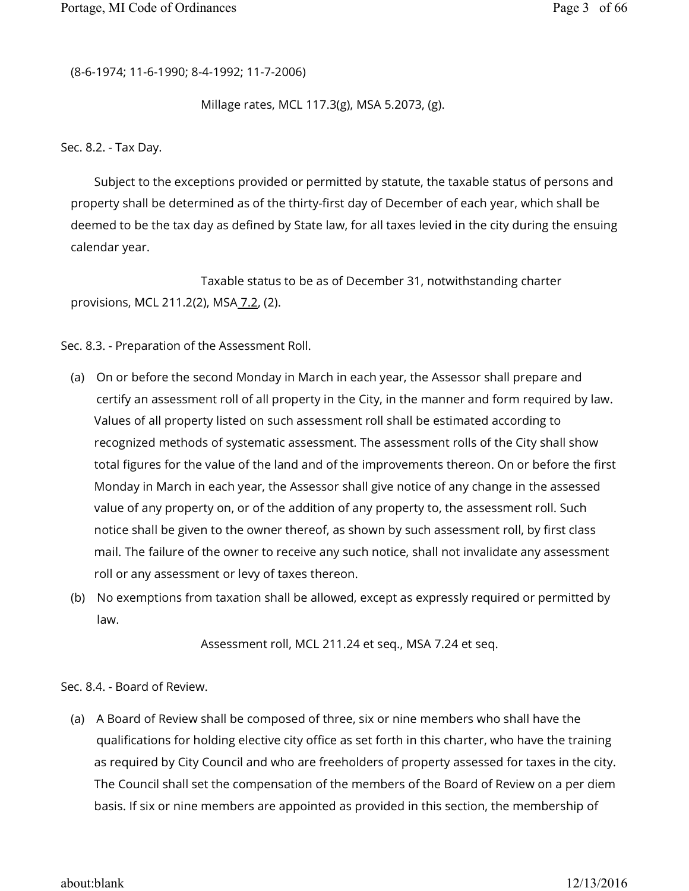(8-6-1974; 11-6-1990; 8-4-1992; 11-7-2006)

Millage rates, MCL 117.3(g), MSA 5.2073, (g).

Sec. 8.2. - Tax Day.

Subject to the exceptions provided or permitted by statute, the taxable status of persons and property shall be determined as of the thirty-first day of December of each year, which shall be deemed to be the tax day as defined by State law, for all taxes levied in the city during the ensuing calendar year.

 Taxable status to be as of December 31, notwithstanding charter provisions, MCL 211.2(2), MSA 7.2, (2).

Sec. 8.3. - Preparation of the Assessment Roll.

- (a) On or before the second Monday in March in each year, the Assessor shall prepare and certify an assessment roll of all property in the City, in the manner and form required by law. Values of all property listed on such assessment roll shall be estimated according to recognized methods of systematic assessment. The assessment rolls of the City shall show total figures for the value of the land and of the improvements thereon. On or before the first Monday in March in each year, the Assessor shall give notice of any change in the assessed value of any property on, or of the addition of any property to, the assessment roll. Such notice shall be given to the owner thereof, as shown by such assessment roll, by first class mail. The failure of the owner to receive any such notice, shall not invalidate any assessment roll or any assessment or levy of taxes thereon.
- (b) No exemptions from taxation shall be allowed, except as expressly required or permitted by law.

Assessment roll, MCL 211.24 et seq., MSA 7.24 et seq.

Sec. 8.4. - Board of Review.

(a) A Board of Review shall be composed of three, six or nine members who shall have the qualifications for holding elective city office as set forth in this charter, who have the training as required by City Council and who are freeholders of property assessed for taxes in the city. The Council shall set the compensation of the members of the Board of Review on a per diem basis. If six or nine members are appointed as provided in this section, the membership of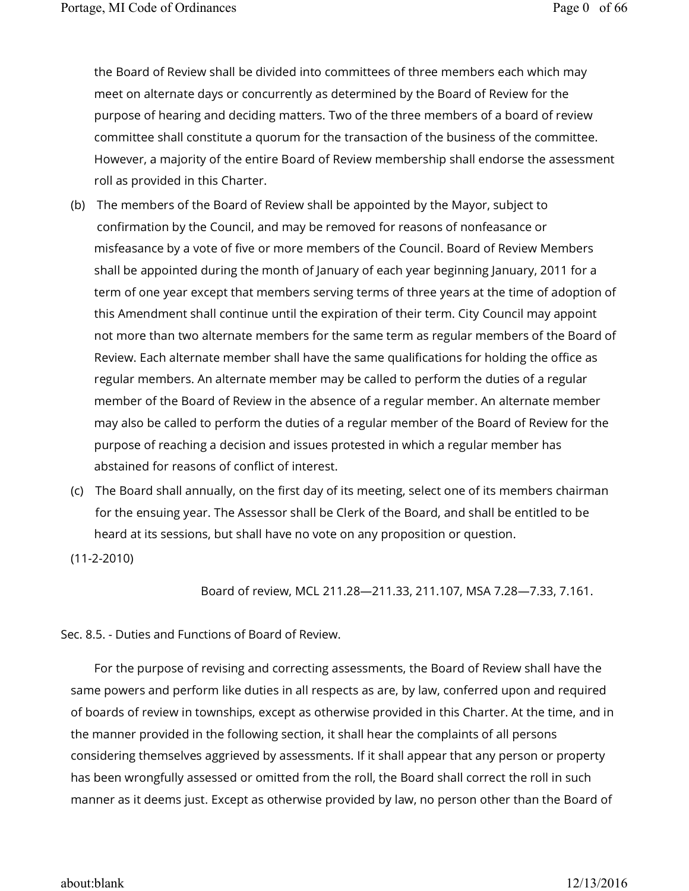the Board of Review shall be divided into committees of three members each which may meet on alternate days or concurrently as determined by the Board of Review for the purpose of hearing and deciding matters. Two of the three members of a board of review committee shall constitute a quorum for the transaction of the business of the committee. However, a majority of the entire Board of Review membership shall endorse the assessment roll as provided in this Charter.

- (b) The members of the Board of Review shall be appointed by the Mayor, subject to confirmation by the Council, and may be removed for reasons of nonfeasance or misfeasance by a vote of five or more members of the Council. Board of Review Members shall be appointed during the month of January of each year beginning January, 2011 for a term of one year except that members serving terms of three years at the time of adoption of this Amendment shall continue until the expiration of their term. City Council may appoint not more than two alternate members for the same term as regular members of the Board of Review. Each alternate member shall have the same qualifications for holding the office as regular members. An alternate member may be called to perform the duties of a regular member of the Board of Review in the absence of a regular member. An alternate member may also be called to perform the duties of a regular member of the Board of Review for the purpose of reaching a decision and issues protested in which a regular member has abstained for reasons of conflict of interest.
- (c) The Board shall annually, on the first day of its meeting, select one of its members chairman for the ensuing year. The Assessor shall be Clerk of the Board, and shall be entitled to be heard at its sessions, but shall have no vote on any proposition or question.

(11-2-2010)

Board of review, MCL 211.28—211.33, 211.107, MSA 7.28—7.33, 7.161.

Sec. 8.5. - Duties and Functions of Board of Review.

For the purpose of revising and correcting assessments, the Board of Review shall have the same powers and perform like duties in all respects as are, by law, conferred upon and required of boards of review in townships, except as otherwise provided in this Charter. At the time, and in the manner provided in the following section, it shall hear the complaints of all persons considering themselves aggrieved by assessments. If it shall appear that any person or property has been wrongfully assessed or omitted from the roll, the Board shall correct the roll in such manner as it deems just. Except as otherwise provided by law, no person other than the Board of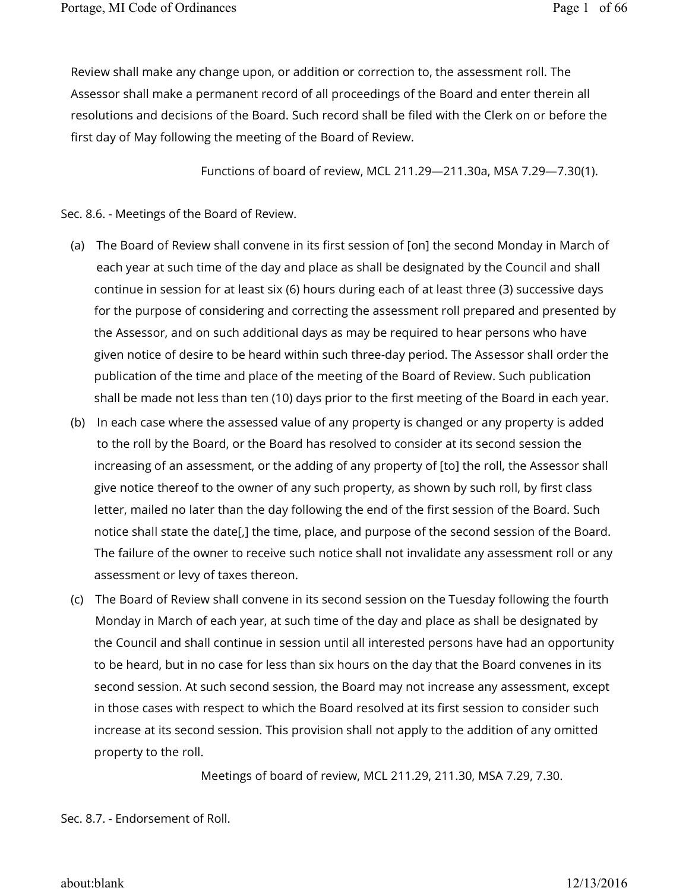Review shall make any change upon, or addition or correction to, the assessment roll. The Assessor shall make a permanent record of all proceedings of the Board and enter therein all resolutions and decisions of the Board. Such record shall be filed with the Clerk on or before the first day of May following the meeting of the Board of Review.

Functions of board of review, MCL 211.29—211.30a, MSA 7.29—7.30(1).

Sec. 8.6. - Meetings of the Board of Review.

- (a) The Board of Review shall convene in its first session of [on] the second Monday in March of each year at such time of the day and place as shall be designated by the Council and shall continue in session for at least six (6) hours during each of at least three (3) successive days for the purpose of considering and correcting the assessment roll prepared and presented by the Assessor, and on such additional days as may be required to hear persons who have given notice of desire to be heard within such three-day period. The Assessor shall order the publication of the time and place of the meeting of the Board of Review. Such publication shall be made not less than ten (10) days prior to the first meeting of the Board in each year.
- (b) In each case where the assessed value of any property is changed or any property is added to the roll by the Board, or the Board has resolved to consider at its second session the increasing of an assessment, or the adding of any property of [to] the roll, the Assessor shall give notice thereof to the owner of any such property, as shown by such roll, by first class letter, mailed no later than the day following the end of the first session of the Board. Such notice shall state the date[,] the time, place, and purpose of the second session of the Board. The failure of the owner to receive such notice shall not invalidate any assessment roll or any assessment or levy of taxes thereon.
- (c) The Board of Review shall convene in its second session on the Tuesday following the fourth Monday in March of each year, at such time of the day and place as shall be designated by the Council and shall continue in session until all interested persons have had an opportunity to be heard, but in no case for less than six hours on the day that the Board convenes in its second session. At such second session, the Board may not increase any assessment, except in those cases with respect to which the Board resolved at its first session to consider such increase at its second session. This provision shall not apply to the addition of any omitted property to the roll.

Meetings of board of review, MCL 211.29, 211.30, MSA 7.29, 7.30.

Sec. 8.7. - Endorsement of Roll.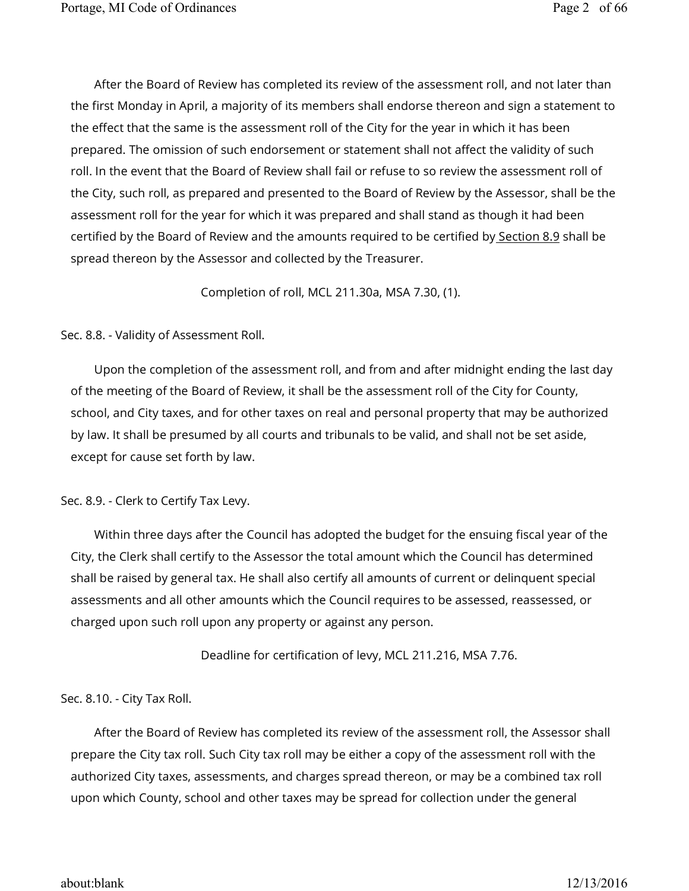After the Board of Review has completed its review of the assessment roll, and not later than the first Monday in April, a majority of its members shall endorse thereon and sign a statement to the effect that the same is the assessment roll of the City for the year in which it has been prepared. The omission of such endorsement or statement shall not affect the validity of such roll. In the event that the Board of Review shall fail or refuse to so review the assessment roll of the City, such roll, as prepared and presented to the Board of Review by the Assessor, shall be the assessment roll for the year for which it was prepared and shall stand as though it had been certified by the Board of Review and the amounts required to be certified by Section 8.9 shall be spread thereon by the Assessor and collected by the Treasurer.

Completion of roll, MCL 211.30a, MSA 7.30, (1).

### Sec. 8.8. - Validity of Assessment Roll.

Upon the completion of the assessment roll, and from and after midnight ending the last day of the meeting of the Board of Review, it shall be the assessment roll of the City for County, school, and City taxes, and for other taxes on real and personal property that may be authorized by law. It shall be presumed by all courts and tribunals to be valid, and shall not be set aside, except for cause set forth by law.

# Sec. 8.9. - Clerk to Certify Tax Levy.

Within three days after the Council has adopted the budget for the ensuing fiscal year of the City, the Clerk shall certify to the Assessor the total amount which the Council has determined shall be raised by general tax. He shall also certify all amounts of current or delinquent special assessments and all other amounts which the Council requires to be assessed, reassessed, or charged upon such roll upon any property or against any person.

Deadline for certification of levy, MCL 211.216, MSA 7.76.

# Sec. 8.10. - City Tax Roll.

After the Board of Review has completed its review of the assessment roll, the Assessor shall prepare the City tax roll. Such City tax roll may be either a copy of the assessment roll with the authorized City taxes, assessments, and charges spread thereon, or may be a combined tax roll upon which County, school and other taxes may be spread for collection under the general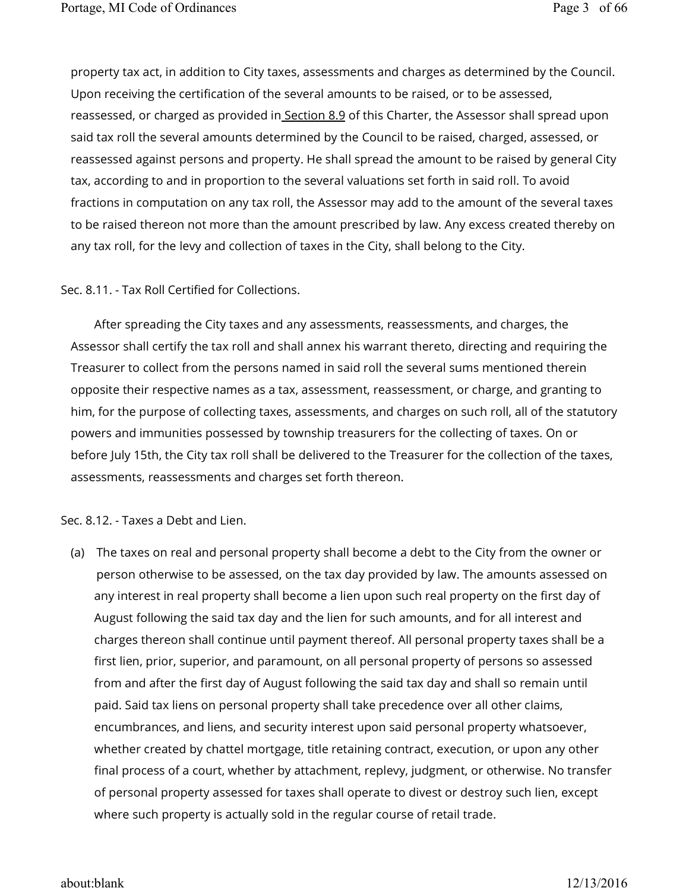property tax act, in addition to City taxes, assessments and charges as determined by the Council. Upon receiving the certification of the several amounts to be raised, or to be assessed, reassessed, or charged as provided in Section 8.9 of this Charter, the Assessor shall spread upon said tax roll the several amounts determined by the Council to be raised, charged, assessed, or reassessed against persons and property. He shall spread the amount to be raised by general City tax, according to and in proportion to the several valuations set forth in said roll. To avoid fractions in computation on any tax roll, the Assessor may add to the amount of the several taxes to be raised thereon not more than the amount prescribed by law. Any excess created thereby on any tax roll, for the levy and collection of taxes in the City, shall belong to the City.

# Sec. 8.11. - Tax Roll Certified for Collections.

After spreading the City taxes and any assessments, reassessments, and charges, the Assessor shall certify the tax roll and shall annex his warrant thereto, directing and requiring the Treasurer to collect from the persons named in said roll the several sums mentioned therein opposite their respective names as a tax, assessment, reassessment, or charge, and granting to him, for the purpose of collecting taxes, assessments, and charges on such roll, all of the statutory powers and immunities possessed by township treasurers for the collecting of taxes. On or before July 15th, the City tax roll shall be delivered to the Treasurer for the collection of the taxes, assessments, reassessments and charges set forth thereon.

Sec. 8.12. - Taxes a Debt and Lien.

(a) The taxes on real and personal property shall become a debt to the City from the owner or person otherwise to be assessed, on the tax day provided by law. The amounts assessed on any interest in real property shall become a lien upon such real property on the first day of August following the said tax day and the lien for such amounts, and for all interest and charges thereon shall continue until payment thereof. All personal property taxes shall be a first lien, prior, superior, and paramount, on all personal property of persons so assessed from and after the first day of August following the said tax day and shall so remain until paid. Said tax liens on personal property shall take precedence over all other claims, encumbrances, and liens, and security interest upon said personal property whatsoever, whether created by chattel mortgage, title retaining contract, execution, or upon any other final process of a court, whether by attachment, replevy, judgment, or otherwise. No transfer of personal property assessed for taxes shall operate to divest or destroy such lien, except where such property is actually sold in the regular course of retail trade.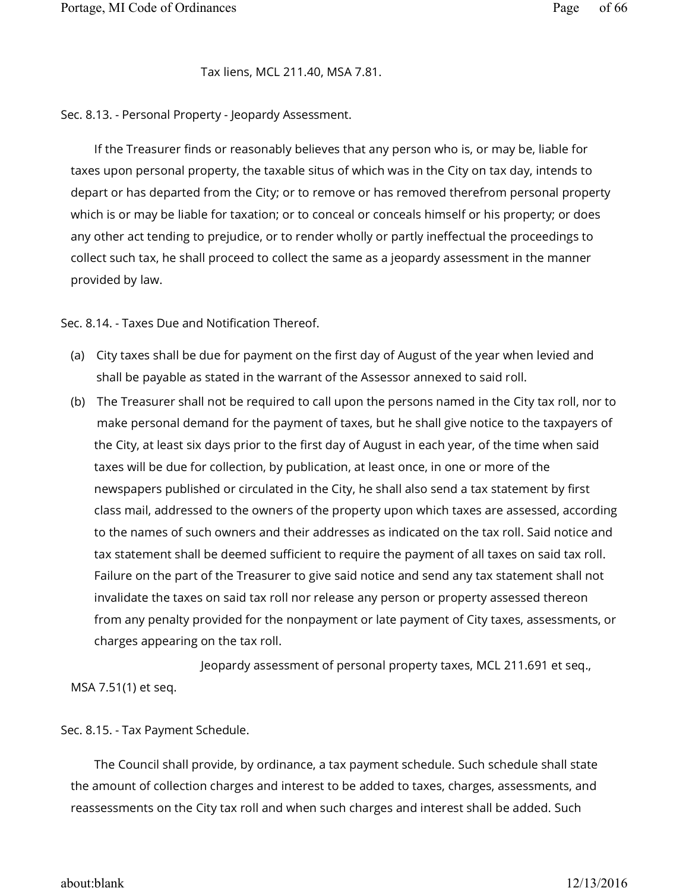#### Tax liens, MCL 211.40, MSA 7.81.

Sec. 8.13. - Personal Property - Jeopardy Assessment.

If the Treasurer finds or reasonably believes that any person who is, or may be, liable for taxes upon personal property, the taxable situs of which was in the City on tax day, intends to depart or has departed from the City; or to remove or has removed therefrom personal property which is or may be liable for taxation; or to conceal or conceals himself or his property; or does any other act tending to prejudice, or to render wholly or partly ineffectual the proceedings to collect such tax, he shall proceed to collect the same as a jeopardy assessment in the manner provided by law.

Sec. 8.14. - Taxes Due and Notification Thereof.

- (a) City taxes shall be due for payment on the first day of August of the year when levied and shall be payable as stated in the warrant of the Assessor annexed to said roll.
- (b) The Treasurer shall not be required to call upon the persons named in the City tax roll, nor to make personal demand for the payment of taxes, but he shall give notice to the taxpayers of the City, at least six days prior to the first day of August in each year, of the time when said taxes will be due for collection, by publication, at least once, in one or more of the newspapers published or circulated in the City, he shall also send a tax statement by first class mail, addressed to the owners of the property upon which taxes are assessed, according to the names of such owners and their addresses as indicated on the tax roll. Said notice and tax statement shall be deemed sufficient to require the payment of all taxes on said tax roll. Failure on the part of the Treasurer to give said notice and send any tax statement shall not invalidate the taxes on said tax roll nor release any person or property assessed thereon from any penalty provided for the nonpayment or late payment of City taxes, assessments, or charges appearing on the tax roll.

 Jeopardy assessment of personal property taxes, MCL 211.691 et seq., MSA 7.51(1) et seq.

#### Sec. 8.15. - Tax Payment Schedule.

The Council shall provide, by ordinance, a tax payment schedule. Such schedule shall state the amount of collection charges and interest to be added to taxes, charges, assessments, and reassessments on the City tax roll and when such charges and interest shall be added. Such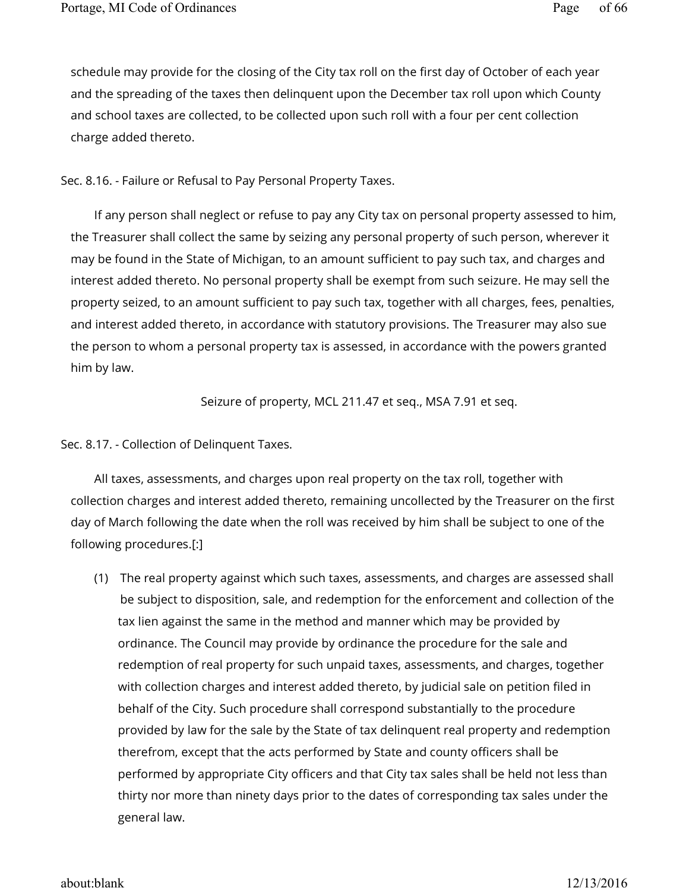schedule may provide for the closing of the City tax roll on the first day of October of each year and the spreading of the taxes then delinquent upon the December tax roll upon which County and school taxes are collected, to be collected upon such roll with a four per cent collection charge added thereto.

# Sec. 8.16. - Failure or Refusal to Pay Personal Property Taxes.

If any person shall neglect or refuse to pay any City tax on personal property assessed to him, the Treasurer shall collect the same by seizing any personal property of such person, wherever it may be found in the State of Michigan, to an amount sufficient to pay such tax, and charges and interest added thereto. No personal property shall be exempt from such seizure. He may sell the property seized, to an amount sufficient to pay such tax, together with all charges, fees, penalties, and interest added thereto, in accordance with statutory provisions. The Treasurer may also sue the person to whom a personal property tax is assessed, in accordance with the powers granted him by law.

Seizure of property, MCL 211.47 et seq., MSA 7.91 et seq.

Sec. 8.17. - Collection of Delinquent Taxes.

All taxes, assessments, and charges upon real property on the tax roll, together with collection charges and interest added thereto, remaining uncollected by the Treasurer on the first day of March following the date when the roll was received by him shall be subject to one of the following procedures.[:]

(1) The real property against which such taxes, assessments, and charges are assessed shall be subject to disposition, sale, and redemption for the enforcement and collection of the tax lien against the same in the method and manner which may be provided by ordinance. The Council may provide by ordinance the procedure for the sale and redemption of real property for such unpaid taxes, assessments, and charges, together with collection charges and interest added thereto, by judicial sale on petition filed in behalf of the City. Such procedure shall correspond substantially to the procedure provided by law for the sale by the State of tax delinquent real property and redemption therefrom, except that the acts performed by State and county officers shall be performed by appropriate City officers and that City tax sales shall be held not less than thirty nor more than ninety days prior to the dates of corresponding tax sales under the general law.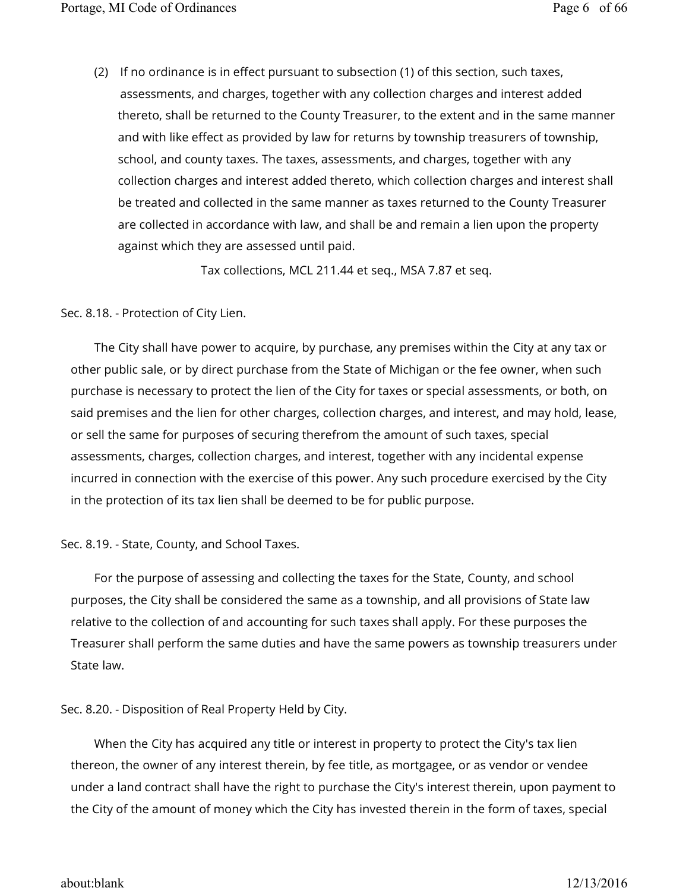(2) If no ordinance is in effect pursuant to subsection (1) of this section, such taxes, assessments, and charges, together with any collection charges and interest added thereto, shall be returned to the County Treasurer, to the extent and in the same manner and with like effect as provided by law for returns by township treasurers of township, school, and county taxes. The taxes, assessments, and charges, together with any collection charges and interest added thereto, which collection charges and interest shall be treated and collected in the same manner as taxes returned to the County Treasurer are collected in accordance with law, and shall be and remain a lien upon the property against which they are assessed until paid.

Tax collections, MCL 211.44 et seq., MSA 7.87 et seq.

Sec. 8.18. - Protection of City Lien.

The City shall have power to acquire, by purchase, any premises within the City at any tax or other public sale, or by direct purchase from the State of Michigan or the fee owner, when such purchase is necessary to protect the lien of the City for taxes or special assessments, or both, on said premises and the lien for other charges, collection charges, and interest, and may hold, lease, or sell the same for purposes of securing therefrom the amount of such taxes, special assessments, charges, collection charges, and interest, together with any incidental expense incurred in connection with the exercise of this power. Any such procedure exercised by the City in the protection of its tax lien shall be deemed to be for public purpose.

Sec. 8.19. - State, County, and School Taxes.

For the purpose of assessing and collecting the taxes for the State, County, and school purposes, the City shall be considered the same as a township, and all provisions of State law relative to the collection of and accounting for such taxes shall apply. For these purposes the Treasurer shall perform the same duties and have the same powers as township treasurers under State law.

Sec. 8.20. - Disposition of Real Property Held by City.

When the City has acquired any title or interest in property to protect the City's tax lien thereon, the owner of any interest therein, by fee title, as mortgagee, or as vendor or vendee under a land contract shall have the right to purchase the City's interest therein, upon payment to the City of the amount of money which the City has invested therein in the form of taxes, special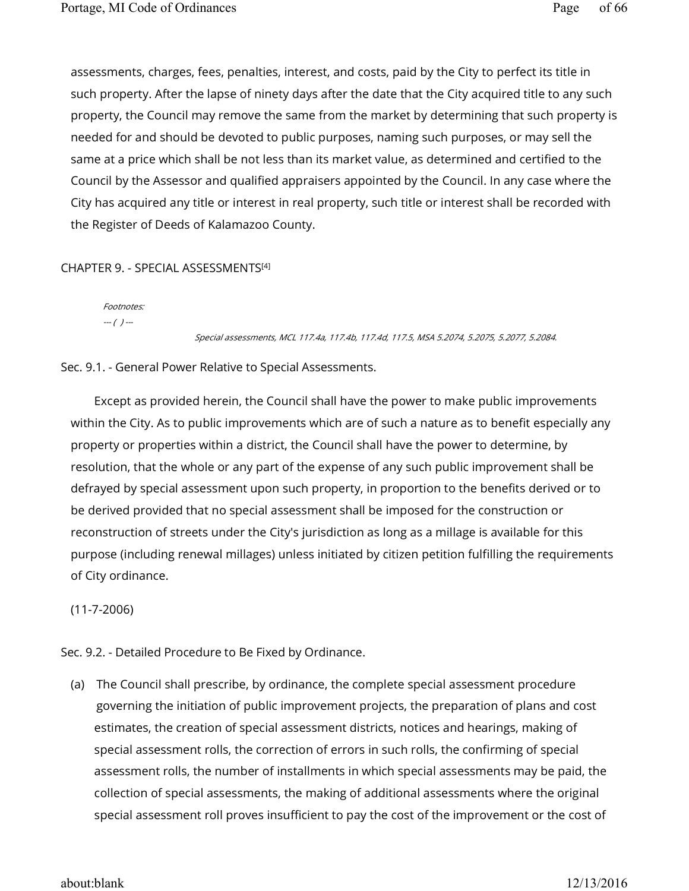assessments, charges, fees, penalties, interest, and costs, paid by the City to perfect its title in such property. After the lapse of ninety days after the date that the City acquired title to any such property, the Council may remove the same from the market by determining that such property is needed for and should be devoted to public purposes, naming such purposes, or may sell the same at a price which shall be not less than its market value, as determined and certified to the Council by the Assessor and qualified appraisers appointed by the Council. In any case where the City has acquired any title or interest in real property, such title or interest shall be recorded with the Register of Deeds of Kalamazoo County.

### CHAPTER 9. - SPECIAL ASSESSMENTS [4]

Footnotes:  $-(-)$  ---

#### Special assessments, MCL 117.4a, 117.4b, 117.4d, 117.5, MSA 5.2074, 5.2075, 5.2077, 5.2084.

#### Sec. 9.1. - General Power Relative to Special Assessments.

Except as provided herein, the Council shall have the power to make public improvements within the City. As to public improvements which are of such a nature as to benefit especially any property or properties within a district, the Council shall have the power to determine, by resolution, that the whole or any part of the expense of any such public improvement shall be defrayed by special assessment upon such property, in proportion to the benefits derived or to be derived provided that no special assessment shall be imposed for the construction or reconstruction of streets under the City's jurisdiction as long as a millage is available for this purpose (including renewal millages) unless initiated by citizen petition fulfilling the requirements of City ordinance.

(11-7-2006)

Sec. 9.2. - Detailed Procedure to Be Fixed by Ordinance.

(a) The Council shall prescribe, by ordinance, the complete special assessment procedure governing the initiation of public improvement projects, the preparation of plans and cost estimates, the creation of special assessment districts, notices and hearings, making of special assessment rolls, the correction of errors in such rolls, the confirming of special assessment rolls, the number of installments in which special assessments may be paid, the collection of special assessments, the making of additional assessments where the original special assessment roll proves insufficient to pay the cost of the improvement or the cost of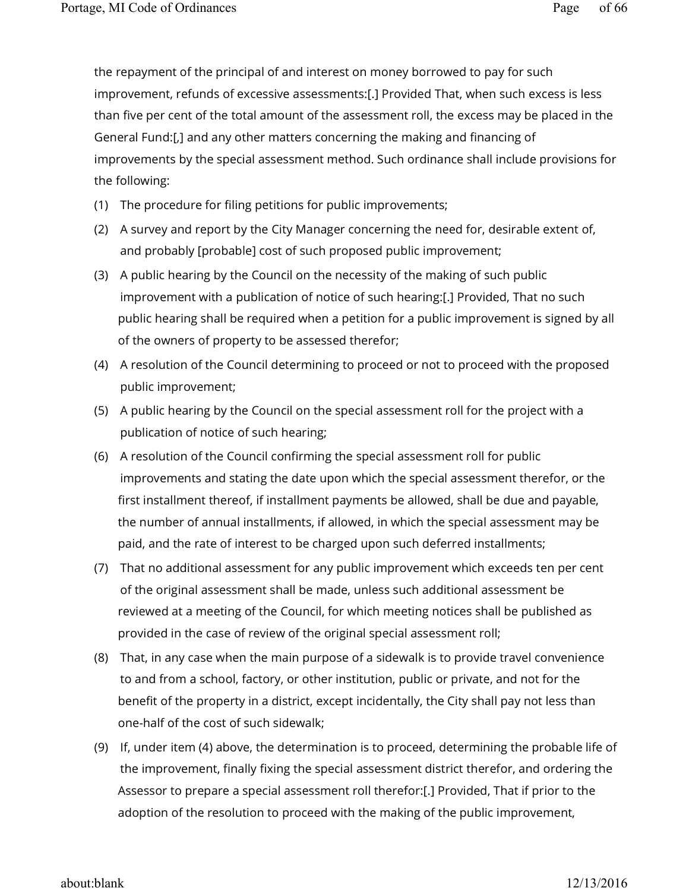the repayment of the principal of and interest on money borrowed to pay for such improvement, refunds of excessive assessments:[.] Provided That, when such excess is less than five per cent of the total amount of the assessment roll, the excess may be placed in the General Fund:[,] and any other matters concerning the making and financing of improvements by the special assessment method. Such ordinance shall include provisions for the following:

- (1) The procedure for filing petitions for public improvements;
- (2) A survey and report by the City Manager concerning the need for, desirable extent of, and probably [probable] cost of such proposed public improvement;
- (3) A public hearing by the Council on the necessity of the making of such public improvement with a publication of notice of such hearing:[.] Provided, That no such public hearing shall be required when a petition for a public improvement is signed by all of the owners of property to be assessed therefor;
- (4) A resolution of the Council determining to proceed or not to proceed with the proposed public improvement;
- (5) A public hearing by the Council on the special assessment roll for the project with a publication of notice of such hearing;
- (6) A resolution of the Council confirming the special assessment roll for public improvements and stating the date upon which the special assessment therefor, or the first installment thereof, if installment payments be allowed, shall be due and payable, the number of annual installments, if allowed, in which the special assessment may be paid, and the rate of interest to be charged upon such deferred installments;
- (7) That no additional assessment for any public improvement which exceeds ten per cent of the original assessment shall be made, unless such additional assessment be reviewed at a meeting of the Council, for which meeting notices shall be published as provided in the case of review of the original special assessment roll;
- (8) That, in any case when the main purpose of a sidewalk is to provide travel convenience to and from a school, factory, or other institution, public or private, and not for the benefit of the property in a district, except incidentally, the City shall pay not less than one-half of the cost of such sidewalk;
- (9) If, under item (4) above, the determination is to proceed, determining the probable life of the improvement, finally fixing the special assessment district therefor, and ordering the Assessor to prepare a special assessment roll therefor:[.] Provided, That if prior to the adoption of the resolution to proceed with the making of the public improvement,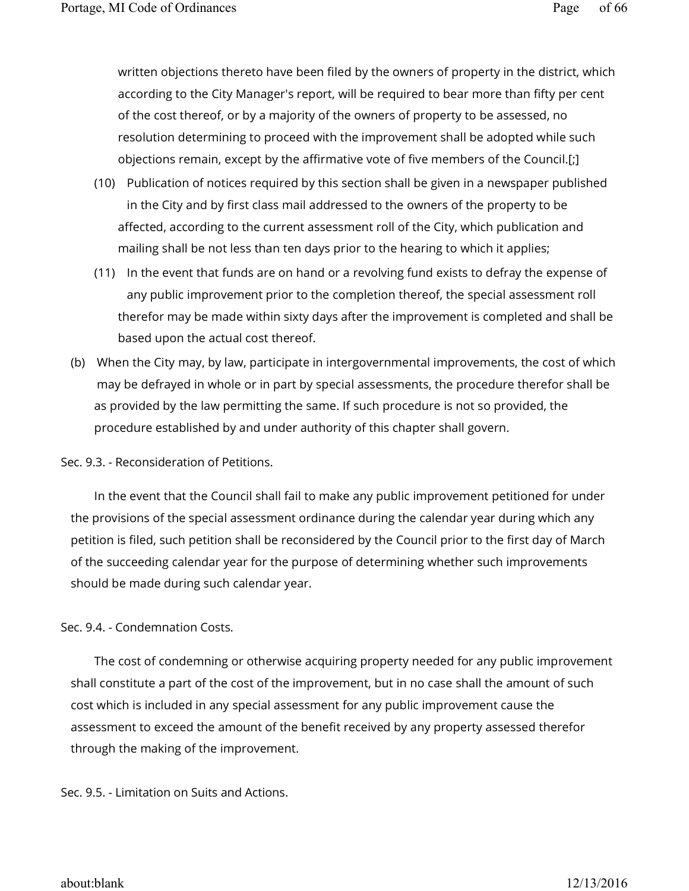written objections thereto have been filed by the owners of property in the district, which according to the City Manager's report, will be required to bear more than fifty per cent of the cost thereof, or by a majority of the owners of property to be assessed, no resolution determining to proceed with the improvement shall be adopted while such objections remain, except by the affirmative vote of five members of the Council.[;]

- (10) Publication of notices required by this section shall be given in a newspaper published in the City and by first class mail addressed to the owners of the property to be affected, according to the current assessment roll of the City, which publication and mailing shall be not less than ten days prior to the hearing to which it applies;
- (11) In the event that funds are on hand or a revolving fund exists to defray the expense of any public improvement prior to the completion thereof, the special assessment roll therefor may be made within sixty days after the improvement is completed and shall be based upon the actual cost thereof.
- (b) When the City may, by law, participate in intergovernmental improvements, the cost of which may be defrayed in whole or in part by special assessments, the procedure therefor shall be as provided by the law permitting the same. If such procedure is not so provided, the procedure established by and under authority of this chapter shall govern.

Sec. 9.3. - Reconsideration of Petitions.

In the event that the Council shall fail to make any public improvement petitioned for under the provisions of the special assessment ordinance during the calendar year during which any petition is filed, such petition shall be reconsidered by the Council prior to the first day of March of the succeeding calendar year for the purpose of determining whether such improvements should be made during such calendar year.

# Sec. 9.4. - Condemnation Costs.

The cost of condemning or otherwise acquiring property needed for any public improvement shall constitute a part of the cost of the improvement, but in no case shall the amount of such cost which is included in any special assessment for any public improvement cause the assessment to exceed the amount of the benefit received by any property assessed therefor through the making of the improvement.

Sec. 9.5. - Limitation on Suits and Actions.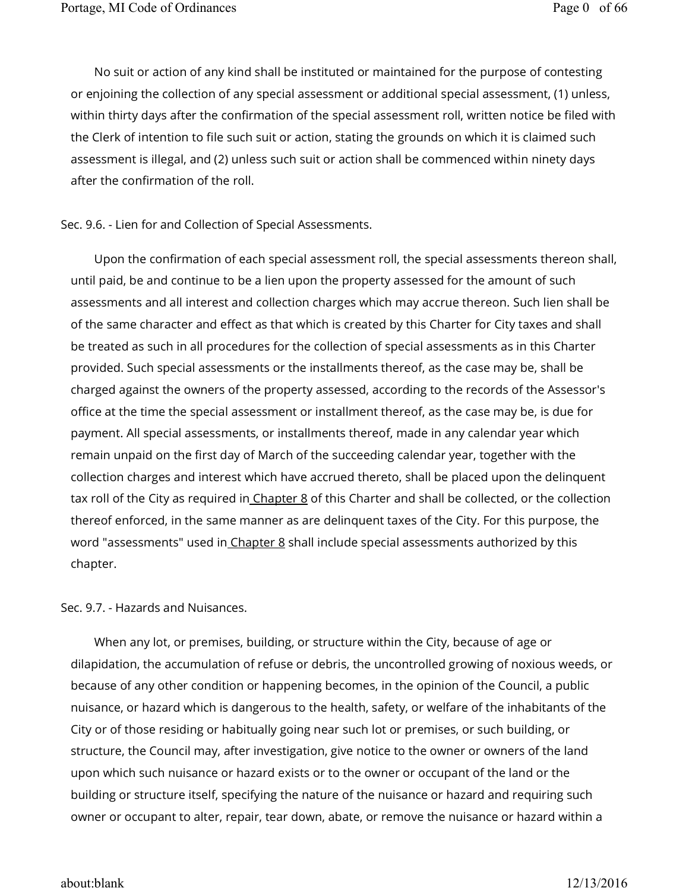No suit or action of any kind shall be instituted or maintained for the purpose of contesting or enjoining the collection of any special assessment or additional special assessment, (1) unless, within thirty days after the confirmation of the special assessment roll, written notice be filed with the Clerk of intention to file such suit or action, stating the grounds on which it is claimed such assessment is illegal, and (2) unless such suit or action shall be commenced within ninety days after the confirmation of the roll.

#### Sec. 9.6. - Lien for and Collection of Special Assessments.

Upon the confirmation of each special assessment roll, the special assessments thereon shall, until paid, be and continue to be a lien upon the property assessed for the amount of such assessments and all interest and collection charges which may accrue thereon. Such lien shall be of the same character and effect as that which is created by this Charter for City taxes and shall be treated as such in all procedures for the collection of special assessments as in this Charter provided. Such special assessments or the installments thereof, as the case may be, shall be charged against the owners of the property assessed, according to the records of the Assessor's office at the time the special assessment or installment thereof, as the case may be, is due for payment. All special assessments, or installments thereof, made in any calendar year which remain unpaid on the first day of March of the succeeding calendar year, together with the collection charges and interest which have accrued thereto, shall be placed upon the delinquent tax roll of the City as required in Chapter 8 of this Charter and shall be collected, or the collection thereof enforced, in the same manner as are delinquent taxes of the City. For this purpose, the word "assessments" used in Chapter 8 shall include special assessments authorized by this chapter.

#### Sec. 9.7. - Hazards and Nuisances.

When any lot, or premises, building, or structure within the City, because of age or dilapidation, the accumulation of refuse or debris, the uncontrolled growing of noxious weeds, or because of any other condition or happening becomes, in the opinion of the Council, a public nuisance, or hazard which is dangerous to the health, safety, or welfare of the inhabitants of the City or of those residing or habitually going near such lot or premises, or such building, or structure, the Council may, after investigation, give notice to the owner or owners of the land upon which such nuisance or hazard exists or to the owner or occupant of the land or the building or structure itself, specifying the nature of the nuisance or hazard and requiring such owner or occupant to alter, repair, tear down, abate, or remove the nuisance or hazard within a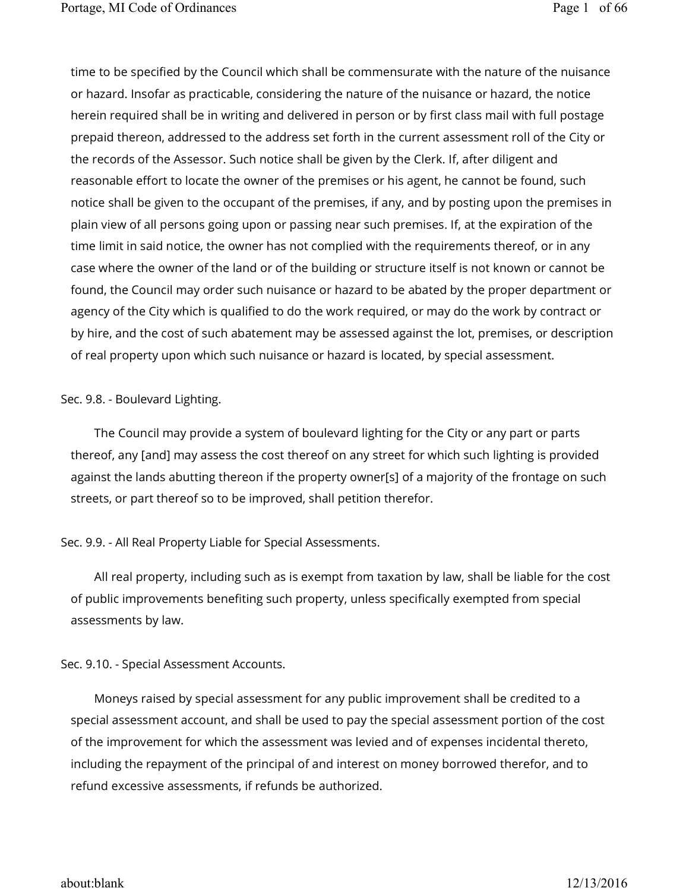time to be specified by the Council which shall be commensurate with the nature of the nuisance or hazard. Insofar as practicable, considering the nature of the nuisance or hazard, the notice herein required shall be in writing and delivered in person or by first class mail with full postage prepaid thereon, addressed to the address set forth in the current assessment roll of the City or the records of the Assessor. Such notice shall be given by the Clerk. If, after diligent and reasonable effort to locate the owner of the premises or his agent, he cannot be found, such notice shall be given to the occupant of the premises, if any, and by posting upon the premises in plain view of all persons going upon or passing near such premises. If, at the expiration of the time limit in said notice, the owner has not complied with the requirements thereof, or in any case where the owner of the land or of the building or structure itself is not known or cannot be found, the Council may order such nuisance or hazard to be abated by the proper department or agency of the City which is qualified to do the work required, or may do the work by contract or by hire, and the cost of such abatement may be assessed against the lot, premises, or description of real property upon which such nuisance or hazard is located, by special assessment.

### Sec. 9.8. - Boulevard Lighting.

The Council may provide a system of boulevard lighting for the City or any part or parts thereof, any [and] may assess the cost thereof on any street for which such lighting is provided against the lands abutting thereon if the property owner[s] of a majority of the frontage on such streets, or part thereof so to be improved, shall petition therefor.

# Sec. 9.9. - All Real Property Liable for Special Assessments.

All real property, including such as is exempt from taxation by law, shall be liable for the cost of public improvements benefiting such property, unless specifically exempted from special assessments by law.

# Sec. 9.10. - Special Assessment Accounts.

Moneys raised by special assessment for any public improvement shall be credited to a special assessment account, and shall be used to pay the special assessment portion of the cost of the improvement for which the assessment was levied and of expenses incidental thereto, including the repayment of the principal of and interest on money borrowed therefor, and to refund excessive assessments, if refunds be authorized.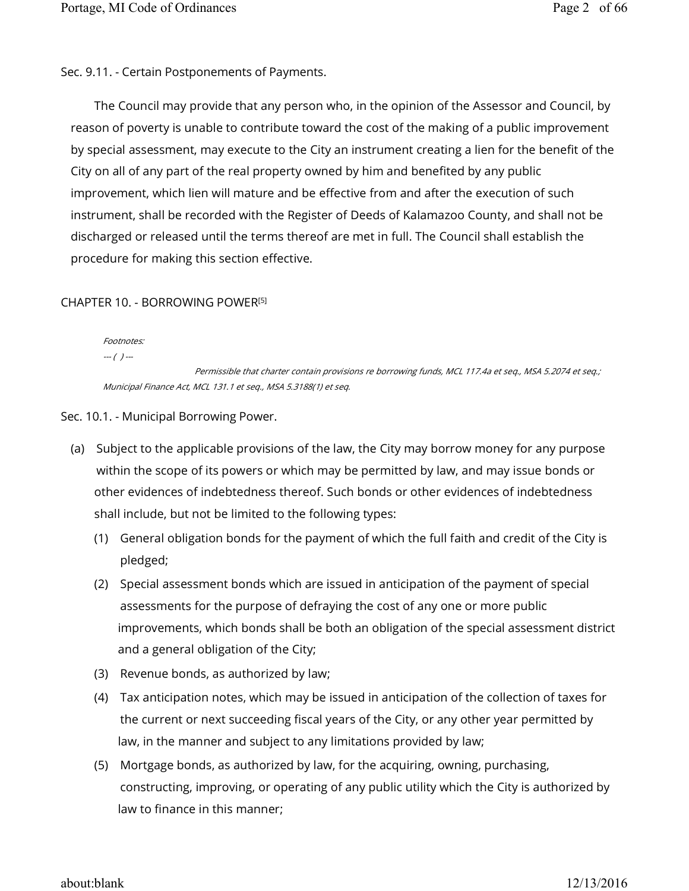Sec. 9.11. - Certain Postponements of Payments.

The Council may provide that any person who, in the opinion of the Assessor and Council, by reason of poverty is unable to contribute toward the cost of the making of a public improvement by special assessment, may execute to the City an instrument creating a lien for the benefit of the City on all of any part of the real property owned by him and benefited by any public improvement, which lien will mature and be effective from and after the execution of such instrument, shall be recorded with the Register of Deeds of Kalamazoo County, and shall not be discharged or released until the terms thereof are met in full. The Council shall establish the procedure for making this section effective.

### CHAPTER 10. - BORROWING POWER [5]

Footnotes:

 $-(-)$  ---

 Permissible that charter contain provisions re borrowing funds, MCL 117.4a et seq., MSA 5.2074 et seq.; Municipal Finance Act, MCL 131.1 et seq., MSA 5.3188(1) et seq.

Sec. 10.1. - Municipal Borrowing Power.

- (a) Subject to the applicable provisions of the law, the City may borrow money for any purpose within the scope of its powers or which may be permitted by law, and may issue bonds or other evidences of indebtedness thereof. Such bonds or other evidences of indebtedness shall include, but not be limited to the following types:
	- (1) General obligation bonds for the payment of which the full faith and credit of the City is pledged;
	- (2) Special assessment bonds which are issued in anticipation of the payment of special assessments for the purpose of defraying the cost of any one or more public improvements, which bonds shall be both an obligation of the special assessment district and a general obligation of the City;
	- (3) Revenue bonds, as authorized by law;
	- (4) Tax anticipation notes, which may be issued in anticipation of the collection of taxes for the current or next succeeding fiscal years of the City, or any other year permitted by law, in the manner and subject to any limitations provided by law;
	- (5) Mortgage bonds, as authorized by law, for the acquiring, owning, purchasing, constructing, improving, or operating of any public utility which the City is authorized by law to finance in this manner;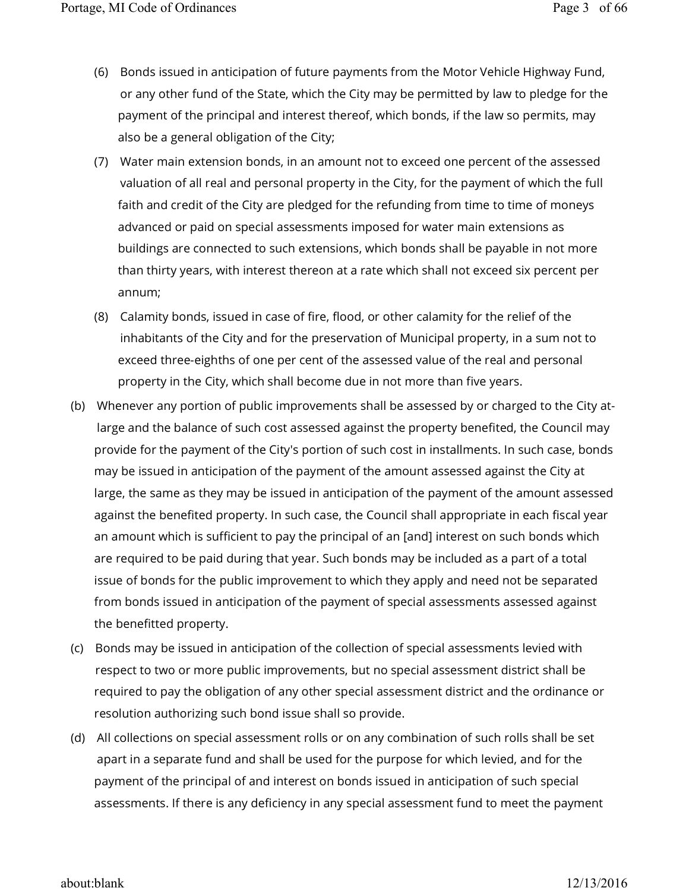- (6) Bonds issued in anticipation of future payments from the Motor Vehicle Highway Fund, or any other fund of the State, which the City may be permitted by law to pledge for the payment of the principal and interest thereof, which bonds, if the law so permits, may also be a general obligation of the City;
- (7) Water main extension bonds, in an amount not to exceed one percent of the assessed valuation of all real and personal property in the City, for the payment of which the full faith and credit of the City are pledged for the refunding from time to time of moneys advanced or paid on special assessments imposed for water main extensions as buildings are connected to such extensions, which bonds shall be payable in not more than thirty years, with interest thereon at a rate which shall not exceed six percent per annum;
- (8) Calamity bonds, issued in case of fire, flood, or other calamity for the relief of the inhabitants of the City and for the preservation of Municipal property, in a sum not to exceed three-eighths of one per cent of the assessed value of the real and personal property in the City, which shall become due in not more than five years.
- (b) Whenever any portion of public improvements shall be assessed by or charged to the City atlarge and the balance of such cost assessed against the property benefited, the Council may provide for the payment of the City's portion of such cost in installments. In such case, bonds may be issued in anticipation of the payment of the amount assessed against the City at large, the same as they may be issued in anticipation of the payment of the amount assessed against the benefited property. In such case, the Council shall appropriate in each fiscal year an amount which is sufficient to pay the principal of an [and] interest on such bonds which are required to be paid during that year. Such bonds may be included as a part of a total issue of bonds for the public improvement to which they apply and need not be separated from bonds issued in anticipation of the payment of special assessments assessed against the benefitted property.
- (c) Bonds may be issued in anticipation of the collection of special assessments levied with respect to two or more public improvements, but no special assessment district shall be required to pay the obligation of any other special assessment district and the ordinance or resolution authorizing such bond issue shall so provide.
- (d) All collections on special assessment rolls or on any combination of such rolls shall be set apart in a separate fund and shall be used for the purpose for which levied, and for the payment of the principal of and interest on bonds issued in anticipation of such special assessments. If there is any deficiency in any special assessment fund to meet the payment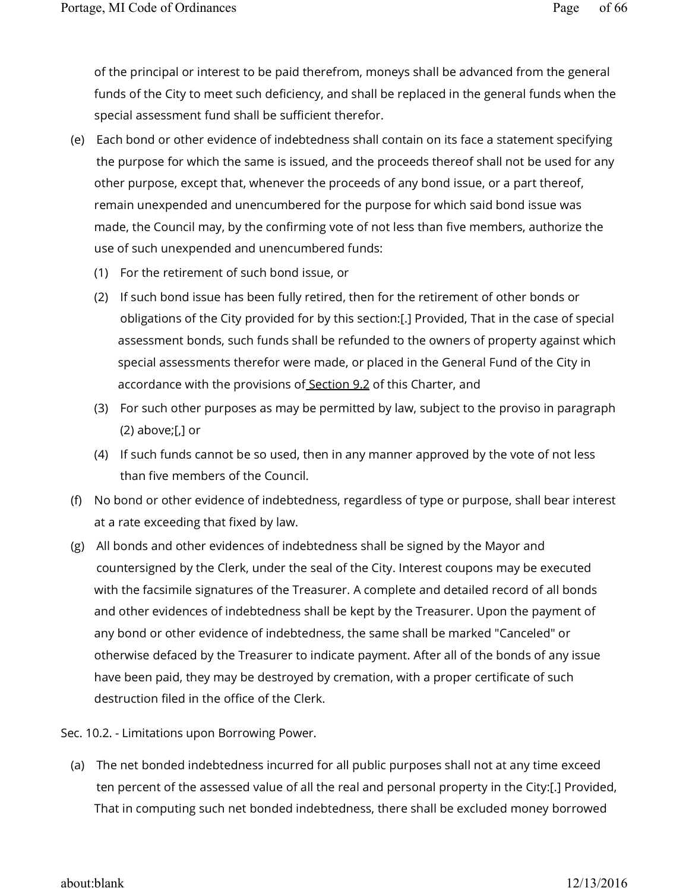of the principal or interest to be paid therefrom, moneys shall be advanced from the general funds of the City to meet such deficiency, and shall be replaced in the general funds when the special assessment fund shall be sufficient therefor.

- (e) Each bond or other evidence of indebtedness shall contain on its face a statement specifying the purpose for which the same is issued, and the proceeds thereof shall not be used for any other purpose, except that, whenever the proceeds of any bond issue, or a part thereof, remain unexpended and unencumbered for the purpose for which said bond issue was made, the Council may, by the confirming vote of not less than five members, authorize the use of such unexpended and unencumbered funds:
	- (1) For the retirement of such bond issue, or
	- (2) If such bond issue has been fully retired, then for the retirement of other bonds or obligations of the City provided for by this section:[.] Provided, That in the case of special assessment bonds, such funds shall be refunded to the owners of property against which special assessments therefor were made, or placed in the General Fund of the City in accordance with the provisions of Section 9.2 of this Charter, and
	- (3) For such other purposes as may be permitted by law, subject to the proviso in paragraph  $(2)$  above;[,] or
	- (4) If such funds cannot be so used, then in any manner approved by the vote of not less than five members of the Council.
- (f) No bond or other evidence of indebtedness, regardless of type or purpose, shall bear interest at a rate exceeding that fixed by law.
- (g) All bonds and other evidences of indebtedness shall be signed by the Mayor and countersigned by the Clerk, under the seal of the City. Interest coupons may be executed with the facsimile signatures of the Treasurer. A complete and detailed record of all bonds and other evidences of indebtedness shall be kept by the Treasurer. Upon the payment of any bond or other evidence of indebtedness, the same shall be marked "Canceled" or otherwise defaced by the Treasurer to indicate payment. After all of the bonds of any issue have been paid, they may be destroyed by cremation, with a proper certificate of such destruction filed in the office of the Clerk.

Sec. 10.2. - Limitations upon Borrowing Power.

(a) The net bonded indebtedness incurred for all public purposes shall not at any time exceed ten percent of the assessed value of all the real and personal property in the City:[.] Provided, That in computing such net bonded indebtedness, there shall be excluded money borrowed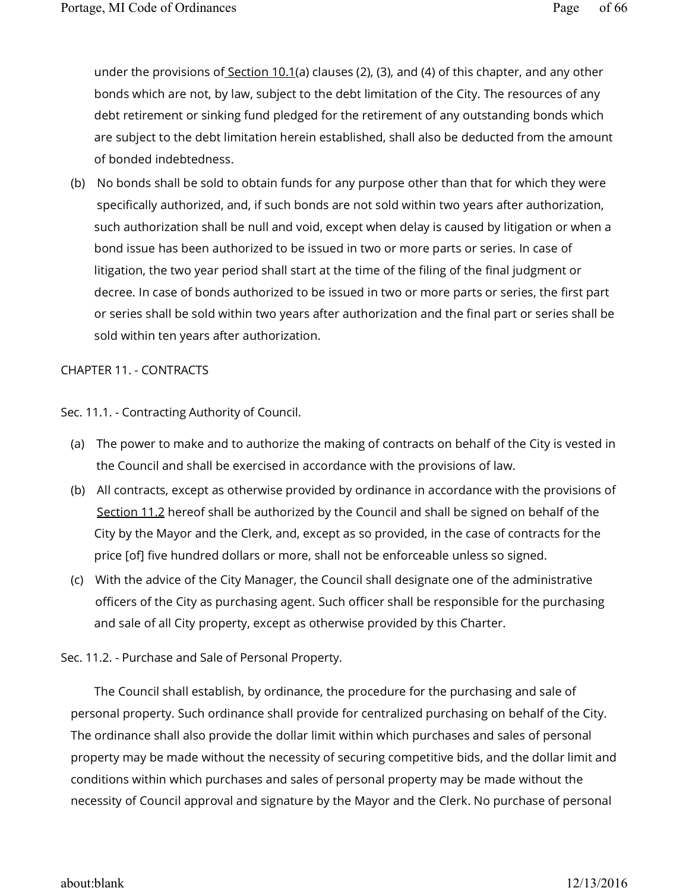under the provisions of Section 10.1(a) clauses (2), (3), and (4) of this chapter, and any other bonds which are not, by law, subject to the debt limitation of the City. The resources of any debt retirement or sinking fund pledged for the retirement of any outstanding bonds which are subject to the debt limitation herein established, shall also be deducted from the amount of bonded indebtedness.

(b) No bonds shall be sold to obtain funds for any purpose other than that for which they were specifically authorized, and, if such bonds are not sold within two years after authorization, such authorization shall be null and void, except when delay is caused by litigation or when a bond issue has been authorized to be issued in two or more parts or series. In case of litigation, the two year period shall start at the time of the filing of the final judgment or decree. In case of bonds authorized to be issued in two or more parts or series, the first part or series shall be sold within two years after authorization and the final part or series shall be sold within ten years after authorization.

### CHAPTER 11. - CONTRACTS

Sec. 11.1. - Contracting Authority of Council.

- (a) The power to make and to authorize the making of contracts on behalf of the City is vested in the Council and shall be exercised in accordance with the provisions of law.
- (b) All contracts, except as otherwise provided by ordinance in accordance with the provisions of Section 11.2 hereof shall be authorized by the Council and shall be signed on behalf of the City by the Mayor and the Clerk, and, except as so provided, in the case of contracts for the price [of] five hundred dollars or more, shall not be enforceable unless so signed.
- (c) With the advice of the City Manager, the Council shall designate one of the administrative officers of the City as purchasing agent. Such officer shall be responsible for the purchasing and sale of all City property, except as otherwise provided by this Charter.

# Sec. 11.2. - Purchase and Sale of Personal Property.

The Council shall establish, by ordinance, the procedure for the purchasing and sale of personal property. Such ordinance shall provide for centralized purchasing on behalf of the City. The ordinance shall also provide the dollar limit within which purchases and sales of personal property may be made without the necessity of securing competitive bids, and the dollar limit and conditions within which purchases and sales of personal property may be made without the necessity of Council approval and signature by the Mayor and the Clerk. No purchase of personal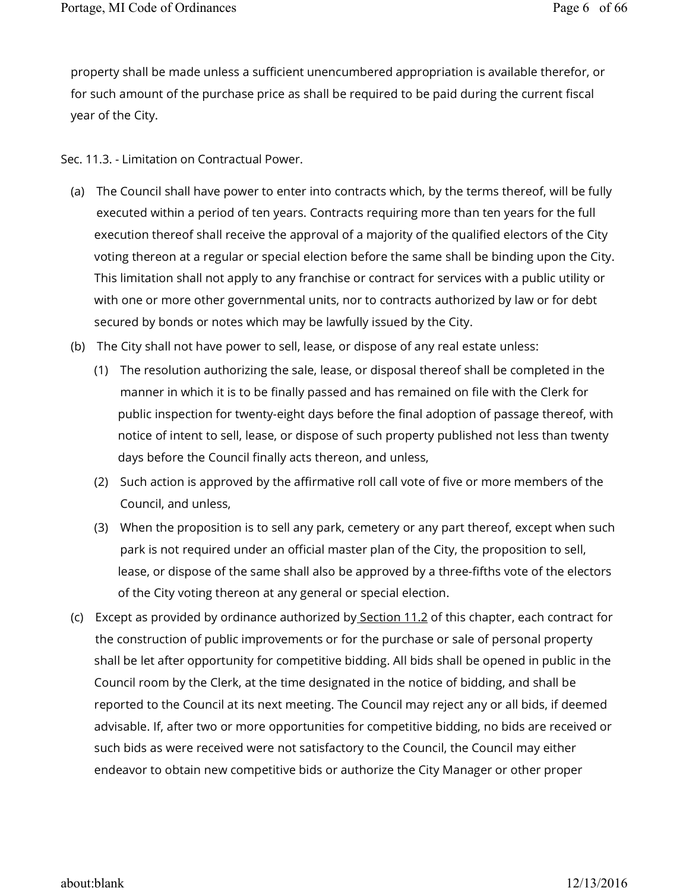property shall be made unless a sufficient unencumbered appropriation is available therefor, or for such amount of the purchase price as shall be required to be paid during the current fiscal year of the City.

Sec. 11.3. - Limitation on Contractual Power.

- (a) The Council shall have power to enter into contracts which, by the terms thereof, will be fully executed within a period of ten years. Contracts requiring more than ten years for the full execution thereof shall receive the approval of a majority of the qualified electors of the City voting thereon at a regular or special election before the same shall be binding upon the City. This limitation shall not apply to any franchise or contract for services with a public utility or with one or more other governmental units, nor to contracts authorized by law or for debt secured by bonds or notes which may be lawfully issued by the City.
- (b) The City shall not have power to sell, lease, or dispose of any real estate unless:
	- (1) The resolution authorizing the sale, lease, or disposal thereof shall be completed in the manner in which it is to be finally passed and has remained on file with the Clerk for public inspection for twenty-eight days before the final adoption of passage thereof, with notice of intent to sell, lease, or dispose of such property published not less than twenty days before the Council finally acts thereon, and unless,
	- (2) Such action is approved by the affirmative roll call vote of five or more members of the Council, and unless,
	- (3) When the proposition is to sell any park, cemetery or any part thereof, except when such park is not required under an official master plan of the City, the proposition to sell, lease, or dispose of the same shall also be approved by a three-fifths vote of the electors of the City voting thereon at any general or special election.
- (c) Except as provided by ordinance authorized by<u> Section 11.2</u> of this chapter, each contract for the construction of public improvements or for the purchase or sale of personal property shall be let after opportunity for competitive bidding. All bids shall be opened in public in the Council room by the Clerk, at the time designated in the notice of bidding, and shall be reported to the Council at its next meeting. The Council may reject any or all bids, if deemed advisable. If, after two or more opportunities for competitive bidding, no bids are received or such bids as were received were not satisfactory to the Council, the Council may either endeavor to obtain new competitive bids or authorize the City Manager or other proper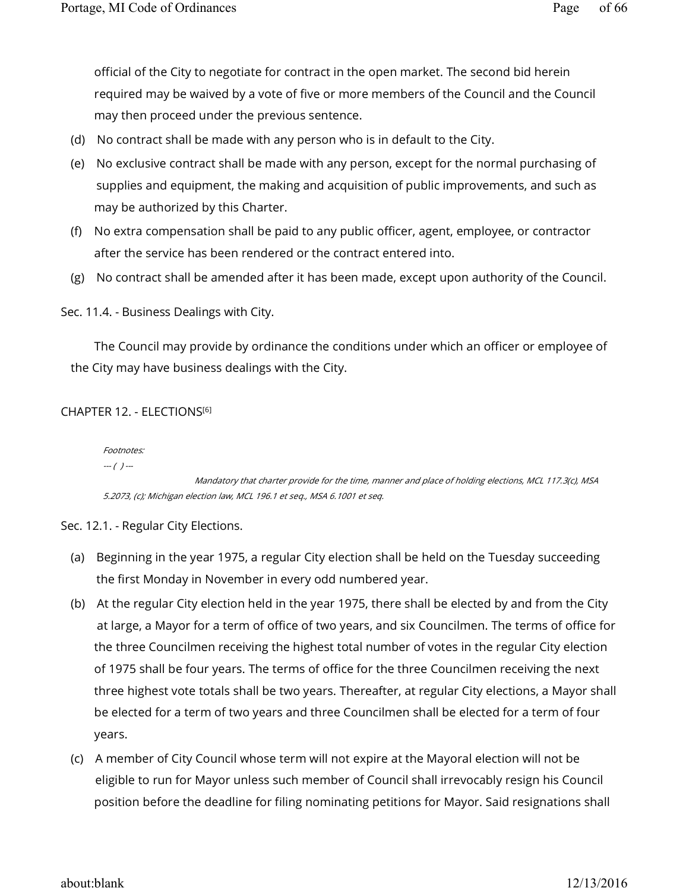official of the City to negotiate for contract in the open market. The second bid herein required may be waived by a vote of five or more members of the Council and the Council may then proceed under the previous sentence.

- (d) No contract shall be made with any person who is in default to the City.
- (e) No exclusive contract shall be made with any person, except for the normal purchasing of supplies and equipment, the making and acquisition of public improvements, and such as may be authorized by this Charter.
- (f) No extra compensation shall be paid to any public officer, agent, employee, or contractor after the service has been rendered or the contract entered into.
- (g) No contract shall be amended after it has been made, except upon authority of the Council.

Sec. 11.4. - Business Dealings with City.

The Council may provide by ordinance the conditions under which an officer or employee of the City may have business dealings with the City.

# CHAPTER 12. - ELECTIONS [6]

Footnotes:  $-(-)$  ---

 Mandatory that charter provide for the time, manner and place of holding elections, MCL 117.3(c), MSA 5.2073, (c); Michigan election law, MCL 196.1 et seq., MSA 6.1001 et seq.

Sec. 12.1. - Regular City Elections.

- (a) Beginning in the year 1975, a regular City election shall be held on the Tuesday succeeding the first Monday in November in every odd numbered year.
- (b) At the regular City election held in the year 1975, there shall be elected by and from the City at large, a Mayor for a term of office of two years, and six Councilmen. The terms of office for the three Councilmen receiving the highest total number of votes in the regular City election of 1975 shall be four years. The terms of office for the three Councilmen receiving the next three highest vote totals shall be two years. Thereafter, at regular City elections, a Mayor shall be elected for a term of two years and three Councilmen shall be elected for a term of four years.
- (c) A member of City Council whose term will not expire at the Mayoral election will not be eligible to run for Mayor unless such member of Council shall irrevocably resign his Council position before the deadline for filing nominating petitions for Mayor. Said resignations shall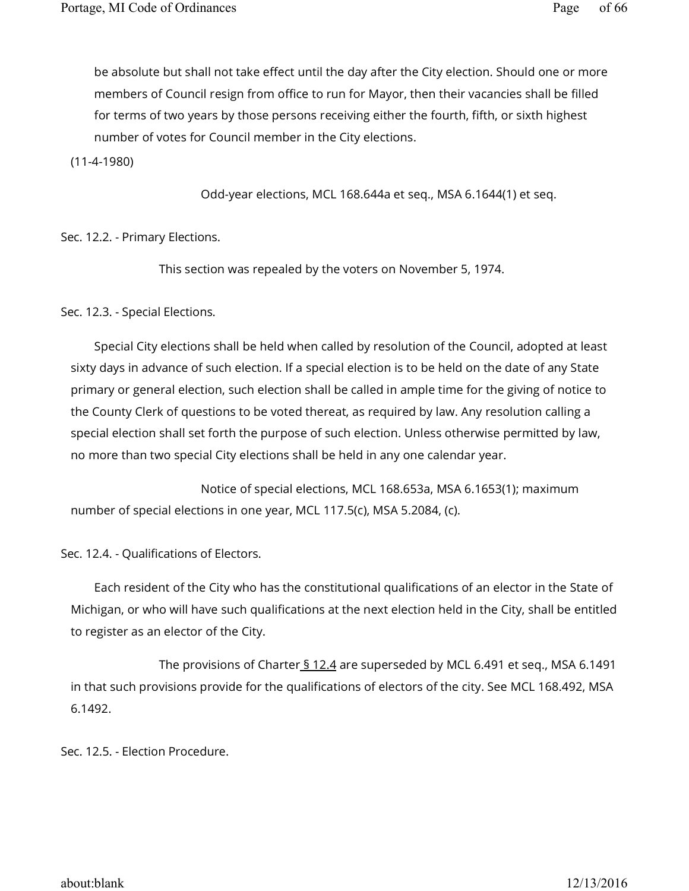be absolute but shall not take effect until the day after the City election. Should one or more members of Council resign from office to run for Mayor, then their vacancies shall be filled for terms of two years by those persons receiving either the fourth, fifth, or sixth highest number of votes for Council member in the City elections.

(11-4-1980)

Odd-year elections, MCL 168.644a et seq., MSA 6.1644(1) et seq.

Sec. 12.2. - Primary Elections.

This section was repealed by the voters on November 5, 1974.

Sec. 12.3. - Special Elections.

Special City elections shall be held when called by resolution of the Council, adopted at least sixty days in advance of such election. If a special election is to be held on the date of any State primary or general election, such election shall be called in ample time for the giving of notice to the County Clerk of questions to be voted thereat, as required by law. Any resolution calling a special election shall set forth the purpose of such election. Unless otherwise permitted by law, no more than two special City elections shall be held in any one calendar year.

 Notice of special elections, MCL 168.653a, MSA 6.1653(1); maximum number of special elections in one year, MCL 117.5(c), MSA 5.2084, (c).

Sec. 12.4. - Qualifications of Electors.

Each resident of the City who has the constitutional qualifications of an elector in the State of Michigan, or who will have such qualifications at the next election held in the City, shall be entitled to register as an elector of the City.

The provisions of Charter  $\frac{12.4}{3}$  are superseded by MCL 6.491 et seq., MSA 6.1491 in that such provisions provide for the qualifications of electors of the city. See MCL 168.492, MSA 6.1492.

Sec. 12.5. - Election Procedure.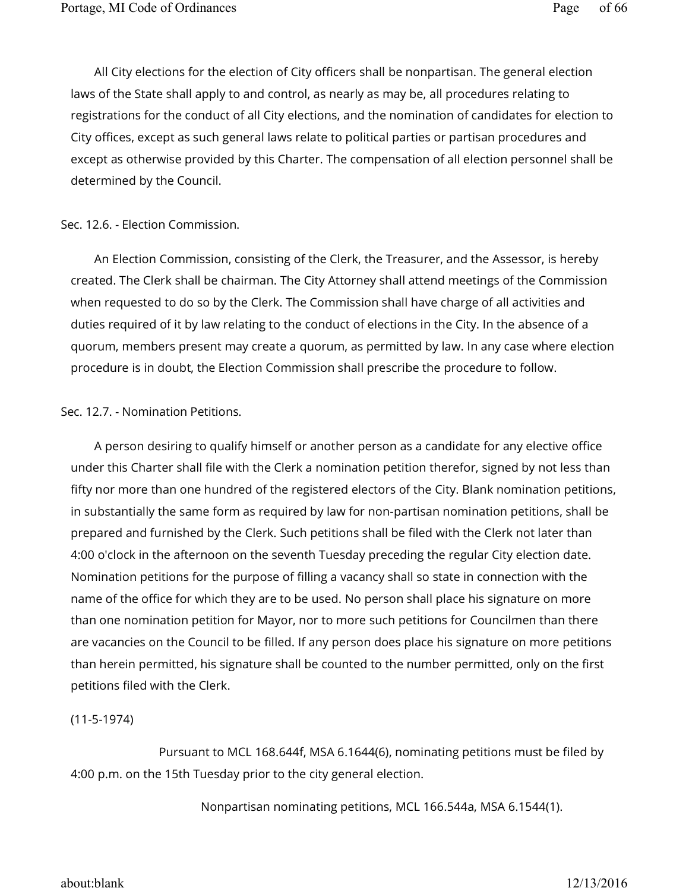All City elections for the election of City officers shall be nonpartisan. The general election laws of the State shall apply to and control, as nearly as may be, all procedures relating to registrations for the conduct of all City elections, and the nomination of candidates for election to City offices, except as such general laws relate to political parties or partisan procedures and except as otherwise provided by this Charter. The compensation of all election personnel shall be determined by the Council.

### Sec. 12.6. - Election Commission.

An Election Commission, consisting of the Clerk, the Treasurer, and the Assessor, is hereby created. The Clerk shall be chairman. The City Attorney shall attend meetings of the Commission when requested to do so by the Clerk. The Commission shall have charge of all activities and duties required of it by law relating to the conduct of elections in the City. In the absence of a quorum, members present may create a quorum, as permitted by law. In any case where election procedure is in doubt, the Election Commission shall prescribe the procedure to follow.

### Sec. 12.7. - Nomination Petitions.

A person desiring to qualify himself or another person as a candidate for any elective office under this Charter shall file with the Clerk a nomination petition therefor, signed by not less than fifty nor more than one hundred of the registered electors of the City. Blank nomination petitions, in substantially the same form as required by law for non-partisan nomination petitions, shall be prepared and furnished by the Clerk. Such petitions shall be filed with the Clerk not later than 4:00 o'clock in the afternoon on the seventh Tuesday preceding the regular City election date. Nomination petitions for the purpose of filling a vacancy shall so state in connection with the name of the office for which they are to be used. No person shall place his signature on more than one nomination petition for Mayor, nor to more such petitions for Councilmen than there are vacancies on the Council to be filled. If any person does place his signature on more petitions than herein permitted, his signature shall be counted to the number permitted, only on the first petitions filed with the Clerk.

#### (11-5-1974)

 Pursuant to MCL 168.644f, MSA 6.1644(6), nominating petitions must be filed by 4:00 p.m. on the 15th Tuesday prior to the city general election.

Nonpartisan nominating petitions, MCL 166.544a, MSA 6.1544(1).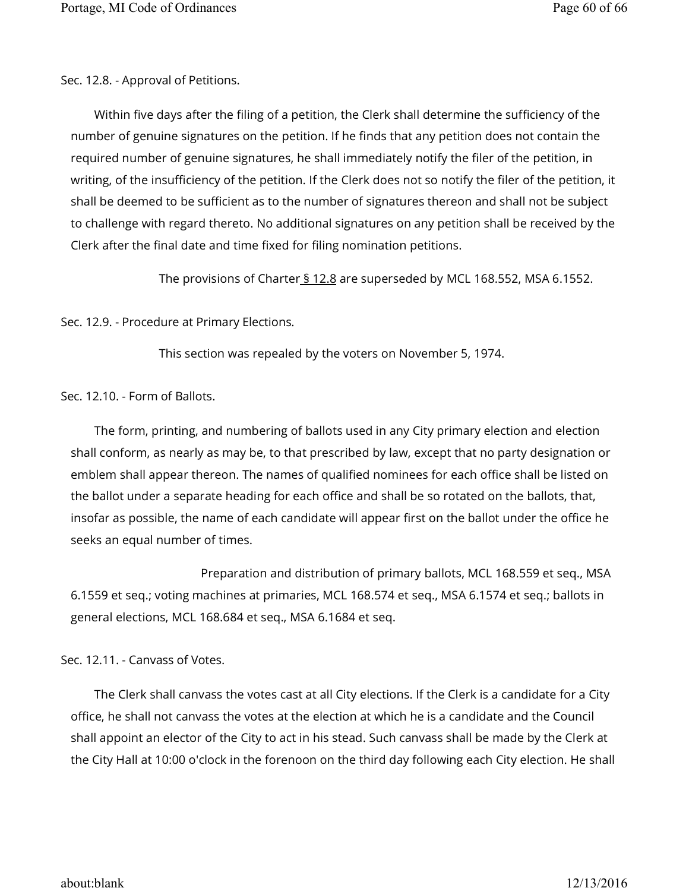Sec. 12.8. - Approval of Petitions.

Within five days after the filing of a petition, the Clerk shall determine the sufficiency of the number of genuine signatures on the petition. If he finds that any petition does not contain the required number of genuine signatures, he shall immediately notify the filer of the petition, in writing, of the insufficiency of the petition. If the Clerk does not so notify the filer of the petition, it shall be deemed to be sufficient as to the number of signatures thereon and shall not be subject to challenge with regard thereto. No additional signatures on any petition shall be received by the Clerk after the final date and time fixed for filing nomination petitions.

The provisions of Charter  $\frac{12.8}{3}$  are superseded by MCL 168.552, MSA 6.1552.

Sec. 12.9. - Procedure at Primary Elections.

This section was repealed by the voters on November 5, 1974.

Sec. 12.10. - Form of Ballots.

The form, printing, and numbering of ballots used in any City primary election and election shall conform, as nearly as may be, to that prescribed by law, except that no party designation or emblem shall appear thereon. The names of qualified nominees for each office shall be listed on the ballot under a separate heading for each office and shall be so rotated on the ballots, that, insofar as possible, the name of each candidate will appear first on the ballot under the office he seeks an equal number of times.

 Preparation and distribution of primary ballots, MCL 168.559 et seq., MSA 6.1559 et seq.; voting machines at primaries, MCL 168.574 et seq., MSA 6.1574 et seq.; ballots in general elections, MCL 168.684 et seq., MSA 6.1684 et seq.

Sec. 12.11. - Canvass of Votes.

The Clerk shall canvass the votes cast at all City elections. If the Clerk is a candidate for a City office, he shall not canvass the votes at the election at which he is a candidate and the Council shall appoint an elector of the City to act in his stead. Such canvass shall be made by the Clerk at the City Hall at 10:00 o'clock in the forenoon on the third day following each City election. He shall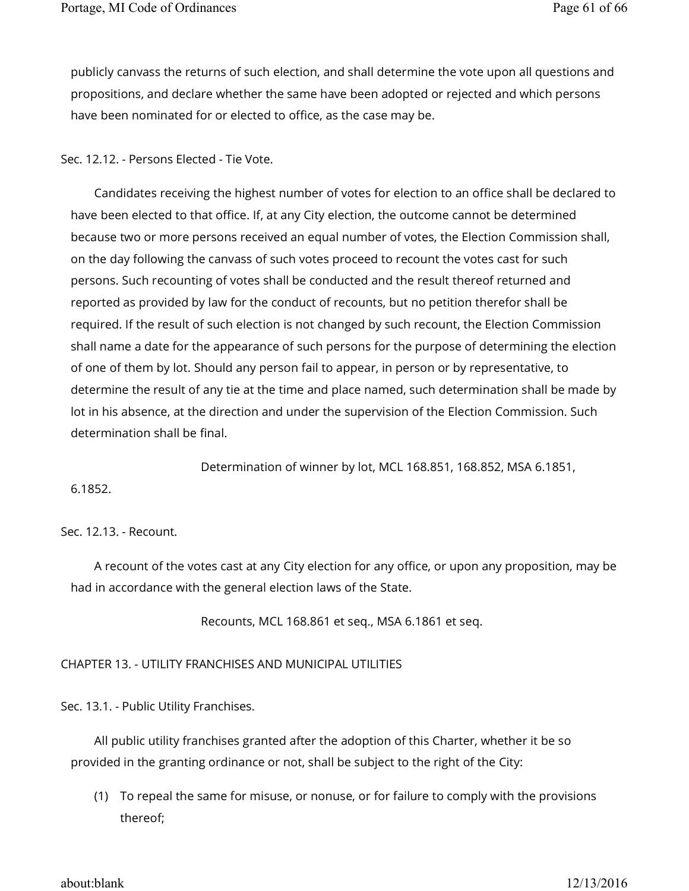publicly canvass the returns of such election, and shall determine the vote upon all questions and propositions, and declare whether the same have been adopted or rejected and which persons have been nominated for or elected to office, as the case may be.

# Sec. 12.12. - Persons Elected - Tie Vote.

Candidates receiving the highest number of votes for election to an office shall be declared to have been elected to that office. If, at any City election, the outcome cannot be determined because two or more persons received an equal number of votes, the Election Commission shall, on the day following the canvass of such votes proceed to recount the votes cast for such persons. Such recounting of votes shall be conducted and the result thereof returned and reported as provided by law for the conduct of recounts, but no petition therefor shall be required. If the result of such election is not changed by such recount, the Election Commission shall name a date for the appearance of such persons for the purpose of determining the election of one of them by lot. Should any person fail to appear, in person or by representative, to determine the result of any tie at the time and place named, such determination shall be made by lot in his absence, at the direction and under the supervision of the Election Commission. Such determination shall be final.

Determination of winner by lot, MCL 168.851, 168.852, MSA 6.1851,

6.1852.

#### Sec. 12.13. - Recount.

A recount of the votes cast at any City election for any office, or upon any proposition, may be had in accordance with the general election laws of the State.

Recounts, MCL 168.861 et seq., MSA 6.1861 et seq.

CHAPTER 13. - UTILITY FRANCHISES AND MUNICIPAL UTILITIES

Sec. 13.1. - Public Utility Franchises.

All public utility franchises granted after the adoption of this Charter, whether it be so provided in the granting ordinance or not, shall be subject to the right of the City:

(1) To repeal the same for misuse, or nonuse, or for failure to comply with the provisions thereof;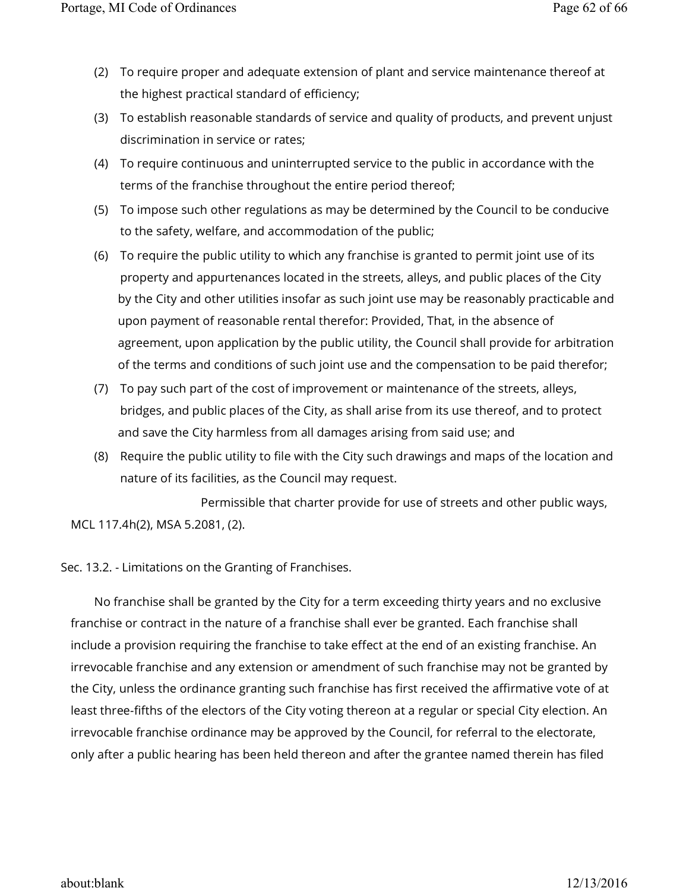- (2) To require proper and adequate extension of plant and service maintenance thereof at the highest practical standard of efficiency;
- (3) To establish reasonable standards of service and quality of products, and prevent unjust discrimination in service or rates;
- (4) To require continuous and uninterrupted service to the public in accordance with the terms of the franchise throughout the entire period thereof;
- (5) To impose such other regulations as may be determined by the Council to be conducive to the safety, welfare, and accommodation of the public;
- (6) To require the public utility to which any franchise is granted to permit joint use of its property and appurtenances located in the streets, alleys, and public places of the City by the City and other utilities insofar as such joint use may be reasonably practicable and upon payment of reasonable rental therefor: Provided, That, in the absence of agreement, upon application by the public utility, the Council shall provide for arbitration of the terms and conditions of such joint use and the compensation to be paid therefor;
- (7) To pay such part of the cost of improvement or maintenance of the streets, alleys, bridges, and public places of the City, as shall arise from its use thereof, and to protect and save the City harmless from all damages arising from said use; and
- (8) Require the public utility to file with the City such drawings and maps of the location and nature of its facilities, as the Council may request.

 Permissible that charter provide for use of streets and other public ways, MCL 117.4h(2), MSA 5.2081, (2).

Sec. 13.2. - Limitations on the Granting of Franchises.

No franchise shall be granted by the City for a term exceeding thirty years and no exclusive franchise or contract in the nature of a franchise shall ever be granted. Each franchise shall include a provision requiring the franchise to take effect at the end of an existing franchise. An irrevocable franchise and any extension or amendment of such franchise may not be granted by the City, unless the ordinance granting such franchise has first received the affirmative vote of at least three-fifths of the electors of the City voting thereon at a regular or special City election. An irrevocable franchise ordinance may be approved by the Council, for referral to the electorate, only after a public hearing has been held thereon and after the grantee named therein has filed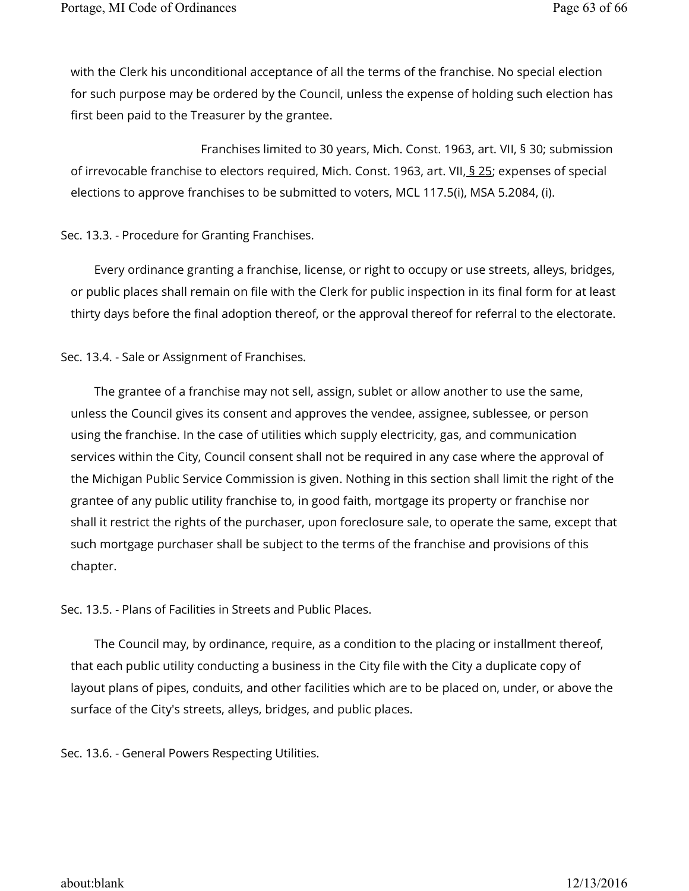with the Clerk his unconditional acceptance of all the terms of the franchise. No special election for such purpose may be ordered by the Council, unless the expense of holding such election has first been paid to the Treasurer by the grantee.

 Franchises limited to 30 years, Mich. Const. 1963, art. VII, § 30; submission of irrevocable franchise to electors required, Mich. Const. 1963, art. VII, § 25; expenses of special elections to approve franchises to be submitted to voters, MCL 117.5(i), MSA 5.2084, (i).

# Sec. 13.3. - Procedure for Granting Franchises.

Every ordinance granting a franchise, license, or right to occupy or use streets, alleys, bridges, or public places shall remain on file with the Clerk for public inspection in its final form for at least thirty days before the final adoption thereof, or the approval thereof for referral to the electorate.

# Sec. 13.4. - Sale or Assignment of Franchises.

The grantee of a franchise may not sell, assign, sublet or allow another to use the same, unless the Council gives its consent and approves the vendee, assignee, sublessee, or person using the franchise. In the case of utilities which supply electricity, gas, and communication services within the City, Council consent shall not be required in any case where the approval of the Michigan Public Service Commission is given. Nothing in this section shall limit the right of the grantee of any public utility franchise to, in good faith, mortgage its property or franchise nor shall it restrict the rights of the purchaser, upon foreclosure sale, to operate the same, except that such mortgage purchaser shall be subject to the terms of the franchise and provisions of this chapter.

Sec. 13.5. - Plans of Facilities in Streets and Public Places.

The Council may, by ordinance, require, as a condition to the placing or installment thereof, that each public utility conducting a business in the City file with the City a duplicate copy of layout plans of pipes, conduits, and other facilities which are to be placed on, under, or above the surface of the City's streets, alleys, bridges, and public places.

Sec. 13.6. - General Powers Respecting Utilities.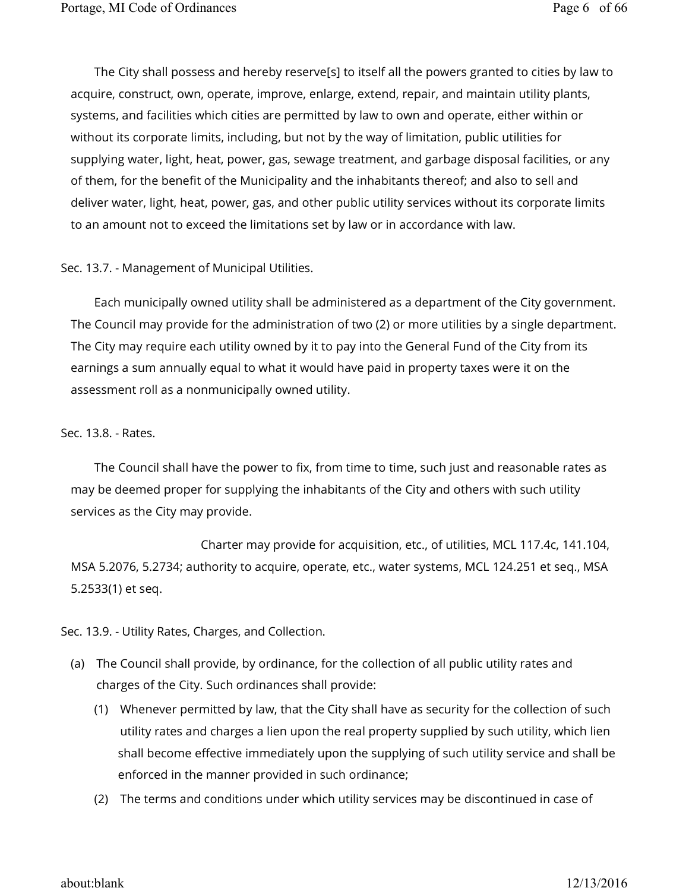The City shall possess and hereby reserve[s] to itself all the powers granted to cities by law to acquire, construct, own, operate, improve, enlarge, extend, repair, and maintain utility plants, systems, and facilities which cities are permitted by law to own and operate, either within or without its corporate limits, including, but not by the way of limitation, public utilities for supplying water, light, heat, power, gas, sewage treatment, and garbage disposal facilities, or any of them, for the benefit of the Municipality and the inhabitants thereof; and also to sell and deliver water, light, heat, power, gas, and other public utility services without its corporate limits to an amount not to exceed the limitations set by law or in accordance with law.

Sec. 13.7. - Management of Municipal Utilities.

Each municipally owned utility shall be administered as a department of the City government. The Council may provide for the administration of two (2) or more utilities by a single department. The City may require each utility owned by it to pay into the General Fund of the City from its earnings a sum annually equal to what it would have paid in property taxes were it on the assessment roll as a nonmunicipally owned utility.

#### Sec. 13.8. - Rates.

The Council shall have the power to fix, from time to time, such just and reasonable rates as may be deemed proper for supplying the inhabitants of the City and others with such utility services as the City may provide.

 Charter may provide for acquisition, etc., of utilities, MCL 117.4c, 141.104, MSA 5.2076, 5.2734; authority to acquire, operate, etc., water systems, MCL 124.251 et seq., MSA 5.2533(1) et seq.

Sec. 13.9. - Utility Rates, Charges, and Collection.

- (a) The Council shall provide, by ordinance, for the collection of all public utility rates and charges of the City. Such ordinances shall provide:
	- (1) Whenever permitted by law, that the City shall have as security for the collection of such utility rates and charges a lien upon the real property supplied by such utility, which lien shall become effective immediately upon the supplying of such utility service and shall be enforced in the manner provided in such ordinance;
	- (2) The terms and conditions under which utility services may be discontinued in case of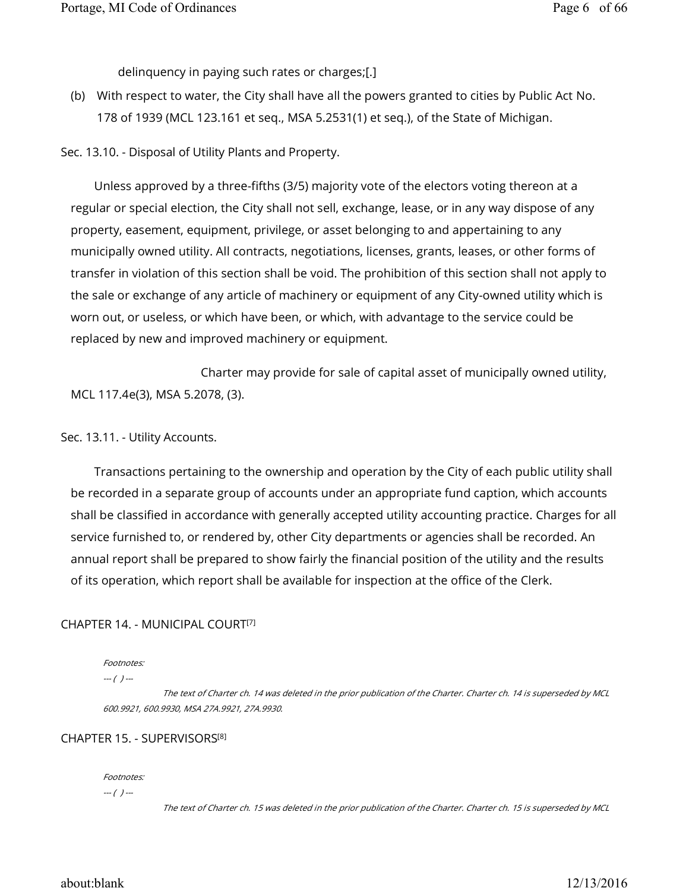delinquency in paying such rates or charges;[.]

(b) With respect to water, the City shall have all the powers granted to cities by Public Act No. 178 of 1939 (MCL 123.161 et seq., MSA 5.2531(1) et seq.), of the State of Michigan.

Sec. 13.10. - Disposal of Utility Plants and Property.

Unless approved by a three-fifths (3/5) majority vote of the electors voting thereon at a regular or special election, the City shall not sell, exchange, lease, or in any way dispose of any property, easement, equipment, privilege, or asset belonging to and appertaining to any municipally owned utility. All contracts, negotiations, licenses, grants, leases, or other forms of transfer in violation of this section shall be void. The prohibition of this section shall not apply to the sale or exchange of any article of machinery or equipment of any City-owned utility which is worn out, or useless, or which have been, or which, with advantage to the service could be replaced by new and improved machinery or equipment.

 Charter may provide for sale of capital asset of municipally owned utility, MCL 117.4e(3), MSA 5.2078, (3).

Sec. 13.11. - Utility Accounts.

Transactions pertaining to the ownership and operation by the City of each public utility shall be recorded in a separate group of accounts under an appropriate fund caption, which accounts shall be classified in accordance with generally accepted utility accounting practice. Charges for all service furnished to, or rendered by, other City departments or agencies shall be recorded. An annual report shall be prepared to show fairly the financial position of the utility and the results of its operation, which report shall be available for inspection at the office of the Clerk.

### CHAPTER 14. - MUNICIPAL COURT [7]

#### Footnotes:

 $- - ( ) -$ 

 The text of Charter ch. 14 was deleted in the prior publication of the Charter. Charter ch. 14 is superseded by MCL 600.9921, 600.9930, MSA 27A.9921, 27A.9930.

#### CHAPTER 15. - SUPERVISORS [8]

Footnotes:

--- ( ) ---

The text of Charter ch. 15 was deleted in the prior publication of the Charter. Charter ch. 15 is superseded by MCL